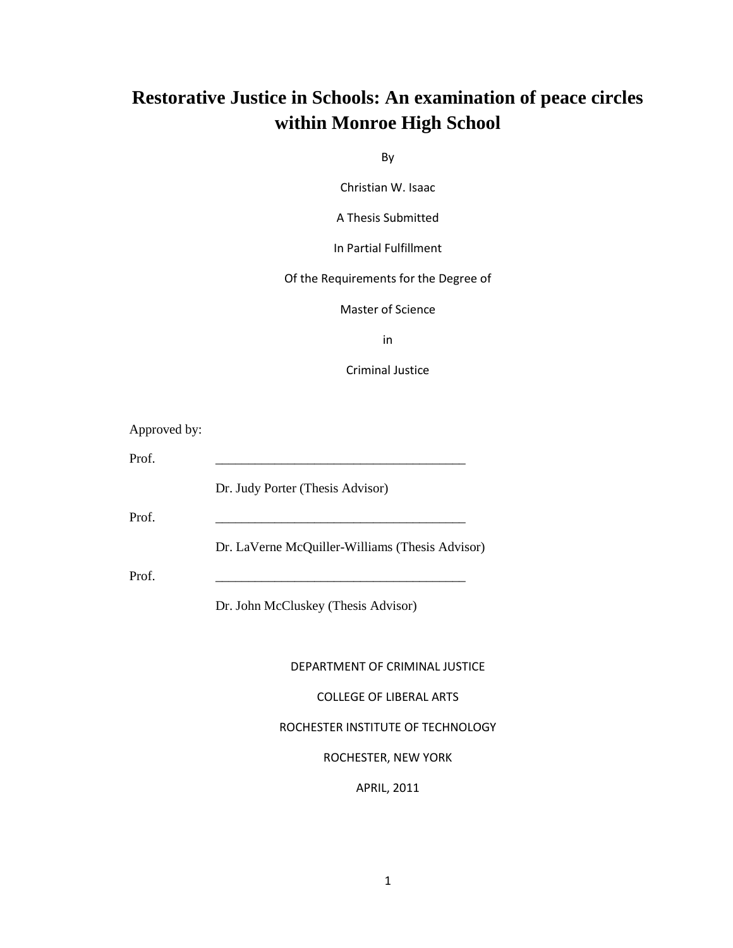# **Restorative Justice in Schools: An examination of peace circles within Monroe High School**

By

Christian W. Isaac

A Thesis Submitted

In Partial Fulfillment

Of the Requirements for the Degree of

Master of Science

in

Criminal Justice

Approved by:

Prof.

Dr. Judy Porter (Thesis Advisor)

Prof. \_\_\_\_\_\_\_\_\_\_\_\_\_\_\_\_\_\_\_\_\_\_\_\_\_\_\_\_\_\_\_\_\_\_\_\_\_\_

Dr. LaVerne McQuiller-Williams (Thesis Advisor)

Prof. \_\_\_\_\_\_\_\_\_\_\_\_\_\_\_\_\_\_\_\_\_\_\_\_\_\_\_\_\_\_\_\_\_\_\_\_\_\_

Dr. John McCluskey (Thesis Advisor)

DEPARTMENT OF CRIMINAL JUSTICE

COLLEGE OF LIBERAL ARTS

ROCHESTER INSTITUTE OF TECHNOLOGY

ROCHESTER, NEW YORK

APRIL, 2011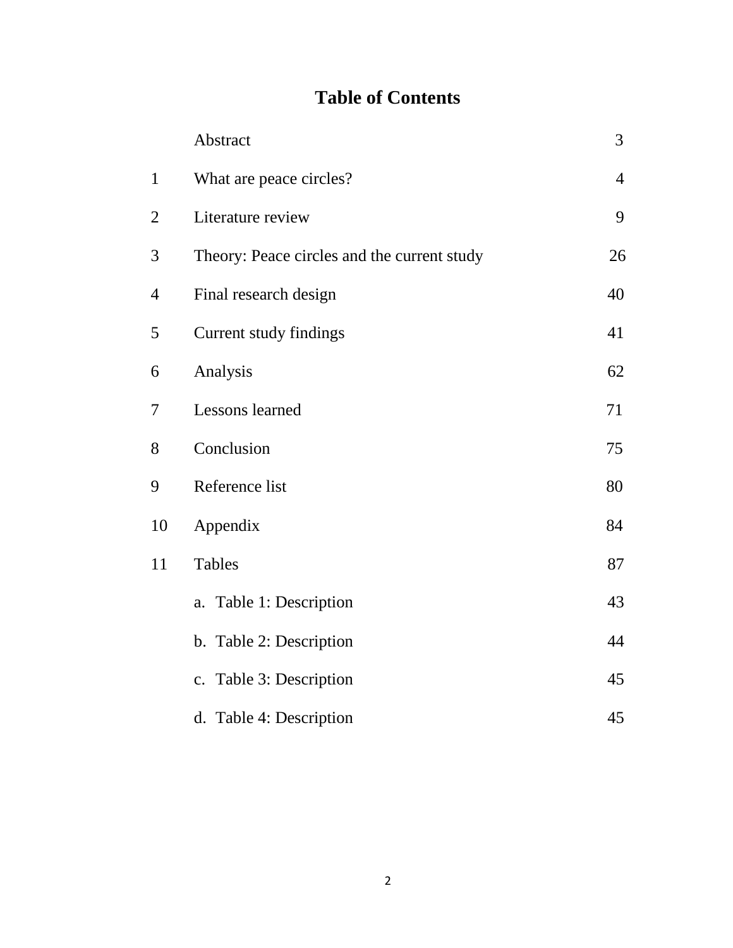# **Table of Contents**

|                | Abstract                                    | 3              |
|----------------|---------------------------------------------|----------------|
| $\mathbf{1}$   | What are peace circles?                     | $\overline{4}$ |
| $\overline{2}$ | Literature review                           | 9              |
| 3              | Theory: Peace circles and the current study | 26             |
| 4              | Final research design                       | 40             |
| 5              | Current study findings                      | 41             |
| 6              | Analysis                                    | 62             |
| 7              | Lessons learned                             | 71             |
| 8              | Conclusion                                  | 75             |
| 9              | Reference list                              | 80             |
| 10             | Appendix                                    | 84             |
| 11             | <b>Tables</b>                               | 87             |
|                | a. Table 1: Description                     | 43             |
|                | b. Table 2: Description                     | 44             |
|                | c. Table 3: Description                     | 45             |
|                | d. Table 4: Description                     | 45             |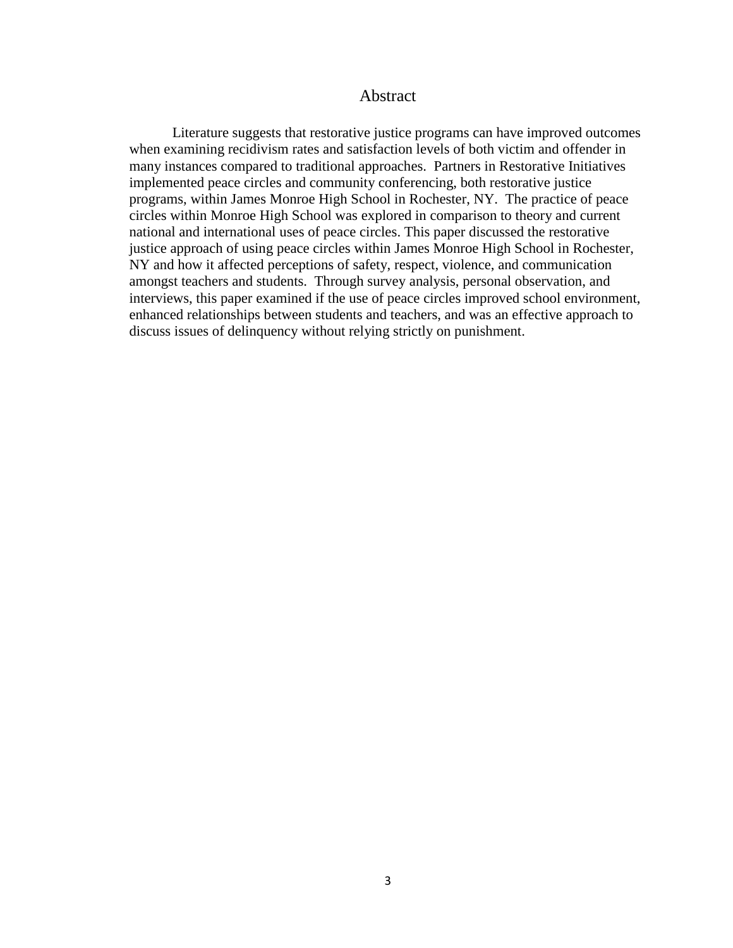# Abstract

Literature suggests that restorative justice programs can have improved outcomes when examining recidivism rates and satisfaction levels of both victim and offender in many instances compared to traditional approaches. Partners in Restorative Initiatives implemented peace circles and community conferencing, both restorative justice programs, within James Monroe High School in Rochester, NY. The practice of peace circles within Monroe High School was explored in comparison to theory and current national and international uses of peace circles. This paper discussed the restorative justice approach of using peace circles within James Monroe High School in Rochester, NY and how it affected perceptions of safety, respect, violence, and communication amongst teachers and students. Through survey analysis, personal observation, and interviews, this paper examined if the use of peace circles improved school environment, enhanced relationships between students and teachers, and was an effective approach to discuss issues of delinquency without relying strictly on punishment.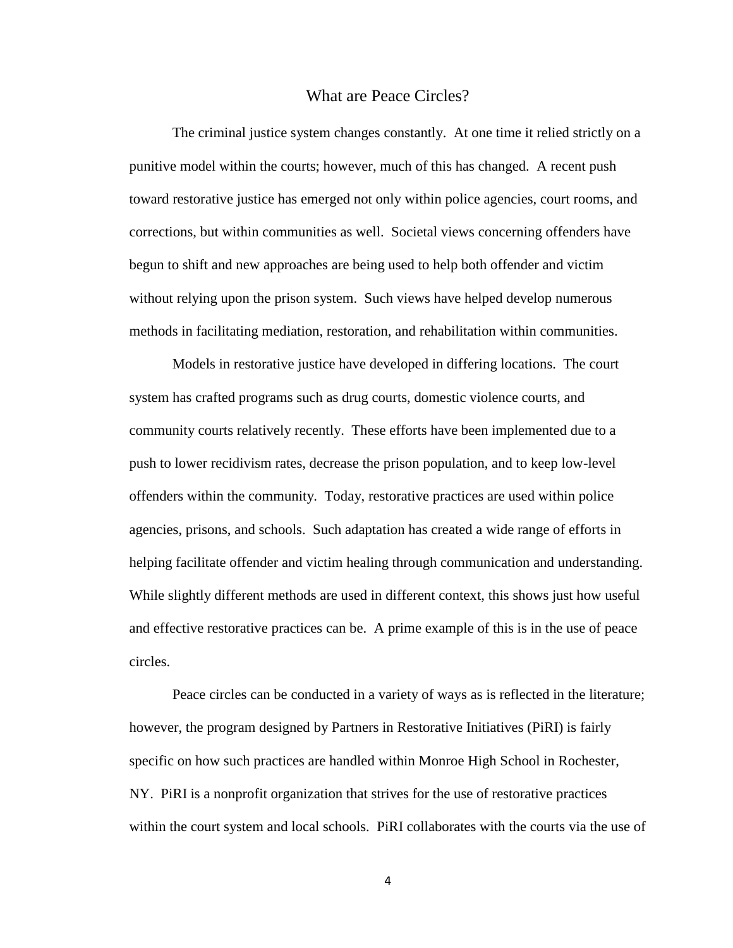#### What are Peace Circles?

The criminal justice system changes constantly. At one time it relied strictly on a punitive model within the courts; however, much of this has changed. A recent push toward restorative justice has emerged not only within police agencies, court rooms, and corrections, but within communities as well. Societal views concerning offenders have begun to shift and new approaches are being used to help both offender and victim without relying upon the prison system. Such views have helped develop numerous methods in facilitating mediation, restoration, and rehabilitation within communities.

Models in restorative justice have developed in differing locations. The court system has crafted programs such as drug courts, domestic violence courts, and community courts relatively recently. These efforts have been implemented due to a push to lower recidivism rates, decrease the prison population, and to keep low-level offenders within the community. Today, restorative practices are used within police agencies, prisons, and schools. Such adaptation has created a wide range of efforts in helping facilitate offender and victim healing through communication and understanding. While slightly different methods are used in different context, this shows just how useful and effective restorative practices can be. A prime example of this is in the use of peace circles.

Peace circles can be conducted in a variety of ways as is reflected in the literature; however, the program designed by Partners in Restorative Initiatives (PiRI) is fairly specific on how such practices are handled within Monroe High School in Rochester, NY. PiRI is a nonprofit organization that strives for the use of restorative practices within the court system and local schools. PiRI collaborates with the courts via the use of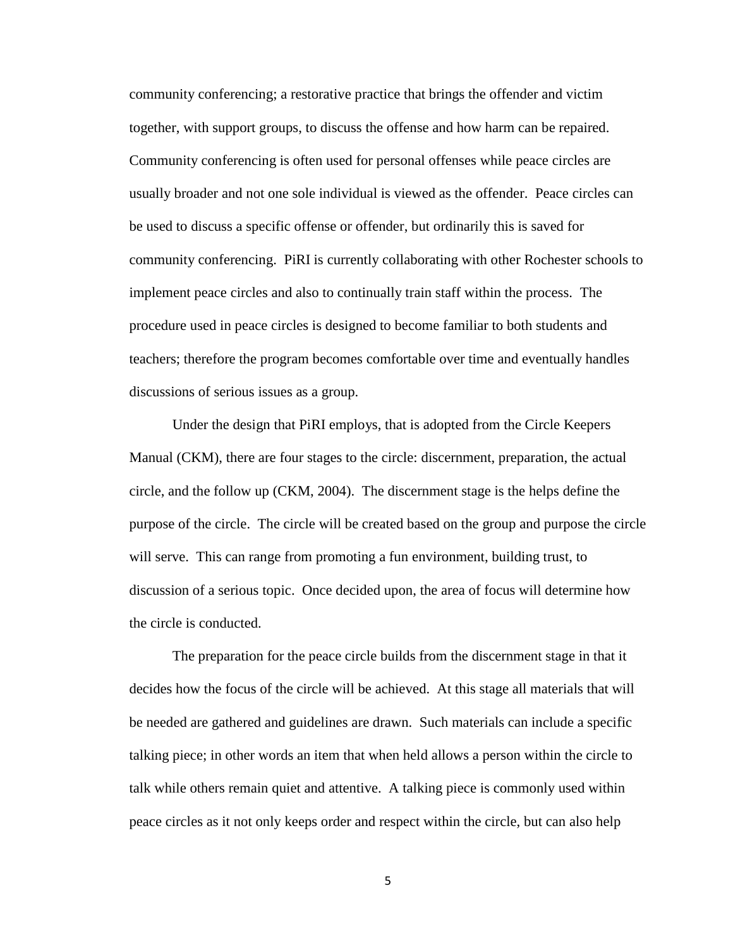community conferencing; a restorative practice that brings the offender and victim together, with support groups, to discuss the offense and how harm can be repaired. Community conferencing is often used for personal offenses while peace circles are usually broader and not one sole individual is viewed as the offender. Peace circles can be used to discuss a specific offense or offender, but ordinarily this is saved for community conferencing. PiRI is currently collaborating with other Rochester schools to implement peace circles and also to continually train staff within the process. The procedure used in peace circles is designed to become familiar to both students and teachers; therefore the program becomes comfortable over time and eventually handles discussions of serious issues as a group.

Under the design that PiRI employs, that is adopted from the Circle Keepers Manual (CKM), there are four stages to the circle: discernment, preparation, the actual circle, and the follow up (CKM, 2004). The discernment stage is the helps define the purpose of the circle. The circle will be created based on the group and purpose the circle will serve. This can range from promoting a fun environment, building trust, to discussion of a serious topic. Once decided upon, the area of focus will determine how the circle is conducted.

The preparation for the peace circle builds from the discernment stage in that it decides how the focus of the circle will be achieved. At this stage all materials that will be needed are gathered and guidelines are drawn. Such materials can include a specific talking piece; in other words an item that when held allows a person within the circle to talk while others remain quiet and attentive. A talking piece is commonly used within peace circles as it not only keeps order and respect within the circle, but can also help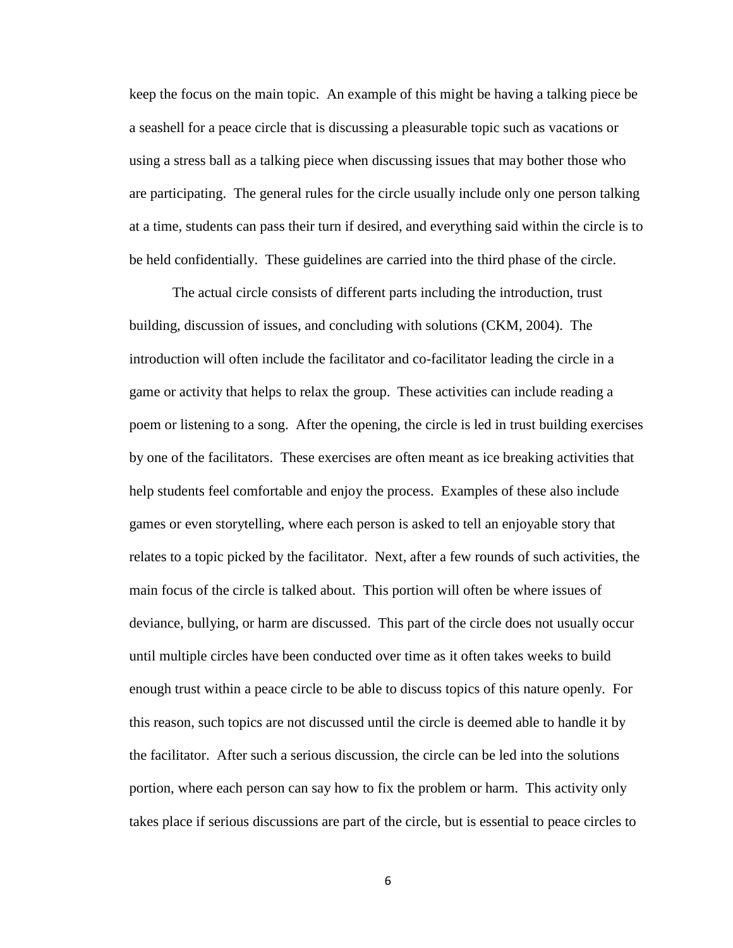keep the focus on the main topic. An example of this might be having a talking piece be a seashell for a peace circle that is discussing a pleasurable topic such as vacations or using a stress ball as a talking piece when discussing issues that may bother those who are participating. The general rules for the circle usually include only one person talking at a time, students can pass their turn if desired, and everything said within the circle is to be held confidentially. These guidelines are carried into the third phase of the circle.

The actual circle consists of different parts including the introduction, trust building, discussion of issues, and concluding with solutions (CKM, 2004). The introduction will often include the facilitator and co-facilitator leading the circle in a game or activity that helps to relax the group. These activities can include reading a poem or listening to a song. After the opening, the circle is led in trust building exercises by one of the facilitators. These exercises are often meant as ice breaking activities that help students feel comfortable and enjoy the process. Examples of these also include games or even storytelling, where each person is asked to tell an enjoyable story that relates to a topic picked by the facilitator. Next, after a few rounds of such activities, the main focus of the circle is talked about. This portion will often be where issues of deviance, bullying, or harm are discussed. This part of the circle does not usually occur until multiple circles have been conducted over time as it often takes weeks to build enough trust within a peace circle to be able to discuss topics of this nature openly. For this reason, such topics are not discussed until the circle is deemed able to handle it by the facilitator. After such a serious discussion, the circle can be led into the solutions portion, where each person can say how to fix the problem or harm. This activity only takes place if serious discussions are part of the circle, but is essential to peace circles to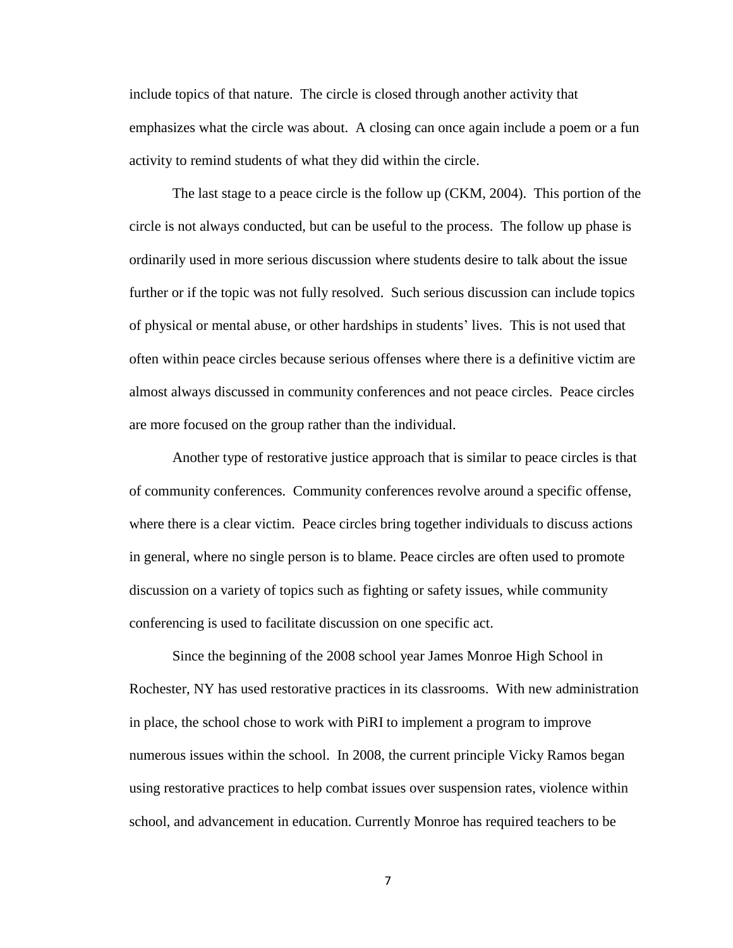include topics of that nature. The circle is closed through another activity that emphasizes what the circle was about. A closing can once again include a poem or a fun activity to remind students of what they did within the circle.

The last stage to a peace circle is the follow up (CKM, 2004). This portion of the circle is not always conducted, but can be useful to the process. The follow up phase is ordinarily used in more serious discussion where students desire to talk about the issue further or if the topic was not fully resolved. Such serious discussion can include topics of physical or mental abuse, or other hardships in students' lives. This is not used that often within peace circles because serious offenses where there is a definitive victim are almost always discussed in community conferences and not peace circles. Peace circles are more focused on the group rather than the individual.

Another type of restorative justice approach that is similar to peace circles is that of community conferences. Community conferences revolve around a specific offense, where there is a clear victim. Peace circles bring together individuals to discuss actions in general, where no single person is to blame. Peace circles are often used to promote discussion on a variety of topics such as fighting or safety issues, while community conferencing is used to facilitate discussion on one specific act.

Since the beginning of the 2008 school year James Monroe High School in Rochester, NY has used restorative practices in its classrooms. With new administration in place, the school chose to work with PiRI to implement a program to improve numerous issues within the school. In 2008, the current principle Vicky Ramos began using restorative practices to help combat issues over suspension rates, violence within school, and advancement in education. Currently Monroe has required teachers to be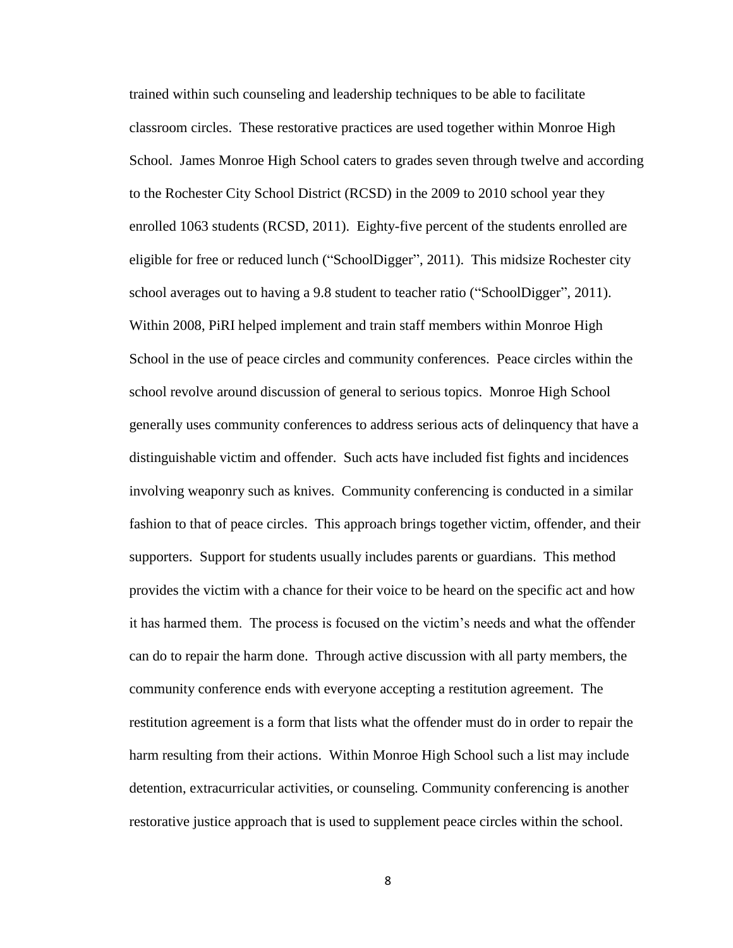trained within such counseling and leadership techniques to be able to facilitate classroom circles. These restorative practices are used together within Monroe High School. James Monroe High School caters to grades seven through twelve and according to the Rochester City School District (RCSD) in the 2009 to 2010 school year they enrolled 1063 students (RCSD, 2011). Eighty-five percent of the students enrolled are eligible for free or reduced lunch ("SchoolDigger", 2011). This midsize Rochester city school averages out to having a 9.8 student to teacher ratio ("SchoolDigger", 2011). Within 2008, PiRI helped implement and train staff members within Monroe High School in the use of peace circles and community conferences. Peace circles within the school revolve around discussion of general to serious topics. Monroe High School generally uses community conferences to address serious acts of delinquency that have a distinguishable victim and offender. Such acts have included fist fights and incidences involving weaponry such as knives. Community conferencing is conducted in a similar fashion to that of peace circles. This approach brings together victim, offender, and their supporters. Support for students usually includes parents or guardians. This method provides the victim with a chance for their voice to be heard on the specific act and how it has harmed them. The process is focused on the victim's needs and what the offender can do to repair the harm done. Through active discussion with all party members, the community conference ends with everyone accepting a restitution agreement. The restitution agreement is a form that lists what the offender must do in order to repair the harm resulting from their actions. Within Monroe High School such a list may include detention, extracurricular activities, or counseling. Community conferencing is another restorative justice approach that is used to supplement peace circles within the school.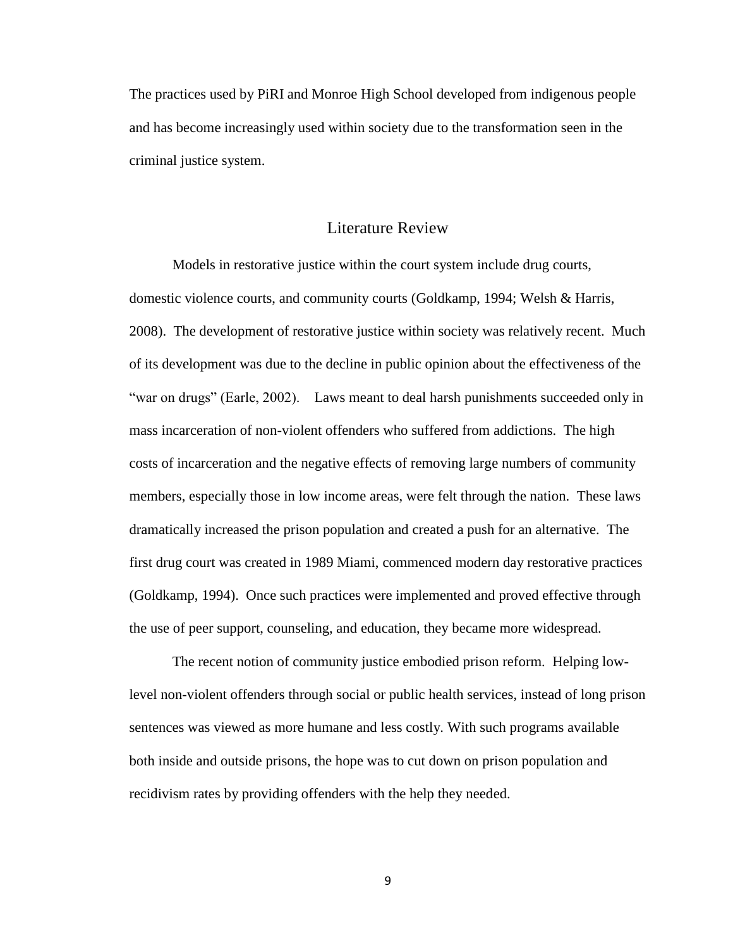The practices used by PiRI and Monroe High School developed from indigenous people and has become increasingly used within society due to the transformation seen in the criminal justice system.

#### Literature Review

Models in restorative justice within the court system include drug courts, domestic violence courts, and community courts (Goldkamp, 1994; Welsh & Harris, 2008). The development of restorative justice within society was relatively recent. Much of its development was due to the decline in public opinion about the effectiveness of the "war on drugs" (Earle, 2002). Laws meant to deal harsh punishments succeeded only in mass incarceration of non-violent offenders who suffered from addictions. The high costs of incarceration and the negative effects of removing large numbers of community members, especially those in low income areas, were felt through the nation. These laws dramatically increased the prison population and created a push for an alternative. The first drug court was created in 1989 Miami, commenced modern day restorative practices (Goldkamp, 1994). Once such practices were implemented and proved effective through the use of peer support, counseling, and education, they became more widespread.

The recent notion of community justice embodied prison reform. Helping lowlevel non-violent offenders through social or public health services, instead of long prison sentences was viewed as more humane and less costly. With such programs available both inside and outside prisons, the hope was to cut down on prison population and recidivism rates by providing offenders with the help they needed.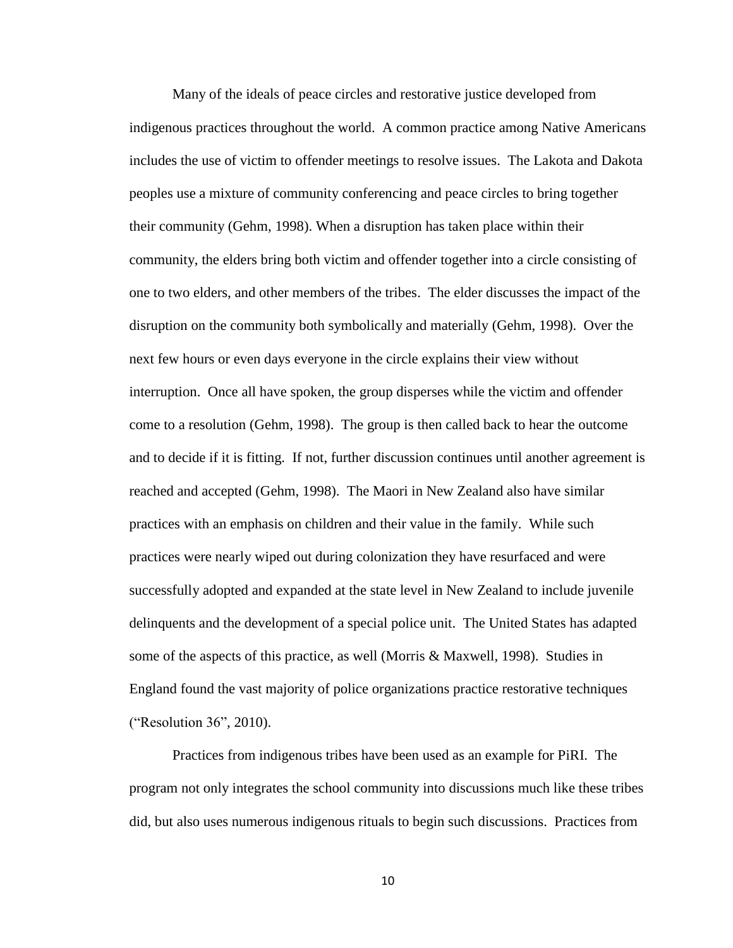Many of the ideals of peace circles and restorative justice developed from indigenous practices throughout the world. A common practice among Native Americans includes the use of victim to offender meetings to resolve issues. The Lakota and Dakota peoples use a mixture of community conferencing and peace circles to bring together their community (Gehm, 1998). When a disruption has taken place within their community, the elders bring both victim and offender together into a circle consisting of one to two elders, and other members of the tribes. The elder discusses the impact of the disruption on the community both symbolically and materially (Gehm, 1998). Over the next few hours or even days everyone in the circle explains their view without interruption. Once all have spoken, the group disperses while the victim and offender come to a resolution (Gehm, 1998). The group is then called back to hear the outcome and to decide if it is fitting. If not, further discussion continues until another agreement is reached and accepted (Gehm, 1998). The Maori in New Zealand also have similar practices with an emphasis on children and their value in the family. While such practices were nearly wiped out during colonization they have resurfaced and were successfully adopted and expanded at the state level in New Zealand to include juvenile delinquents and the development of a special police unit. The United States has adapted some of the aspects of this practice, as well (Morris & Maxwell, 1998). Studies in England found the vast majority of police organizations practice restorative techniques ("Resolution 36", 2010).

Practices from indigenous tribes have been used as an example for PiRI. The program not only integrates the school community into discussions much like these tribes did, but also uses numerous indigenous rituals to begin such discussions. Practices from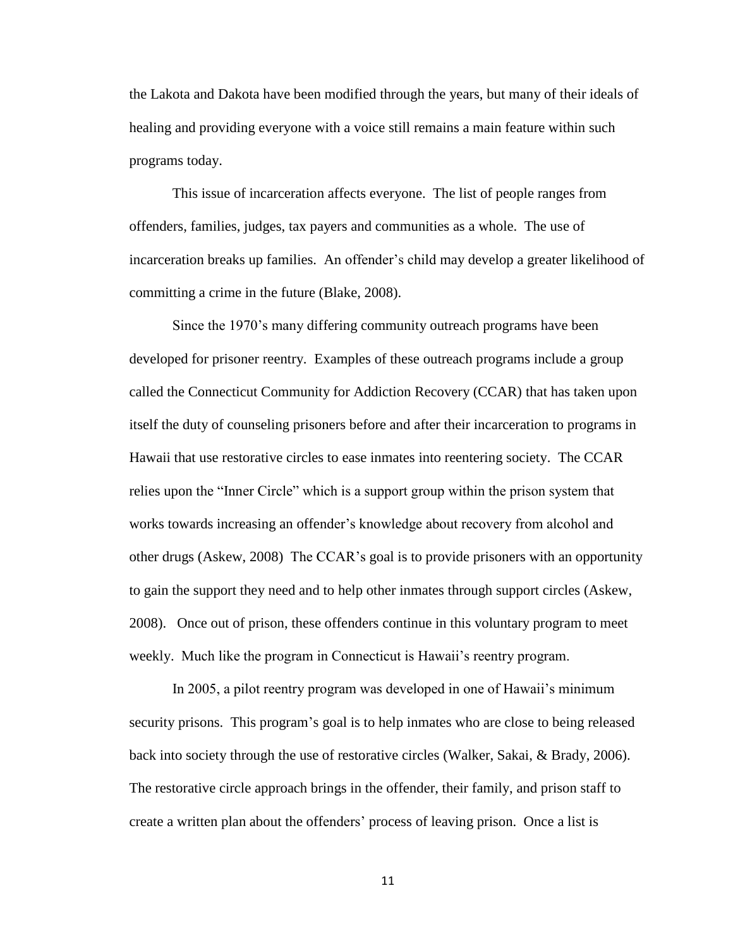the Lakota and Dakota have been modified through the years, but many of their ideals of healing and providing everyone with a voice still remains a main feature within such programs today.

This issue of incarceration affects everyone. The list of people ranges from offenders, families, judges, tax payers and communities as a whole. The use of incarceration breaks up families. An offender's child may develop a greater likelihood of committing a crime in the future (Blake, 2008).

Since the 1970's many differing community outreach programs have been developed for prisoner reentry. Examples of these outreach programs include a group called the Connecticut Community for Addiction Recovery (CCAR) that has taken upon itself the duty of counseling prisoners before and after their incarceration to programs in Hawaii that use restorative circles to ease inmates into reentering society. The CCAR relies upon the "Inner Circle" which is a support group within the prison system that works towards increasing an offender's knowledge about recovery from alcohol and other drugs (Askew, 2008) The CCAR's goal is to provide prisoners with an opportunity to gain the support they need and to help other inmates through support circles (Askew, 2008). Once out of prison, these offenders continue in this voluntary program to meet weekly. Much like the program in Connecticut is Hawaii's reentry program.

In 2005, a pilot reentry program was developed in one of Hawaii's minimum security prisons. This program's goal is to help inmates who are close to being released back into society through the use of restorative circles (Walker, Sakai, & Brady, 2006). The restorative circle approach brings in the offender, their family, and prison staff to create a written plan about the offenders' process of leaving prison. Once a list is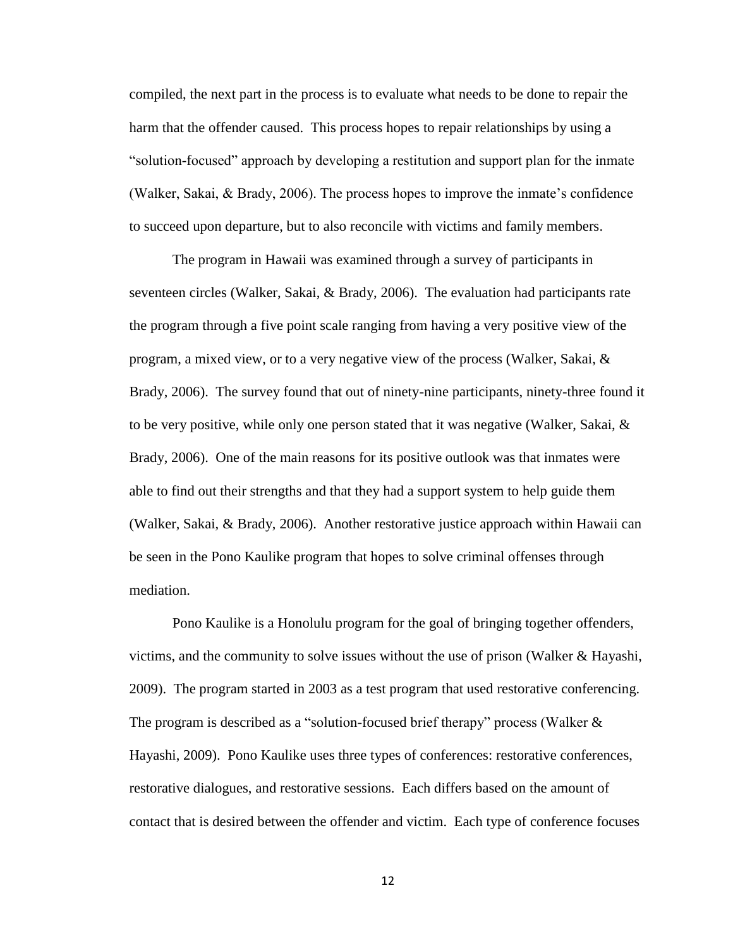compiled, the next part in the process is to evaluate what needs to be done to repair the harm that the offender caused. This process hopes to repair relationships by using a "solution-focused" approach by developing a restitution and support plan for the inmate (Walker, Sakai, & Brady, 2006). The process hopes to improve the inmate's confidence to succeed upon departure, but to also reconcile with victims and family members.

The program in Hawaii was examined through a survey of participants in seventeen circles (Walker, Sakai, & Brady, 2006). The evaluation had participants rate the program through a five point scale ranging from having a very positive view of the program, a mixed view, or to a very negative view of the process (Walker, Sakai, & Brady, 2006). The survey found that out of ninety-nine participants, ninety-three found it to be very positive, while only one person stated that it was negative (Walker, Sakai,  $\&$ Brady, 2006). One of the main reasons for its positive outlook was that inmates were able to find out their strengths and that they had a support system to help guide them (Walker, Sakai, & Brady, 2006). Another restorative justice approach within Hawaii can be seen in the Pono Kaulike program that hopes to solve criminal offenses through mediation.

Pono Kaulike is a Honolulu program for the goal of bringing together offenders, victims, and the community to solve issues without the use of prison (Walker  $\&$  Hayashi, 2009). The program started in 2003 as a test program that used restorative conferencing. The program is described as a "solution-focused brief therapy" process (Walker & Hayashi, 2009). Pono Kaulike uses three types of conferences: restorative conferences, restorative dialogues, and restorative sessions. Each differs based on the amount of contact that is desired between the offender and victim. Each type of conference focuses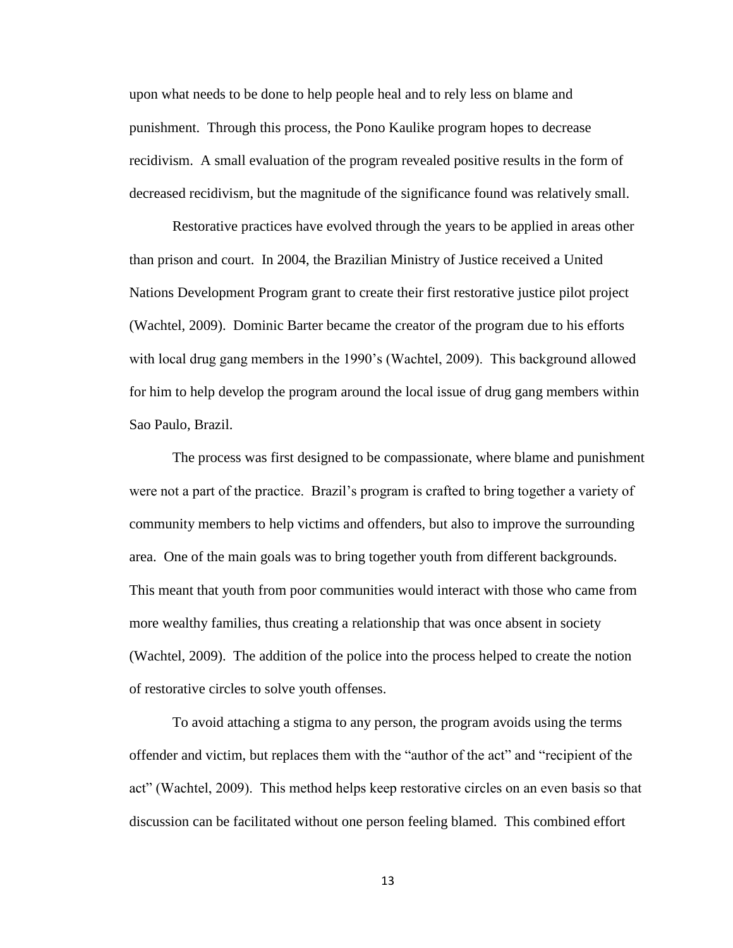upon what needs to be done to help people heal and to rely less on blame and punishment. Through this process, the Pono Kaulike program hopes to decrease recidivism. A small evaluation of the program revealed positive results in the form of decreased recidivism, but the magnitude of the significance found was relatively small.

Restorative practices have evolved through the years to be applied in areas other than prison and court. In 2004, the Brazilian Ministry of Justice received a United Nations Development Program grant to create their first restorative justice pilot project (Wachtel, 2009). Dominic Barter became the creator of the program due to his efforts with local drug gang members in the 1990's (Wachtel, 2009). This background allowed for him to help develop the program around the local issue of drug gang members within Sao Paulo, Brazil.

The process was first designed to be compassionate, where blame and punishment were not a part of the practice. Brazil's program is crafted to bring together a variety of community members to help victims and offenders, but also to improve the surrounding area. One of the main goals was to bring together youth from different backgrounds. This meant that youth from poor communities would interact with those who came from more wealthy families, thus creating a relationship that was once absent in society (Wachtel, 2009). The addition of the police into the process helped to create the notion of restorative circles to solve youth offenses.

To avoid attaching a stigma to any person, the program avoids using the terms offender and victim, but replaces them with the "author of the act" and "recipient of the act" (Wachtel, 2009). This method helps keep restorative circles on an even basis so that discussion can be facilitated without one person feeling blamed. This combined effort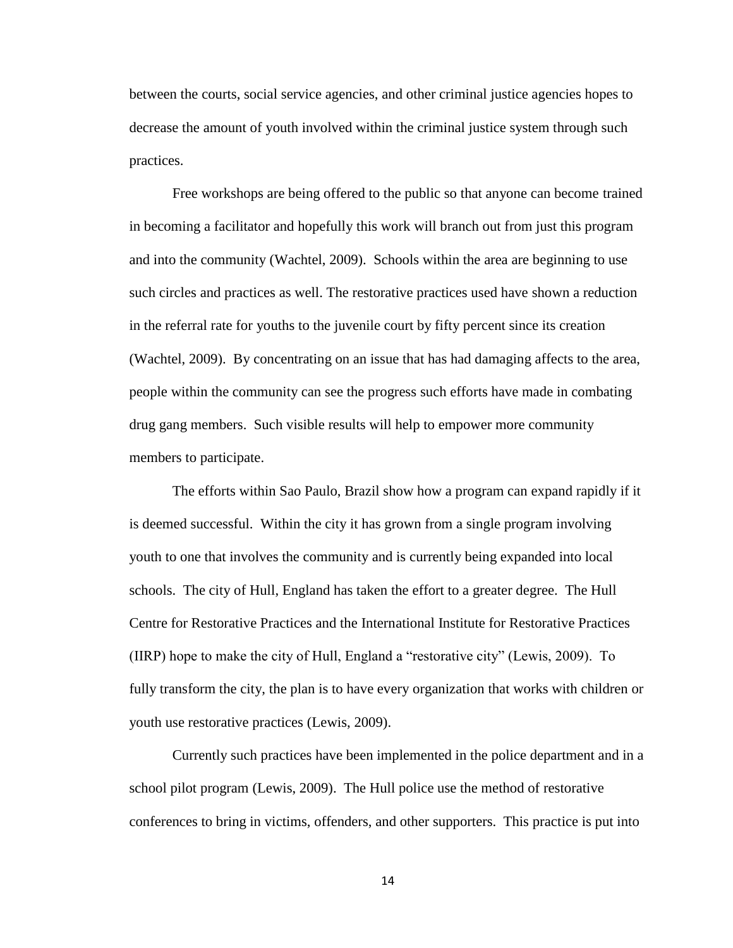between the courts, social service agencies, and other criminal justice agencies hopes to decrease the amount of youth involved within the criminal justice system through such practices.

Free workshops are being offered to the public so that anyone can become trained in becoming a facilitator and hopefully this work will branch out from just this program and into the community (Wachtel, 2009). Schools within the area are beginning to use such circles and practices as well. The restorative practices used have shown a reduction in the referral rate for youths to the juvenile court by fifty percent since its creation (Wachtel, 2009). By concentrating on an issue that has had damaging affects to the area, people within the community can see the progress such efforts have made in combating drug gang members. Such visible results will help to empower more community members to participate.

The efforts within Sao Paulo, Brazil show how a program can expand rapidly if it is deemed successful. Within the city it has grown from a single program involving youth to one that involves the community and is currently being expanded into local schools. The city of Hull, England has taken the effort to a greater degree. The Hull Centre for Restorative Practices and the International Institute for Restorative Practices (IIRP) hope to make the city of Hull, England a "restorative city" (Lewis, 2009). To fully transform the city, the plan is to have every organization that works with children or youth use restorative practices (Lewis, 2009).

Currently such practices have been implemented in the police department and in a school pilot program (Lewis, 2009). The Hull police use the method of restorative conferences to bring in victims, offenders, and other supporters. This practice is put into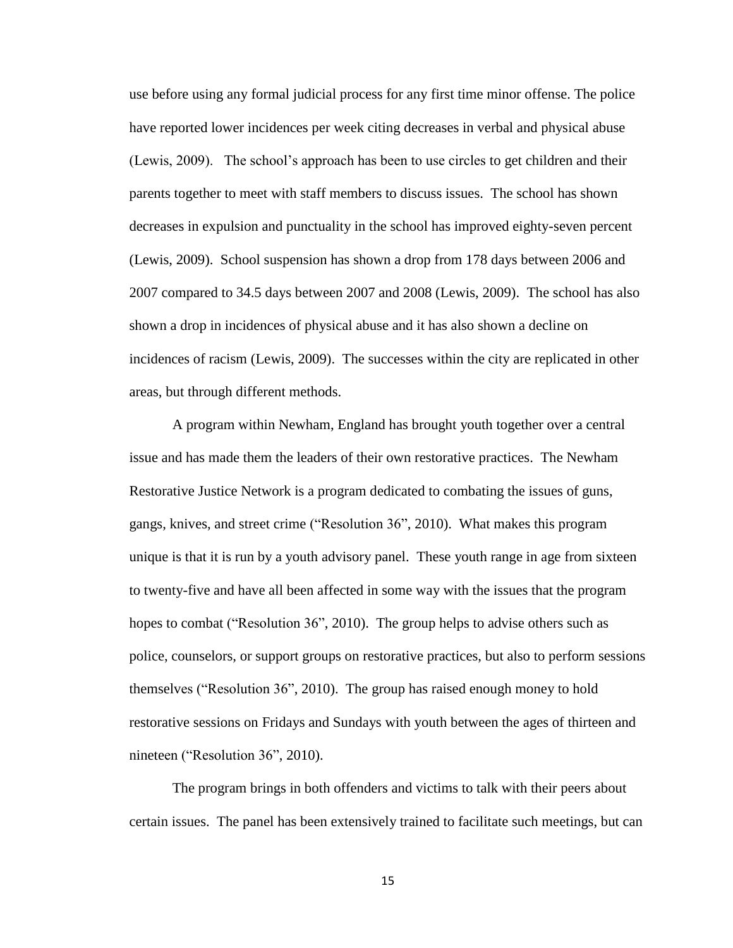use before using any formal judicial process for any first time minor offense. The police have reported lower incidences per week citing decreases in verbal and physical abuse (Lewis, 2009). The school's approach has been to use circles to get children and their parents together to meet with staff members to discuss issues. The school has shown decreases in expulsion and punctuality in the school has improved eighty-seven percent (Lewis, 2009). School suspension has shown a drop from 178 days between 2006 and 2007 compared to 34.5 days between 2007 and 2008 (Lewis, 2009). The school has also shown a drop in incidences of physical abuse and it has also shown a decline on incidences of racism (Lewis, 2009). The successes within the city are replicated in other areas, but through different methods.

A program within Newham, England has brought youth together over a central issue and has made them the leaders of their own restorative practices. The Newham Restorative Justice Network is a program dedicated to combating the issues of guns, gangs, knives, and street crime ("Resolution 36", 2010). What makes this program unique is that it is run by a youth advisory panel. These youth range in age from sixteen to twenty-five and have all been affected in some way with the issues that the program hopes to combat ("Resolution 36", 2010). The group helps to advise others such as police, counselors, or support groups on restorative practices, but also to perform sessions themselves ("Resolution 36", 2010). The group has raised enough money to hold restorative sessions on Fridays and Sundays with youth between the ages of thirteen and nineteen ("Resolution 36", 2010).

The program brings in both offenders and victims to talk with their peers about certain issues. The panel has been extensively trained to facilitate such meetings, but can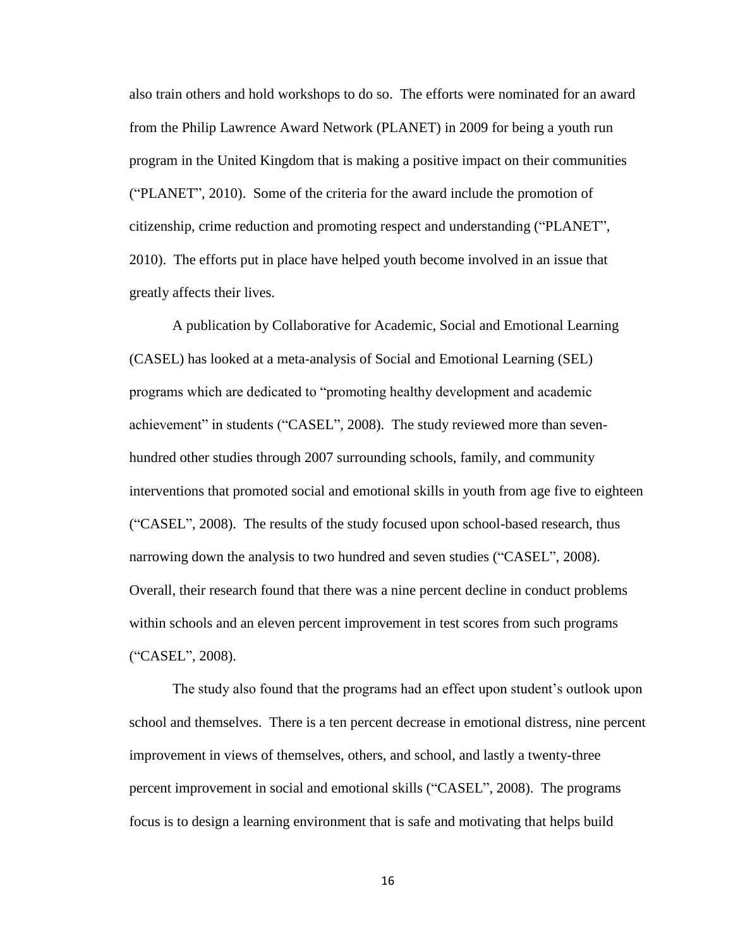also train others and hold workshops to do so. The efforts were nominated for an award from the Philip Lawrence Award Network (PLANET) in 2009 for being a youth run program in the United Kingdom that is making a positive impact on their communities ("PLANET", 2010). Some of the criteria for the award include the promotion of citizenship, crime reduction and promoting respect and understanding ("PLANET", 2010). The efforts put in place have helped youth become involved in an issue that greatly affects their lives.

A publication by Collaborative for Academic, Social and Emotional Learning (CASEL) has looked at a meta-analysis of Social and Emotional Learning (SEL) programs which are dedicated to "promoting healthy development and academic achievement" in students ("CASEL", 2008). The study reviewed more than sevenhundred other studies through 2007 surrounding schools, family, and community interventions that promoted social and emotional skills in youth from age five to eighteen ("CASEL", 2008). The results of the study focused upon school-based research, thus narrowing down the analysis to two hundred and seven studies ("CASEL", 2008). Overall, their research found that there was a nine percent decline in conduct problems within schools and an eleven percent improvement in test scores from such programs ("CASEL", 2008).

The study also found that the programs had an effect upon student's outlook upon school and themselves. There is a ten percent decrease in emotional distress, nine percent improvement in views of themselves, others, and school, and lastly a twenty-three percent improvement in social and emotional skills ("CASEL", 2008). The programs focus is to design a learning environment that is safe and motivating that helps build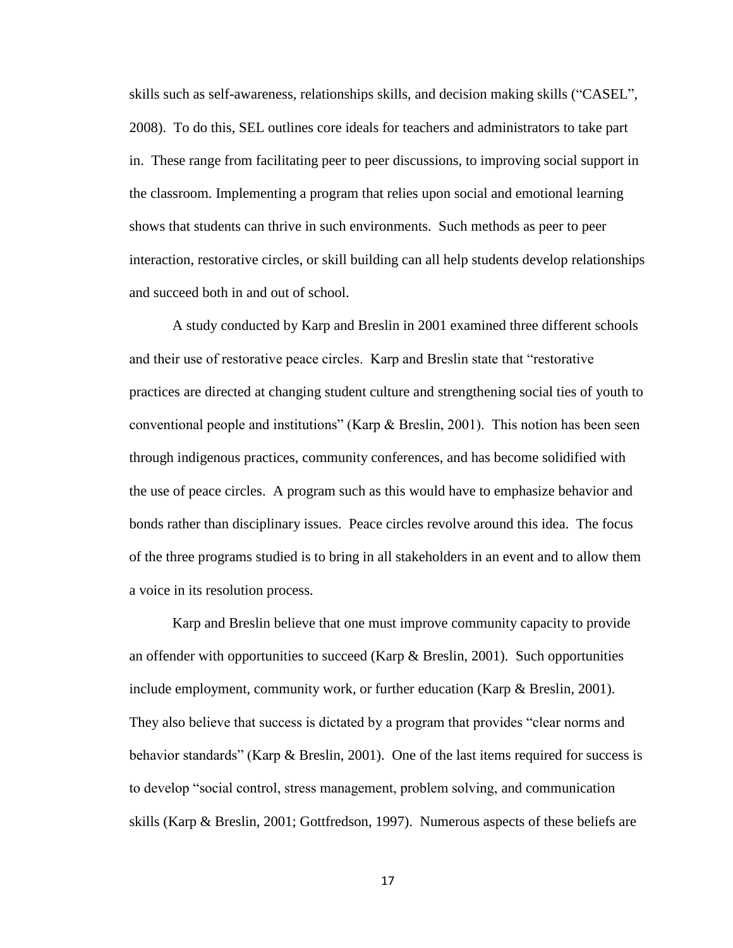skills such as self-awareness, relationships skills, and decision making skills ("CASEL", 2008). To do this, SEL outlines core ideals for teachers and administrators to take part in. These range from facilitating peer to peer discussions, to improving social support in the classroom. Implementing a program that relies upon social and emotional learning shows that students can thrive in such environments. Such methods as peer to peer interaction, restorative circles, or skill building can all help students develop relationships and succeed both in and out of school.

A study conducted by Karp and Breslin in 2001 examined three different schools and their use of restorative peace circles. Karp and Breslin state that "restorative practices are directed at changing student culture and strengthening social ties of youth to conventional people and institutions" (Karp & Breslin, 2001). This notion has been seen through indigenous practices, community conferences, and has become solidified with the use of peace circles. A program such as this would have to emphasize behavior and bonds rather than disciplinary issues. Peace circles revolve around this idea. The focus of the three programs studied is to bring in all stakeholders in an event and to allow them a voice in its resolution process.

Karp and Breslin believe that one must improve community capacity to provide an offender with opportunities to succeed (Karp  $\&$  Breslin, 2001). Such opportunities include employment, community work, or further education (Karp & Breslin, 2001). They also believe that success is dictated by a program that provides "clear norms and behavior standards" (Karp & Breslin, 2001). One of the last items required for success is to develop "social control, stress management, problem solving, and communication skills (Karp & Breslin, 2001; Gottfredson, 1997). Numerous aspects of these beliefs are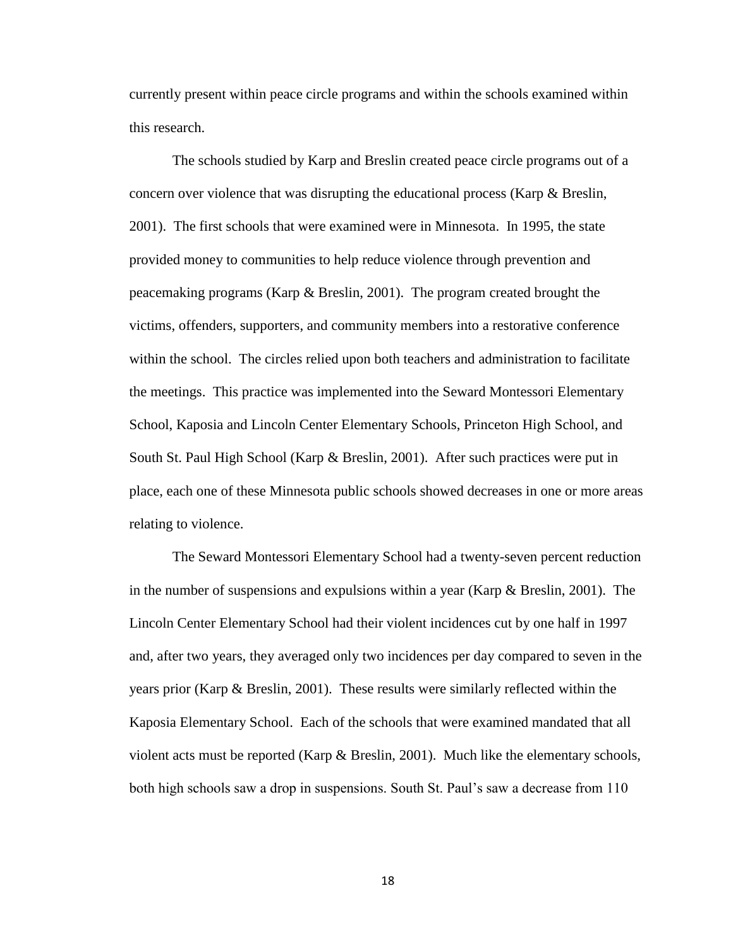currently present within peace circle programs and within the schools examined within this research.

The schools studied by Karp and Breslin created peace circle programs out of a concern over violence that was disrupting the educational process (Karp & Breslin, 2001). The first schools that were examined were in Minnesota. In 1995, the state provided money to communities to help reduce violence through prevention and peacemaking programs (Karp & Breslin, 2001). The program created brought the victims, offenders, supporters, and community members into a restorative conference within the school. The circles relied upon both teachers and administration to facilitate the meetings. This practice was implemented into the Seward Montessori Elementary School, Kaposia and Lincoln Center Elementary Schools, Princeton High School, and South St. Paul High School (Karp & Breslin, 2001). After such practices were put in place, each one of these Minnesota public schools showed decreases in one or more areas relating to violence.

The Seward Montessori Elementary School had a twenty-seven percent reduction in the number of suspensions and expulsions within a year (Karp  $\&$  Breslin, 2001). The Lincoln Center Elementary School had their violent incidences cut by one half in 1997 and, after two years, they averaged only two incidences per day compared to seven in the years prior (Karp & Breslin, 2001). These results were similarly reflected within the Kaposia Elementary School. Each of the schools that were examined mandated that all violent acts must be reported (Karp & Breslin, 2001). Much like the elementary schools, both high schools saw a drop in suspensions. South St. Paul's saw a decrease from 110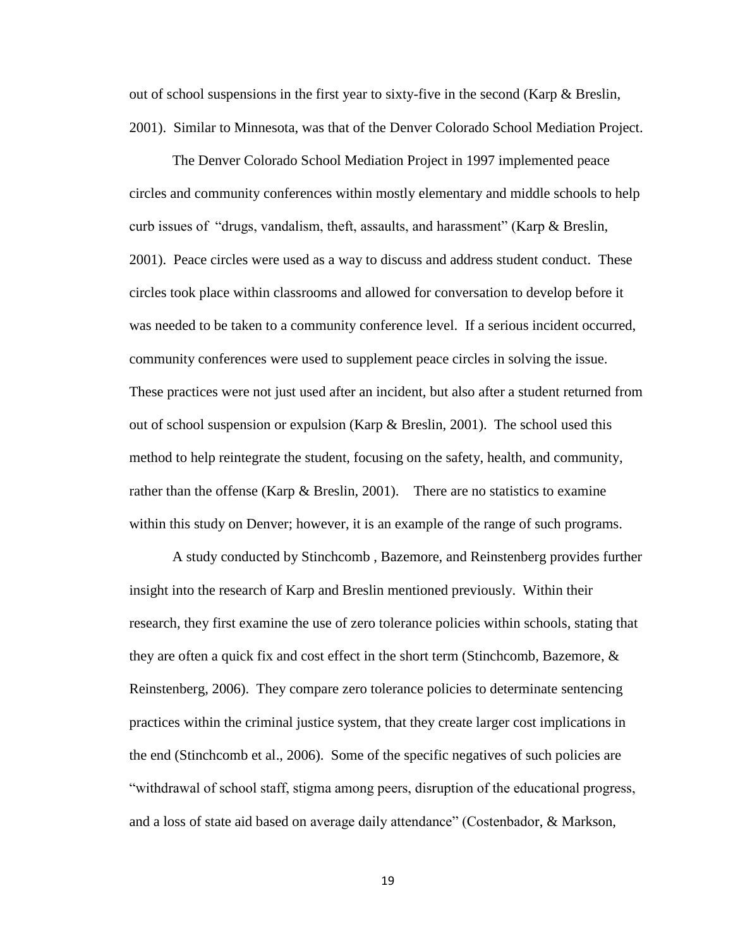out of school suspensions in the first year to sixty-five in the second (Karp & Breslin, 2001). Similar to Minnesota, was that of the Denver Colorado School Mediation Project.

The Denver Colorado School Mediation Project in 1997 implemented peace circles and community conferences within mostly elementary and middle schools to help curb issues of "drugs, vandalism, theft, assaults, and harassment" (Karp & Breslin, 2001). Peace circles were used as a way to discuss and address student conduct. These circles took place within classrooms and allowed for conversation to develop before it was needed to be taken to a community conference level. If a serious incident occurred, community conferences were used to supplement peace circles in solving the issue. These practices were not just used after an incident, but also after a student returned from out of school suspension or expulsion (Karp & Breslin, 2001). The school used this method to help reintegrate the student, focusing on the safety, health, and community, rather than the offense (Karp & Breslin, 2001). There are no statistics to examine within this study on Denver; however, it is an example of the range of such programs.

A study conducted by Stinchcomb , Bazemore, and Reinstenberg provides further insight into the research of Karp and Breslin mentioned previously. Within their research, they first examine the use of zero tolerance policies within schools, stating that they are often a quick fix and cost effect in the short term (Stinchcomb, Bazemore,  $\&$ Reinstenberg, 2006). They compare zero tolerance policies to determinate sentencing practices within the criminal justice system, that they create larger cost implications in the end (Stinchcomb et al., 2006). Some of the specific negatives of such policies are "withdrawal of school staff, stigma among peers, disruption of the educational progress, and a loss of state aid based on average daily attendance" (Costenbador, & Markson,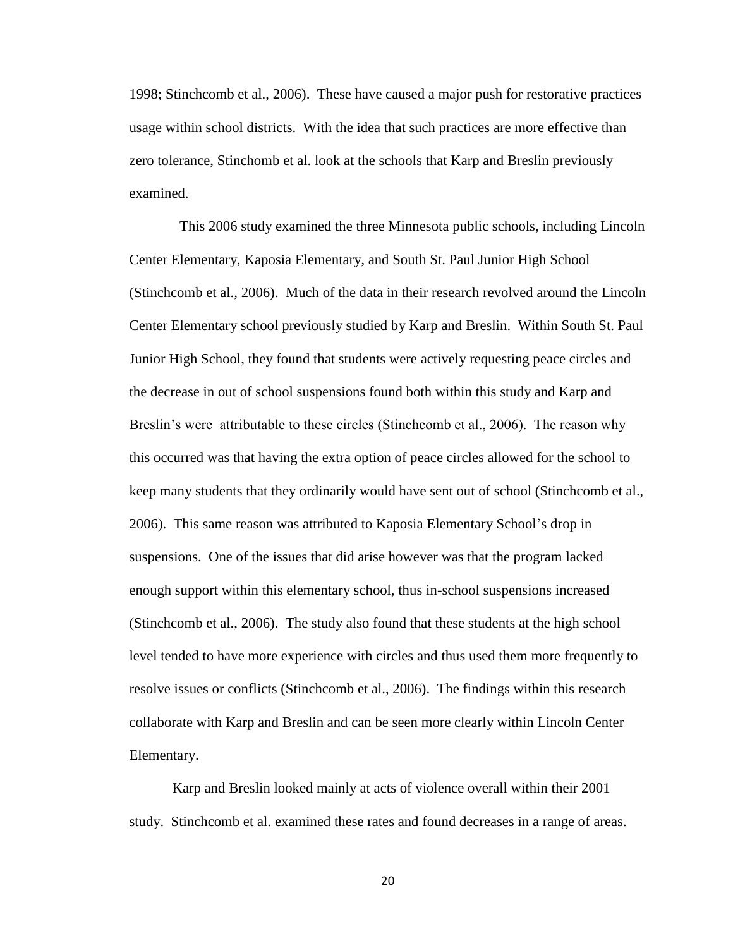1998; Stinchcomb et al., 2006). These have caused a major push for restorative practices usage within school districts. With the idea that such practices are more effective than zero tolerance, Stinchomb et al. look at the schools that Karp and Breslin previously examined.

 This 2006 study examined the three Minnesota public schools, including Lincoln Center Elementary, Kaposia Elementary, and South St. Paul Junior High School (Stinchcomb et al., 2006). Much of the data in their research revolved around the Lincoln Center Elementary school previously studied by Karp and Breslin. Within South St. Paul Junior High School, they found that students were actively requesting peace circles and the decrease in out of school suspensions found both within this study and Karp and Breslin's were attributable to these circles (Stinchcomb et al., 2006). The reason why this occurred was that having the extra option of peace circles allowed for the school to keep many students that they ordinarily would have sent out of school (Stinchcomb et al., 2006). This same reason was attributed to Kaposia Elementary School's drop in suspensions. One of the issues that did arise however was that the program lacked enough support within this elementary school, thus in-school suspensions increased (Stinchcomb et al., 2006). The study also found that these students at the high school level tended to have more experience with circles and thus used them more frequently to resolve issues or conflicts (Stinchcomb et al., 2006). The findings within this research collaborate with Karp and Breslin and can be seen more clearly within Lincoln Center Elementary.

Karp and Breslin looked mainly at acts of violence overall within their 2001 study. Stinchcomb et al. examined these rates and found decreases in a range of areas.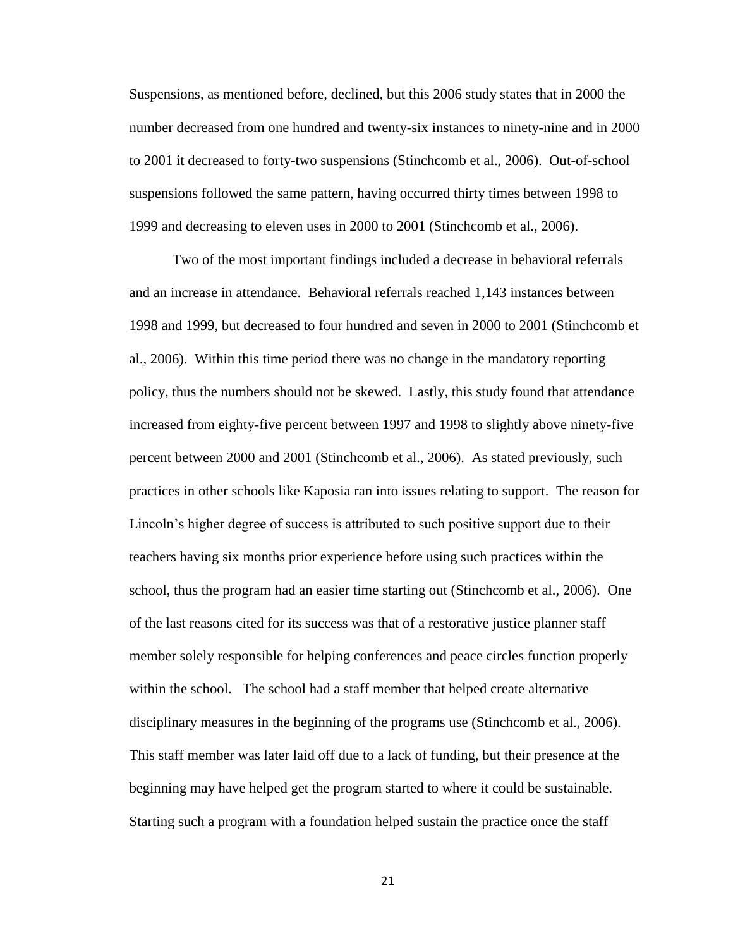Suspensions, as mentioned before, declined, but this 2006 study states that in 2000 the number decreased from one hundred and twenty-six instances to ninety-nine and in 2000 to 2001 it decreased to forty-two suspensions (Stinchcomb et al., 2006). Out-of-school suspensions followed the same pattern, having occurred thirty times between 1998 to 1999 and decreasing to eleven uses in 2000 to 2001 (Stinchcomb et al., 2006).

Two of the most important findings included a decrease in behavioral referrals and an increase in attendance. Behavioral referrals reached 1,143 instances between 1998 and 1999, but decreased to four hundred and seven in 2000 to 2001 (Stinchcomb et al., 2006). Within this time period there was no change in the mandatory reporting policy, thus the numbers should not be skewed. Lastly, this study found that attendance increased from eighty-five percent between 1997 and 1998 to slightly above ninety-five percent between 2000 and 2001 (Stinchcomb et al., 2006). As stated previously, such practices in other schools like Kaposia ran into issues relating to support. The reason for Lincoln's higher degree of success is attributed to such positive support due to their teachers having six months prior experience before using such practices within the school, thus the program had an easier time starting out (Stinchcomb et al., 2006). One of the last reasons cited for its success was that of a restorative justice planner staff member solely responsible for helping conferences and peace circles function properly within the school. The school had a staff member that helped create alternative disciplinary measures in the beginning of the programs use (Stinchcomb et al., 2006). This staff member was later laid off due to a lack of funding, but their presence at the beginning may have helped get the program started to where it could be sustainable. Starting such a program with a foundation helped sustain the practice once the staff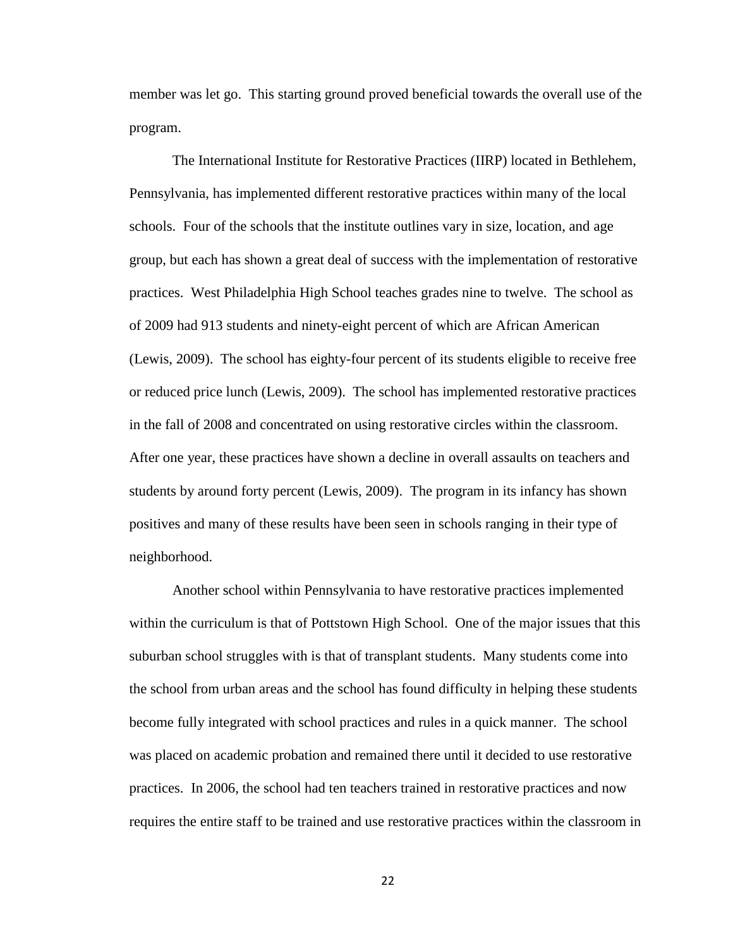member was let go. This starting ground proved beneficial towards the overall use of the program.

The International Institute for Restorative Practices (IIRP) located in Bethlehem, Pennsylvania, has implemented different restorative practices within many of the local schools. Four of the schools that the institute outlines vary in size, location, and age group, but each has shown a great deal of success with the implementation of restorative practices. West Philadelphia High School teaches grades nine to twelve. The school as of 2009 had 913 students and ninety-eight percent of which are African American (Lewis, 2009). The school has eighty-four percent of its students eligible to receive free or reduced price lunch (Lewis, 2009). The school has implemented restorative practices in the fall of 2008 and concentrated on using restorative circles within the classroom. After one year, these practices have shown a decline in overall assaults on teachers and students by around forty percent (Lewis, 2009). The program in its infancy has shown positives and many of these results have been seen in schools ranging in their type of neighborhood.

Another school within Pennsylvania to have restorative practices implemented within the curriculum is that of Pottstown High School. One of the major issues that this suburban school struggles with is that of transplant students. Many students come into the school from urban areas and the school has found difficulty in helping these students become fully integrated with school practices and rules in a quick manner. The school was placed on academic probation and remained there until it decided to use restorative practices. In 2006, the school had ten teachers trained in restorative practices and now requires the entire staff to be trained and use restorative practices within the classroom in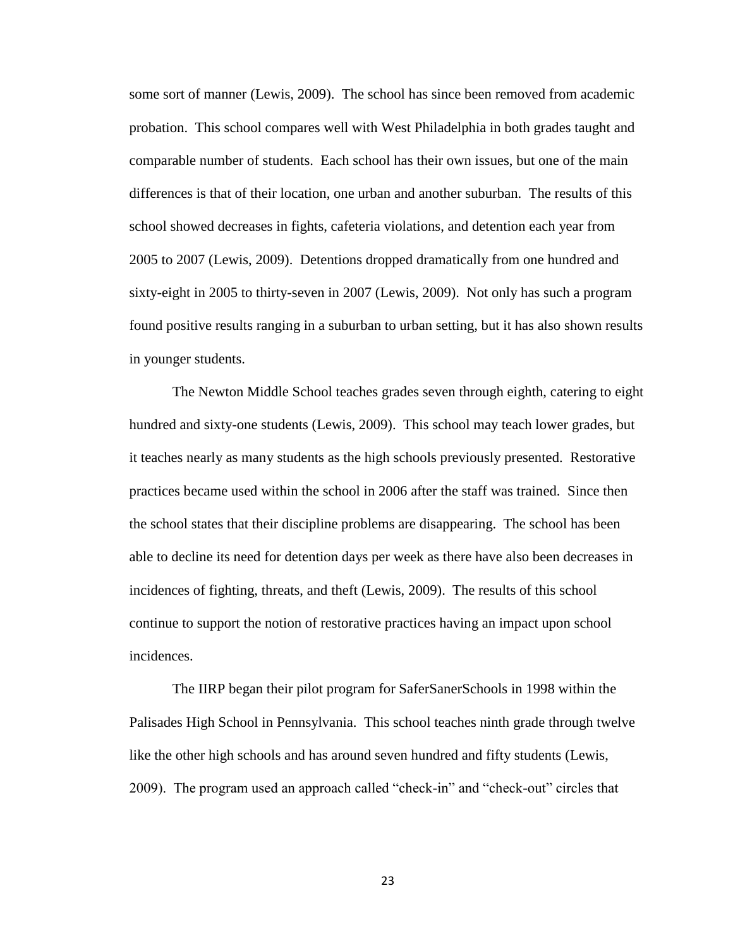some sort of manner (Lewis, 2009). The school has since been removed from academic probation. This school compares well with West Philadelphia in both grades taught and comparable number of students. Each school has their own issues, but one of the main differences is that of their location, one urban and another suburban. The results of this school showed decreases in fights, cafeteria violations, and detention each year from 2005 to 2007 (Lewis, 2009). Detentions dropped dramatically from one hundred and sixty-eight in 2005 to thirty-seven in 2007 (Lewis, 2009). Not only has such a program found positive results ranging in a suburban to urban setting, but it has also shown results in younger students.

The Newton Middle School teaches grades seven through eighth, catering to eight hundred and sixty-one students (Lewis, 2009). This school may teach lower grades, but it teaches nearly as many students as the high schools previously presented. Restorative practices became used within the school in 2006 after the staff was trained. Since then the school states that their discipline problems are disappearing. The school has been able to decline its need for detention days per week as there have also been decreases in incidences of fighting, threats, and theft (Lewis, 2009). The results of this school continue to support the notion of restorative practices having an impact upon school incidences.

The IIRP began their pilot program for SaferSanerSchools in 1998 within the Palisades High School in Pennsylvania. This school teaches ninth grade through twelve like the other high schools and has around seven hundred and fifty students (Lewis, 2009). The program used an approach called "check-in" and "check-out" circles that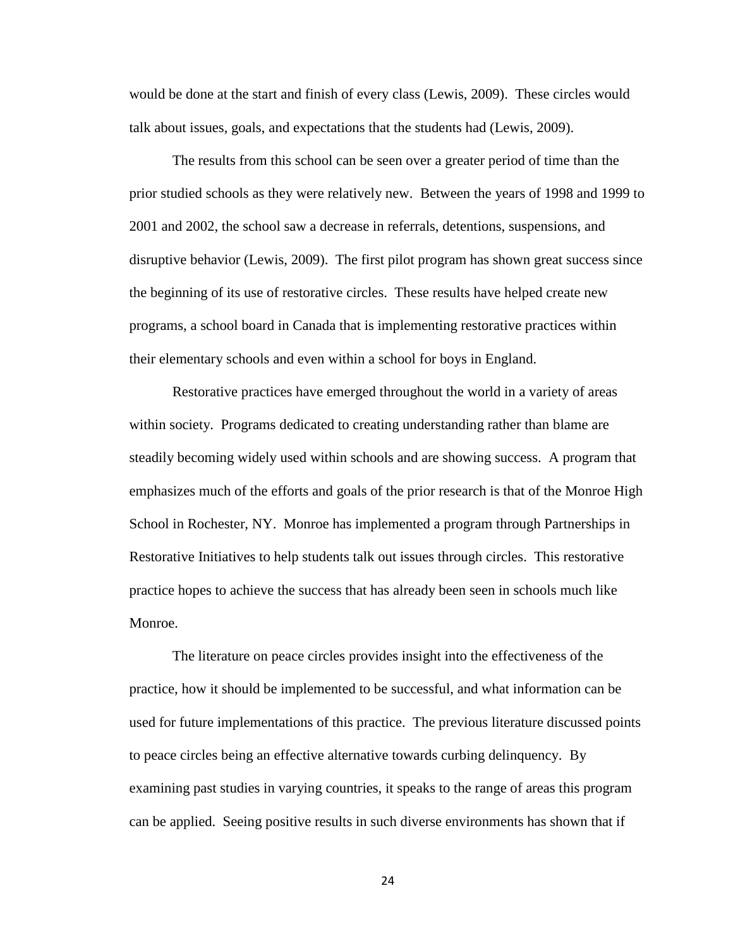would be done at the start and finish of every class (Lewis, 2009). These circles would talk about issues, goals, and expectations that the students had (Lewis, 2009).

The results from this school can be seen over a greater period of time than the prior studied schools as they were relatively new. Between the years of 1998 and 1999 to 2001 and 2002, the school saw a decrease in referrals, detentions, suspensions, and disruptive behavior (Lewis, 2009). The first pilot program has shown great success since the beginning of its use of restorative circles. These results have helped create new programs, a school board in Canada that is implementing restorative practices within their elementary schools and even within a school for boys in England.

Restorative practices have emerged throughout the world in a variety of areas within society. Programs dedicated to creating understanding rather than blame are steadily becoming widely used within schools and are showing success. A program that emphasizes much of the efforts and goals of the prior research is that of the Monroe High School in Rochester, NY. Monroe has implemented a program through Partnerships in Restorative Initiatives to help students talk out issues through circles. This restorative practice hopes to achieve the success that has already been seen in schools much like Monroe.

The literature on peace circles provides insight into the effectiveness of the practice, how it should be implemented to be successful, and what information can be used for future implementations of this practice. The previous literature discussed points to peace circles being an effective alternative towards curbing delinquency. By examining past studies in varying countries, it speaks to the range of areas this program can be applied. Seeing positive results in such diverse environments has shown that if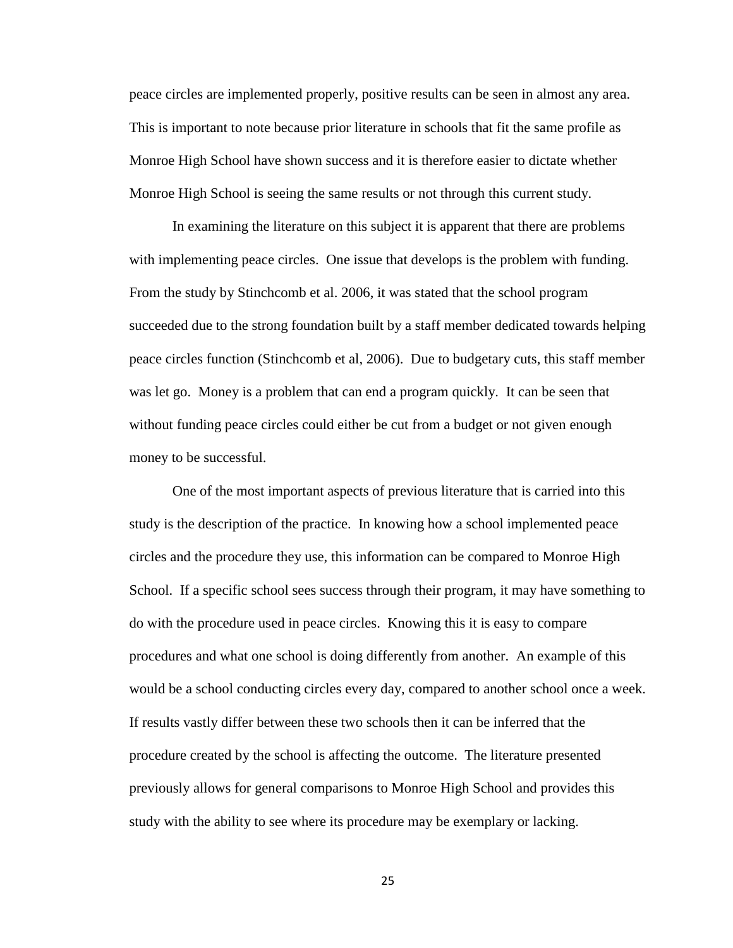peace circles are implemented properly, positive results can be seen in almost any area. This is important to note because prior literature in schools that fit the same profile as Monroe High School have shown success and it is therefore easier to dictate whether Monroe High School is seeing the same results or not through this current study.

In examining the literature on this subject it is apparent that there are problems with implementing peace circles. One issue that develops is the problem with funding. From the study by Stinchcomb et al. 2006, it was stated that the school program succeeded due to the strong foundation built by a staff member dedicated towards helping peace circles function (Stinchcomb et al, 2006). Due to budgetary cuts, this staff member was let go. Money is a problem that can end a program quickly. It can be seen that without funding peace circles could either be cut from a budget or not given enough money to be successful.

One of the most important aspects of previous literature that is carried into this study is the description of the practice. In knowing how a school implemented peace circles and the procedure they use, this information can be compared to Monroe High School. If a specific school sees success through their program, it may have something to do with the procedure used in peace circles. Knowing this it is easy to compare procedures and what one school is doing differently from another. An example of this would be a school conducting circles every day, compared to another school once a week. If results vastly differ between these two schools then it can be inferred that the procedure created by the school is affecting the outcome. The literature presented previously allows for general comparisons to Monroe High School and provides this study with the ability to see where its procedure may be exemplary or lacking.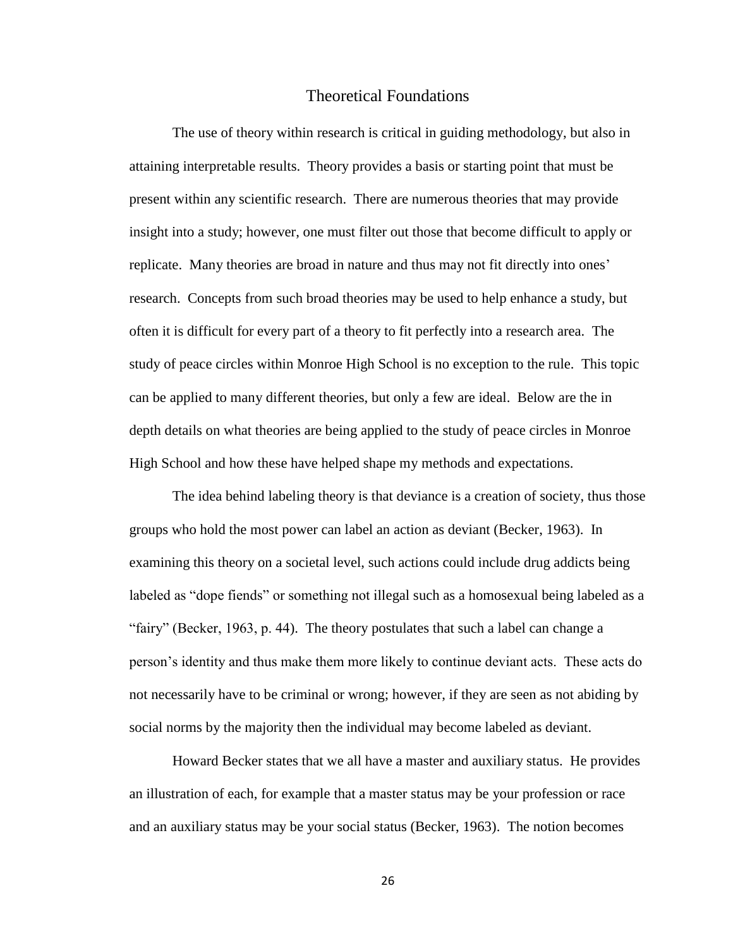# Theoretical Foundations

The use of theory within research is critical in guiding methodology, but also in attaining interpretable results. Theory provides a basis or starting point that must be present within any scientific research. There are numerous theories that may provide insight into a study; however, one must filter out those that become difficult to apply or replicate. Many theories are broad in nature and thus may not fit directly into ones' research. Concepts from such broad theories may be used to help enhance a study, but often it is difficult for every part of a theory to fit perfectly into a research area. The study of peace circles within Monroe High School is no exception to the rule. This topic can be applied to many different theories, but only a few are ideal. Below are the in depth details on what theories are being applied to the study of peace circles in Monroe High School and how these have helped shape my methods and expectations.

The idea behind labeling theory is that deviance is a creation of society, thus those groups who hold the most power can label an action as deviant (Becker, 1963). In examining this theory on a societal level, such actions could include drug addicts being labeled as "dope fiends" or something not illegal such as a homosexual being labeled as a "fairy" (Becker, 1963, p. 44). The theory postulates that such a label can change a person's identity and thus make them more likely to continue deviant acts. These acts do not necessarily have to be criminal or wrong; however, if they are seen as not abiding by social norms by the majority then the individual may become labeled as deviant.

Howard Becker states that we all have a master and auxiliary status. He provides an illustration of each, for example that a master status may be your profession or race and an auxiliary status may be your social status (Becker, 1963). The notion becomes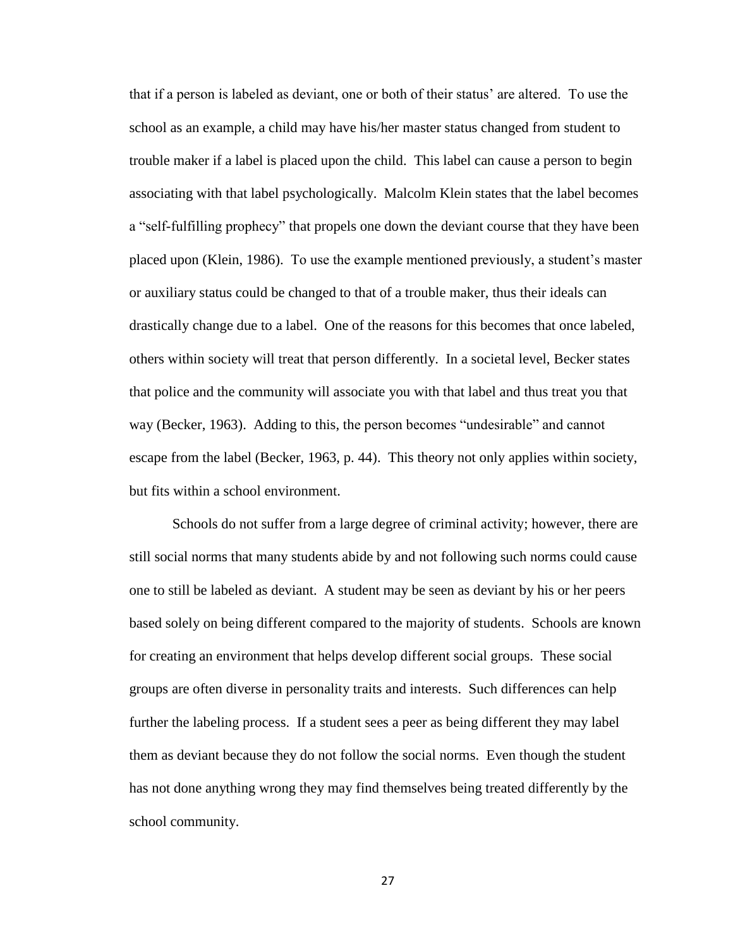that if a person is labeled as deviant, one or both of their status' are altered. To use the school as an example, a child may have his/her master status changed from student to trouble maker if a label is placed upon the child. This label can cause a person to begin associating with that label psychologically. Malcolm Klein states that the label becomes a "self-fulfilling prophecy" that propels one down the deviant course that they have been placed upon (Klein, 1986). To use the example mentioned previously, a student's master or auxiliary status could be changed to that of a trouble maker, thus their ideals can drastically change due to a label. One of the reasons for this becomes that once labeled, others within society will treat that person differently. In a societal level, Becker states that police and the community will associate you with that label and thus treat you that way (Becker, 1963). Adding to this, the person becomes "undesirable" and cannot escape from the label (Becker, 1963, p. 44). This theory not only applies within society, but fits within a school environment.

Schools do not suffer from a large degree of criminal activity; however, there are still social norms that many students abide by and not following such norms could cause one to still be labeled as deviant. A student may be seen as deviant by his or her peers based solely on being different compared to the majority of students. Schools are known for creating an environment that helps develop different social groups. These social groups are often diverse in personality traits and interests. Such differences can help further the labeling process. If a student sees a peer as being different they may label them as deviant because they do not follow the social norms. Even though the student has not done anything wrong they may find themselves being treated differently by the school community.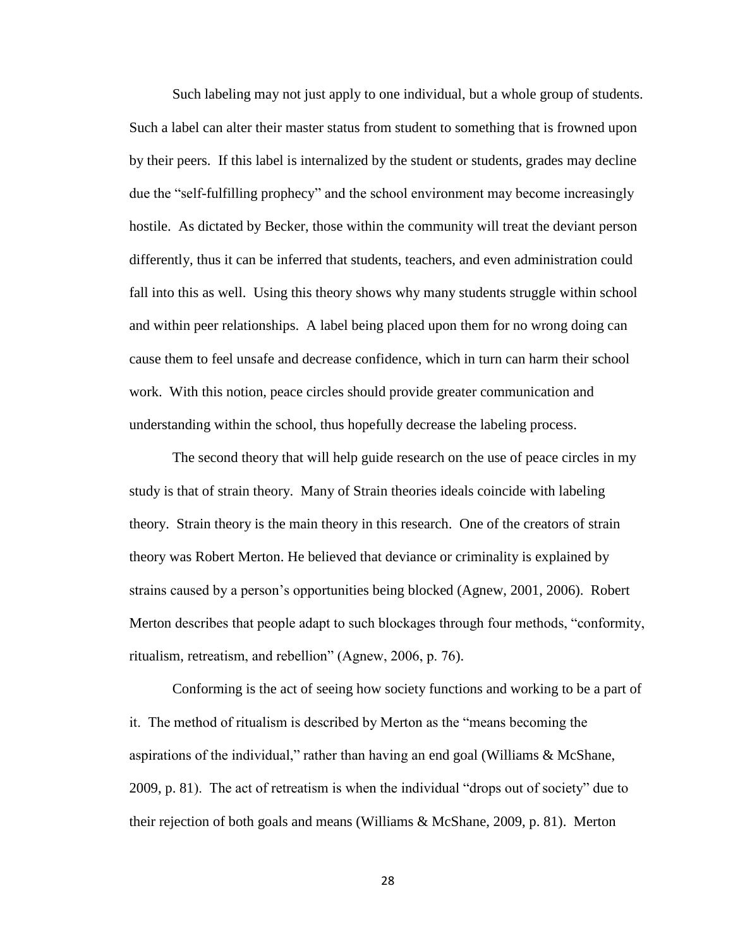Such labeling may not just apply to one individual, but a whole group of students. Such a label can alter their master status from student to something that is frowned upon by their peers. If this label is internalized by the student or students, grades may decline due the "self-fulfilling prophecy" and the school environment may become increasingly hostile. As dictated by Becker, those within the community will treat the deviant person differently, thus it can be inferred that students, teachers, and even administration could fall into this as well. Using this theory shows why many students struggle within school and within peer relationships. A label being placed upon them for no wrong doing can cause them to feel unsafe and decrease confidence, which in turn can harm their school work. With this notion, peace circles should provide greater communication and understanding within the school, thus hopefully decrease the labeling process.

The second theory that will help guide research on the use of peace circles in my study is that of strain theory. Many of Strain theories ideals coincide with labeling theory. Strain theory is the main theory in this research. One of the creators of strain theory was Robert Merton. He believed that deviance or criminality is explained by strains caused by a person's opportunities being blocked (Agnew, 2001, 2006). Robert Merton describes that people adapt to such blockages through four methods, "conformity, ritualism, retreatism, and rebellion" (Agnew, 2006, p. 76).

Conforming is the act of seeing how society functions and working to be a part of it. The method of ritualism is described by Merton as the "means becoming the aspirations of the individual," rather than having an end goal (Williams & McShane, 2009, p. 81). The act of retreatism is when the individual "drops out of society" due to their rejection of both goals and means (Williams & McShane, 2009, p. 81). Merton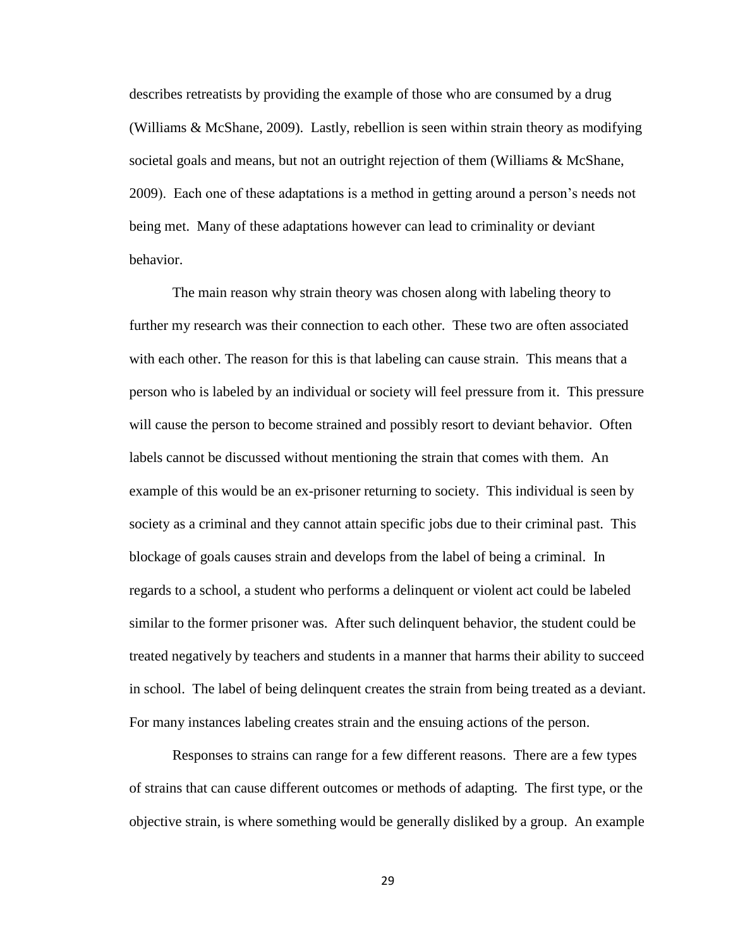describes retreatists by providing the example of those who are consumed by a drug (Williams & McShane, 2009). Lastly, rebellion is seen within strain theory as modifying societal goals and means, but not an outright rejection of them (Williams & McShane, 2009). Each one of these adaptations is a method in getting around a person's needs not being met. Many of these adaptations however can lead to criminality or deviant behavior.

The main reason why strain theory was chosen along with labeling theory to further my research was their connection to each other. These two are often associated with each other. The reason for this is that labeling can cause strain. This means that a person who is labeled by an individual or society will feel pressure from it. This pressure will cause the person to become strained and possibly resort to deviant behavior. Often labels cannot be discussed without mentioning the strain that comes with them. An example of this would be an ex-prisoner returning to society. This individual is seen by society as a criminal and they cannot attain specific jobs due to their criminal past. This blockage of goals causes strain and develops from the label of being a criminal. In regards to a school, a student who performs a delinquent or violent act could be labeled similar to the former prisoner was. After such delinquent behavior, the student could be treated negatively by teachers and students in a manner that harms their ability to succeed in school. The label of being delinquent creates the strain from being treated as a deviant. For many instances labeling creates strain and the ensuing actions of the person.

Responses to strains can range for a few different reasons. There are a few types of strains that can cause different outcomes or methods of adapting. The first type, or the objective strain, is where something would be generally disliked by a group. An example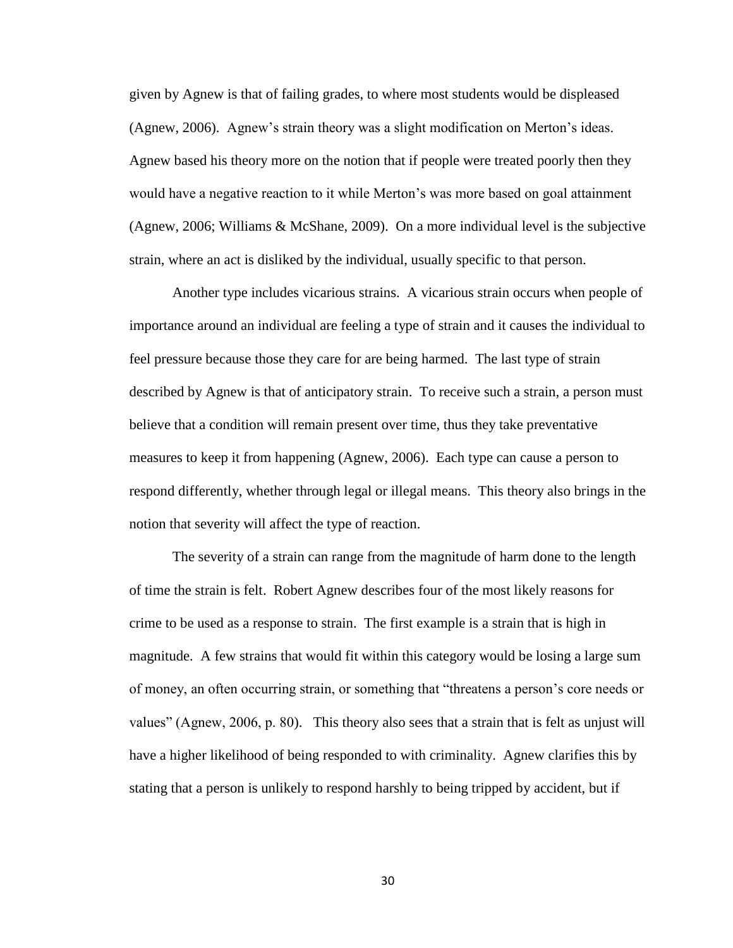given by Agnew is that of failing grades, to where most students would be displeased (Agnew, 2006). Agnew's strain theory was a slight modification on Merton's ideas. Agnew based his theory more on the notion that if people were treated poorly then they would have a negative reaction to it while Merton's was more based on goal attainment (Agnew, 2006; Williams & McShane, 2009). On a more individual level is the subjective strain, where an act is disliked by the individual, usually specific to that person.

Another type includes vicarious strains. A vicarious strain occurs when people of importance around an individual are feeling a type of strain and it causes the individual to feel pressure because those they care for are being harmed. The last type of strain described by Agnew is that of anticipatory strain. To receive such a strain, a person must believe that a condition will remain present over time, thus they take preventative measures to keep it from happening (Agnew, 2006). Each type can cause a person to respond differently, whether through legal or illegal means. This theory also brings in the notion that severity will affect the type of reaction.

The severity of a strain can range from the magnitude of harm done to the length of time the strain is felt. Robert Agnew describes four of the most likely reasons for crime to be used as a response to strain. The first example is a strain that is high in magnitude. A few strains that would fit within this category would be losing a large sum of money, an often occurring strain, or something that "threatens a person's core needs or values" (Agnew, 2006, p. 80). This theory also sees that a strain that is felt as unjust will have a higher likelihood of being responded to with criminality. Agnew clarifies this by stating that a person is unlikely to respond harshly to being tripped by accident, but if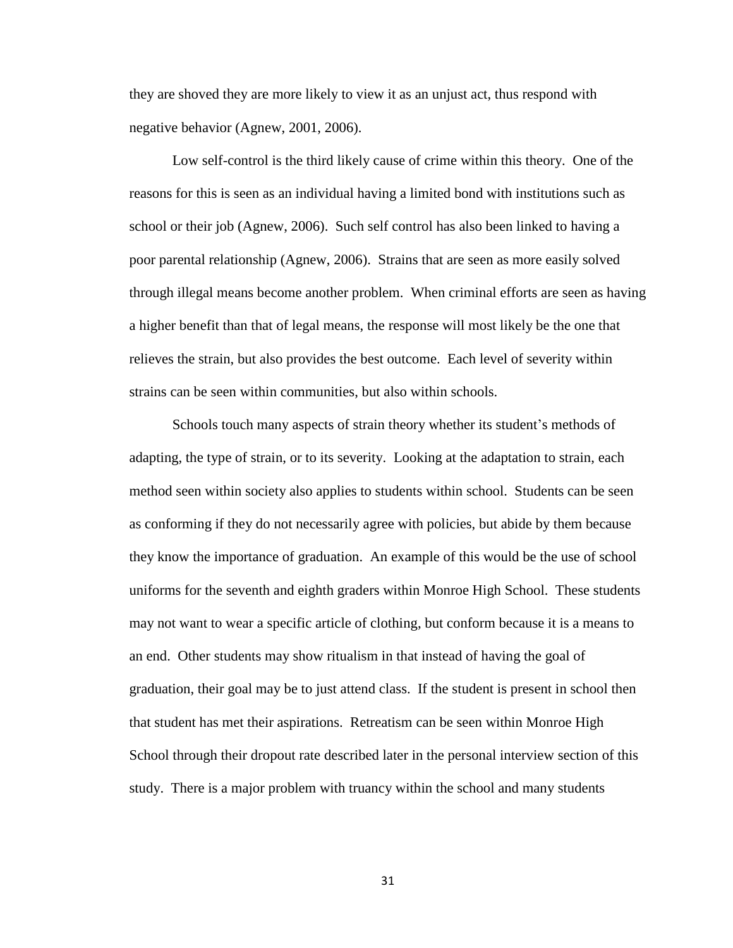they are shoved they are more likely to view it as an unjust act, thus respond with negative behavior (Agnew, 2001, 2006).

Low self-control is the third likely cause of crime within this theory. One of the reasons for this is seen as an individual having a limited bond with institutions such as school or their job (Agnew, 2006). Such self control has also been linked to having a poor parental relationship (Agnew, 2006). Strains that are seen as more easily solved through illegal means become another problem. When criminal efforts are seen as having a higher benefit than that of legal means, the response will most likely be the one that relieves the strain, but also provides the best outcome. Each level of severity within strains can be seen within communities, but also within schools.

Schools touch many aspects of strain theory whether its student's methods of adapting, the type of strain, or to its severity. Looking at the adaptation to strain, each method seen within society also applies to students within school. Students can be seen as conforming if they do not necessarily agree with policies, but abide by them because they know the importance of graduation. An example of this would be the use of school uniforms for the seventh and eighth graders within Monroe High School. These students may not want to wear a specific article of clothing, but conform because it is a means to an end. Other students may show ritualism in that instead of having the goal of graduation, their goal may be to just attend class. If the student is present in school then that student has met their aspirations. Retreatism can be seen within Monroe High School through their dropout rate described later in the personal interview section of this study. There is a major problem with truancy within the school and many students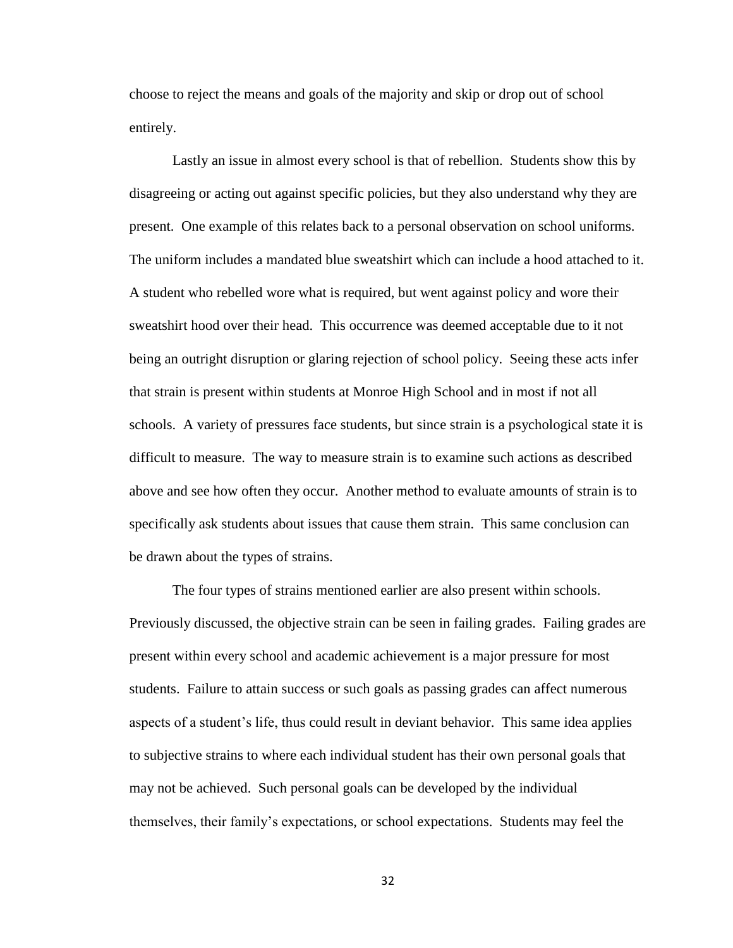choose to reject the means and goals of the majority and skip or drop out of school entirely.

Lastly an issue in almost every school is that of rebellion. Students show this by disagreeing or acting out against specific policies, but they also understand why they are present. One example of this relates back to a personal observation on school uniforms. The uniform includes a mandated blue sweatshirt which can include a hood attached to it. A student who rebelled wore what is required, but went against policy and wore their sweatshirt hood over their head. This occurrence was deemed acceptable due to it not being an outright disruption or glaring rejection of school policy. Seeing these acts infer that strain is present within students at Monroe High School and in most if not all schools. A variety of pressures face students, but since strain is a psychological state it is difficult to measure. The way to measure strain is to examine such actions as described above and see how often they occur. Another method to evaluate amounts of strain is to specifically ask students about issues that cause them strain. This same conclusion can be drawn about the types of strains.

The four types of strains mentioned earlier are also present within schools. Previously discussed, the objective strain can be seen in failing grades. Failing grades are present within every school and academic achievement is a major pressure for most students. Failure to attain success or such goals as passing grades can affect numerous aspects of a student's life, thus could result in deviant behavior. This same idea applies to subjective strains to where each individual student has their own personal goals that may not be achieved. Such personal goals can be developed by the individual themselves, their family's expectations, or school expectations. Students may feel the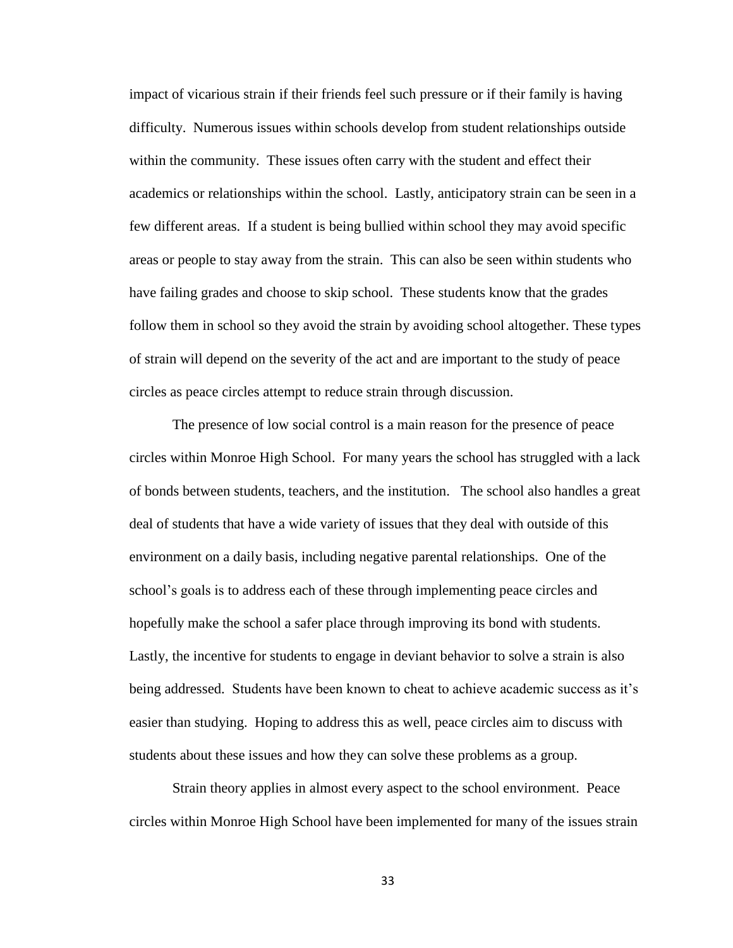impact of vicarious strain if their friends feel such pressure or if their family is having difficulty. Numerous issues within schools develop from student relationships outside within the community. These issues often carry with the student and effect their academics or relationships within the school. Lastly, anticipatory strain can be seen in a few different areas. If a student is being bullied within school they may avoid specific areas or people to stay away from the strain. This can also be seen within students who have failing grades and choose to skip school. These students know that the grades follow them in school so they avoid the strain by avoiding school altogether. These types of strain will depend on the severity of the act and are important to the study of peace circles as peace circles attempt to reduce strain through discussion.

The presence of low social control is a main reason for the presence of peace circles within Monroe High School. For many years the school has struggled with a lack of bonds between students, teachers, and the institution. The school also handles a great deal of students that have a wide variety of issues that they deal with outside of this environment on a daily basis, including negative parental relationships. One of the school's goals is to address each of these through implementing peace circles and hopefully make the school a safer place through improving its bond with students. Lastly, the incentive for students to engage in deviant behavior to solve a strain is also being addressed. Students have been known to cheat to achieve academic success as it's easier than studying. Hoping to address this as well, peace circles aim to discuss with students about these issues and how they can solve these problems as a group.

Strain theory applies in almost every aspect to the school environment. Peace circles within Monroe High School have been implemented for many of the issues strain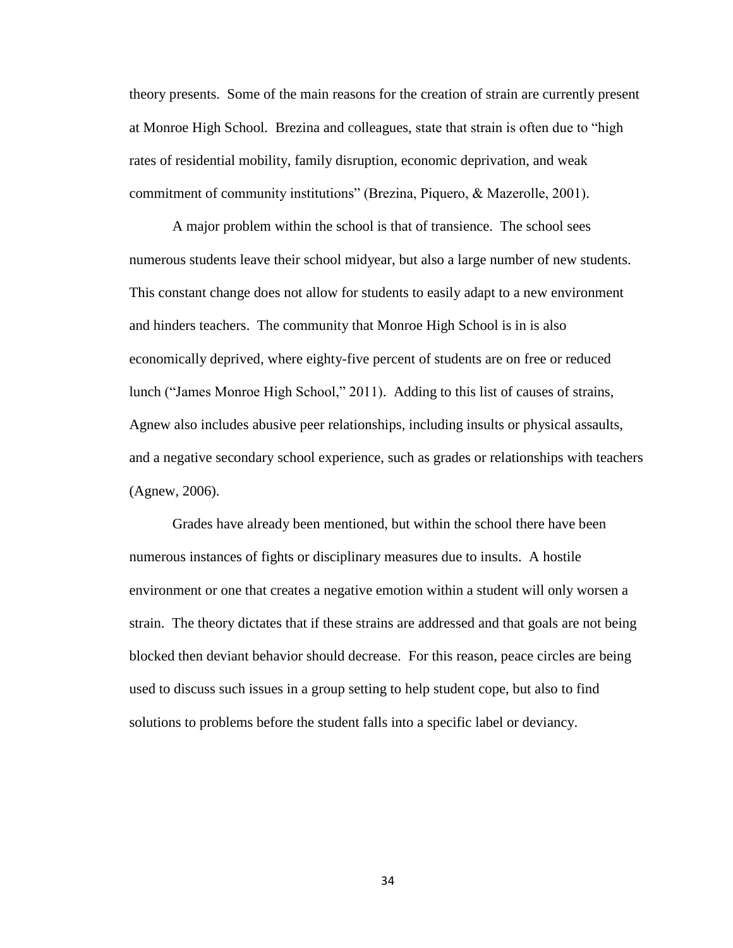theory presents. Some of the main reasons for the creation of strain are currently present at Monroe High School. Brezina and colleagues, state that strain is often due to "high rates of residential mobility, family disruption, economic deprivation, and weak commitment of community institutions" (Brezina, Piquero, & Mazerolle, 2001).

A major problem within the school is that of transience. The school sees numerous students leave their school midyear, but also a large number of new students. This constant change does not allow for students to easily adapt to a new environment and hinders teachers. The community that Monroe High School is in is also economically deprived, where eighty-five percent of students are on free or reduced lunch ("James Monroe High School," 2011). Adding to this list of causes of strains, Agnew also includes abusive peer relationships, including insults or physical assaults, and a negative secondary school experience, such as grades or relationships with teachers (Agnew, 2006).

Grades have already been mentioned, but within the school there have been numerous instances of fights or disciplinary measures due to insults. A hostile environment or one that creates a negative emotion within a student will only worsen a strain. The theory dictates that if these strains are addressed and that goals are not being blocked then deviant behavior should decrease. For this reason, peace circles are being used to discuss such issues in a group setting to help student cope, but also to find solutions to problems before the student falls into a specific label or deviancy.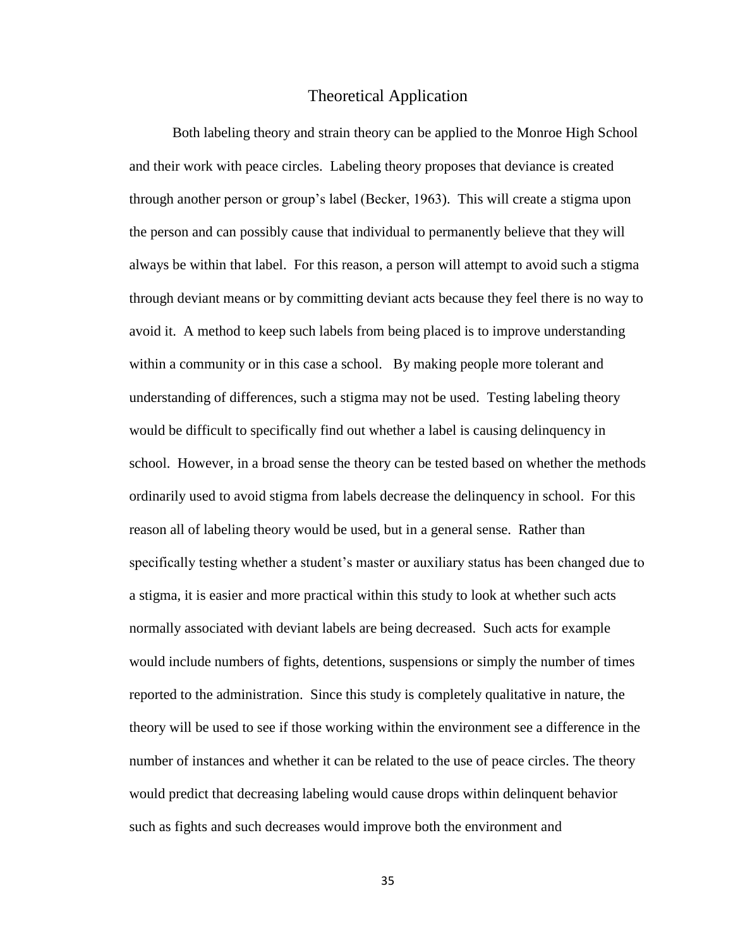# Theoretical Application

Both labeling theory and strain theory can be applied to the Monroe High School and their work with peace circles. Labeling theory proposes that deviance is created through another person or group's label (Becker, 1963). This will create a stigma upon the person and can possibly cause that individual to permanently believe that they will always be within that label. For this reason, a person will attempt to avoid such a stigma through deviant means or by committing deviant acts because they feel there is no way to avoid it. A method to keep such labels from being placed is to improve understanding within a community or in this case a school. By making people more tolerant and understanding of differences, such a stigma may not be used. Testing labeling theory would be difficult to specifically find out whether a label is causing delinquency in school. However, in a broad sense the theory can be tested based on whether the methods ordinarily used to avoid stigma from labels decrease the delinquency in school. For this reason all of labeling theory would be used, but in a general sense. Rather than specifically testing whether a student's master or auxiliary status has been changed due to a stigma, it is easier and more practical within this study to look at whether such acts normally associated with deviant labels are being decreased. Such acts for example would include numbers of fights, detentions, suspensions or simply the number of times reported to the administration. Since this study is completely qualitative in nature, the theory will be used to see if those working within the environment see a difference in the number of instances and whether it can be related to the use of peace circles. The theory would predict that decreasing labeling would cause drops within delinquent behavior such as fights and such decreases would improve both the environment and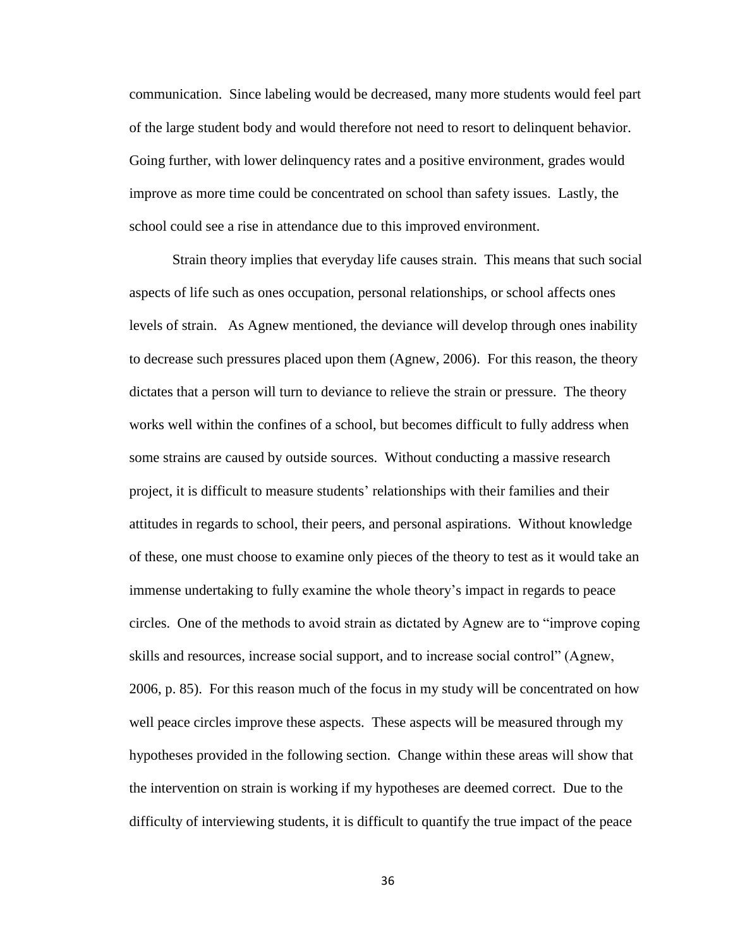communication. Since labeling would be decreased, many more students would feel part of the large student body and would therefore not need to resort to delinquent behavior. Going further, with lower delinquency rates and a positive environment, grades would improve as more time could be concentrated on school than safety issues. Lastly, the school could see a rise in attendance due to this improved environment.

Strain theory implies that everyday life causes strain. This means that such social aspects of life such as ones occupation, personal relationships, or school affects ones levels of strain. As Agnew mentioned, the deviance will develop through ones inability to decrease such pressures placed upon them (Agnew, 2006). For this reason, the theory dictates that a person will turn to deviance to relieve the strain or pressure. The theory works well within the confines of a school, but becomes difficult to fully address when some strains are caused by outside sources. Without conducting a massive research project, it is difficult to measure students' relationships with their families and their attitudes in regards to school, their peers, and personal aspirations. Without knowledge of these, one must choose to examine only pieces of the theory to test as it would take an immense undertaking to fully examine the whole theory's impact in regards to peace circles. One of the methods to avoid strain as dictated by Agnew are to "improve coping skills and resources, increase social support, and to increase social control" (Agnew, 2006, p. 85). For this reason much of the focus in my study will be concentrated on how well peace circles improve these aspects. These aspects will be measured through my hypotheses provided in the following section. Change within these areas will show that the intervention on strain is working if my hypotheses are deemed correct. Due to the difficulty of interviewing students, it is difficult to quantify the true impact of the peace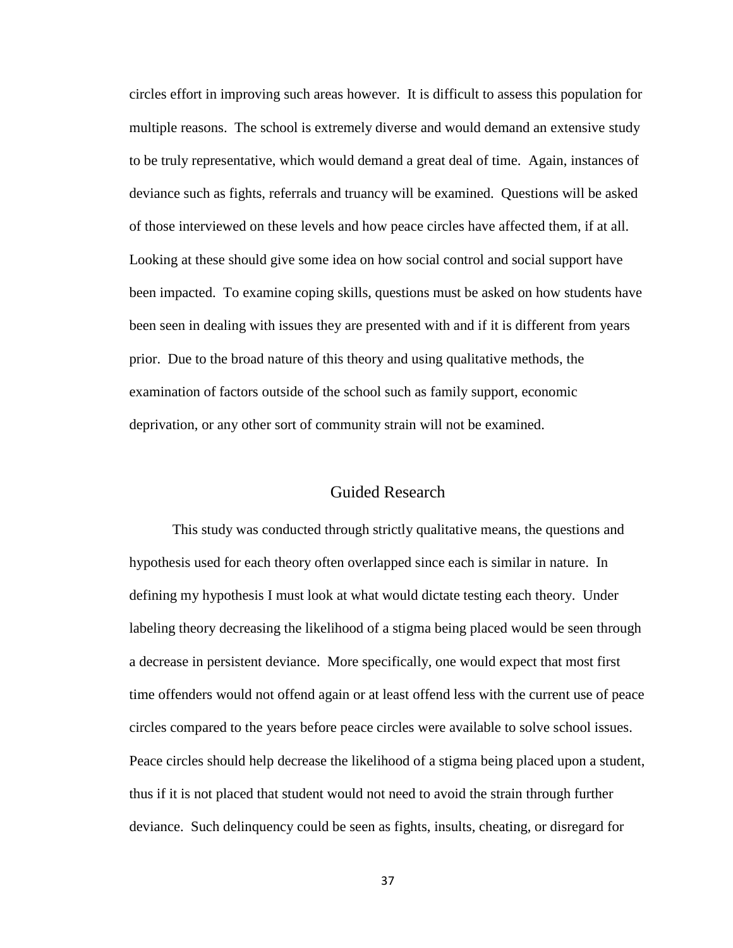circles effort in improving such areas however. It is difficult to assess this population for multiple reasons. The school is extremely diverse and would demand an extensive study to be truly representative, which would demand a great deal of time. Again, instances of deviance such as fights, referrals and truancy will be examined. Questions will be asked of those interviewed on these levels and how peace circles have affected them, if at all. Looking at these should give some idea on how social control and social support have been impacted. To examine coping skills, questions must be asked on how students have been seen in dealing with issues they are presented with and if it is different from years prior. Due to the broad nature of this theory and using qualitative methods, the examination of factors outside of the school such as family support, economic deprivation, or any other sort of community strain will not be examined.

# Guided Research

This study was conducted through strictly qualitative means, the questions and hypothesis used for each theory often overlapped since each is similar in nature. In defining my hypothesis I must look at what would dictate testing each theory. Under labeling theory decreasing the likelihood of a stigma being placed would be seen through a decrease in persistent deviance. More specifically, one would expect that most first time offenders would not offend again or at least offend less with the current use of peace circles compared to the years before peace circles were available to solve school issues. Peace circles should help decrease the likelihood of a stigma being placed upon a student, thus if it is not placed that student would not need to avoid the strain through further deviance. Such delinquency could be seen as fights, insults, cheating, or disregard for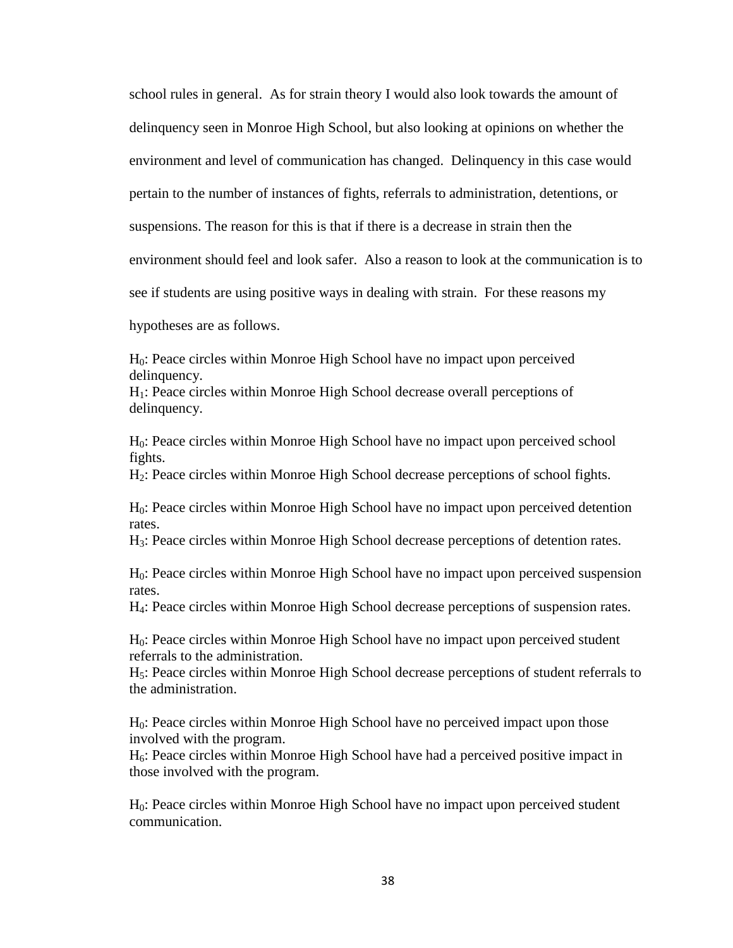school rules in general. As for strain theory I would also look towards the amount of delinquency seen in Monroe High School, but also looking at opinions on whether the environment and level of communication has changed. Delinquency in this case would pertain to the number of instances of fights, referrals to administration, detentions, or suspensions. The reason for this is that if there is a decrease in strain then the environment should feel and look safer. Also a reason to look at the communication is to see if students are using positive ways in dealing with strain. For these reasons my

hypotheses are as follows.

H0: Peace circles within Monroe High School have no impact upon perceived delinquency.

H1: Peace circles within Monroe High School decrease overall perceptions of delinquency.

H0: Peace circles within Monroe High School have no impact upon perceived school fights.

H2: Peace circles within Monroe High School decrease perceptions of school fights.

H0: Peace circles within Monroe High School have no impact upon perceived detention rates.

H3: Peace circles within Monroe High School decrease perceptions of detention rates.

H0: Peace circles within Monroe High School have no impact upon perceived suspension rates.

H4: Peace circles within Monroe High School decrease perceptions of suspension rates.

H0: Peace circles within Monroe High School have no impact upon perceived student referrals to the administration.

H5: Peace circles within Monroe High School decrease perceptions of student referrals to the administration.

H0: Peace circles within Monroe High School have no perceived impact upon those involved with the program.

 $H<sub>6</sub>$ : Peace circles within Monroe High School have had a perceived positive impact in those involved with the program.

H0: Peace circles within Monroe High School have no impact upon perceived student communication.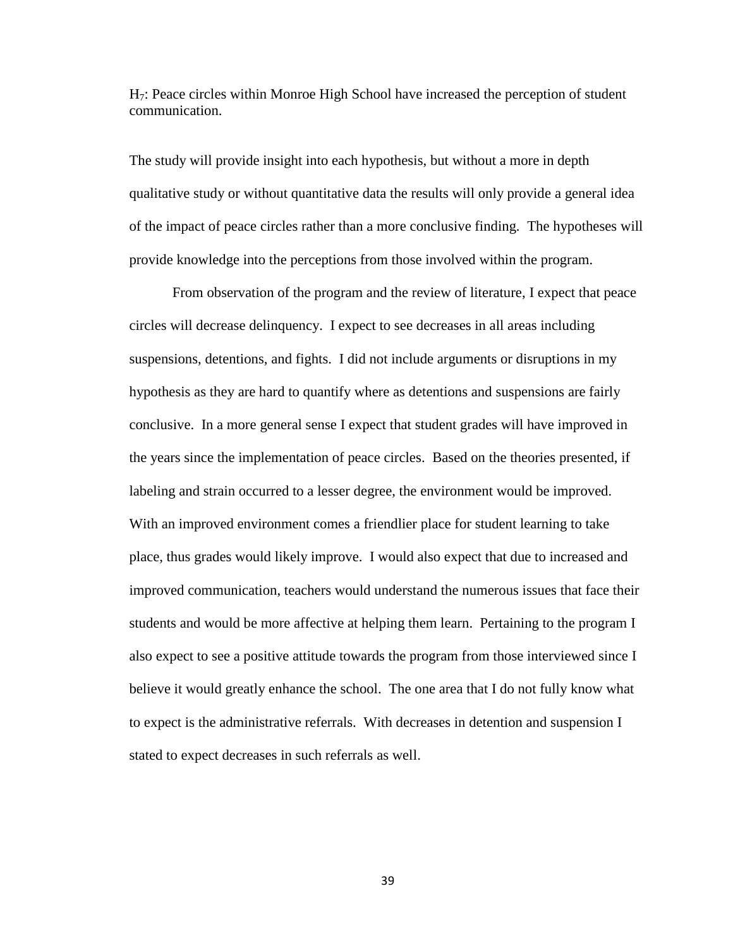H7: Peace circles within Monroe High School have increased the perception of student communication.

The study will provide insight into each hypothesis, but without a more in depth qualitative study or without quantitative data the results will only provide a general idea of the impact of peace circles rather than a more conclusive finding. The hypotheses will provide knowledge into the perceptions from those involved within the program.

From observation of the program and the review of literature, I expect that peace circles will decrease delinquency. I expect to see decreases in all areas including suspensions, detentions, and fights. I did not include arguments or disruptions in my hypothesis as they are hard to quantify where as detentions and suspensions are fairly conclusive. In a more general sense I expect that student grades will have improved in the years since the implementation of peace circles. Based on the theories presented, if labeling and strain occurred to a lesser degree, the environment would be improved. With an improved environment comes a friendlier place for student learning to take place, thus grades would likely improve. I would also expect that due to increased and improved communication, teachers would understand the numerous issues that face their students and would be more affective at helping them learn. Pertaining to the program I also expect to see a positive attitude towards the program from those interviewed since I believe it would greatly enhance the school. The one area that I do not fully know what to expect is the administrative referrals. With decreases in detention and suspension I stated to expect decreases in such referrals as well.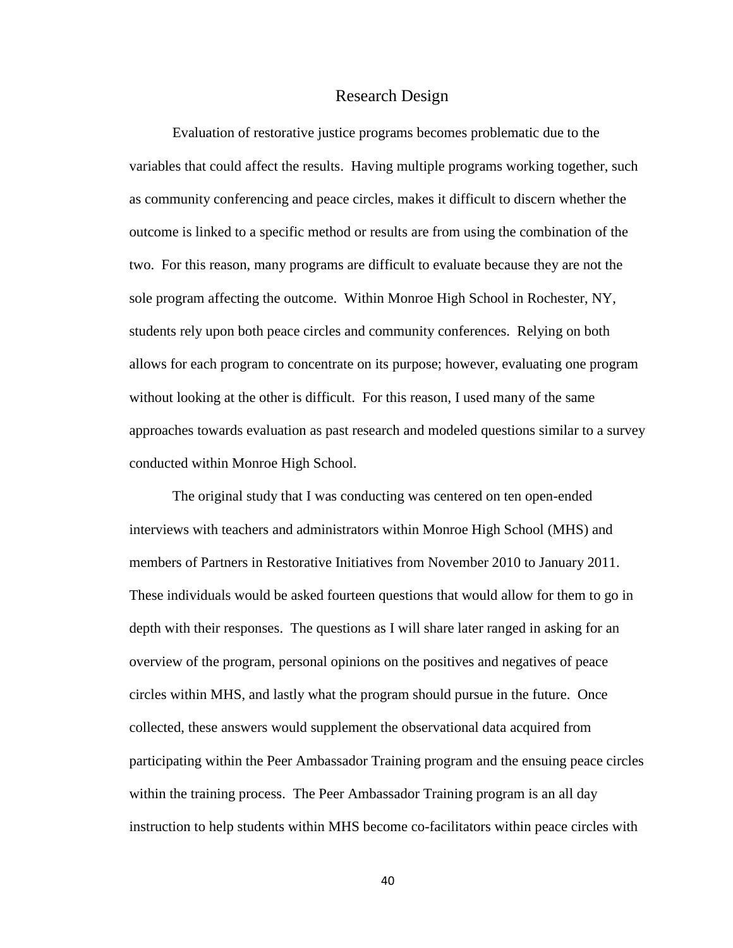#### Research Design

Evaluation of restorative justice programs becomes problematic due to the variables that could affect the results. Having multiple programs working together, such as community conferencing and peace circles, makes it difficult to discern whether the outcome is linked to a specific method or results are from using the combination of the two. For this reason, many programs are difficult to evaluate because they are not the sole program affecting the outcome. Within Monroe High School in Rochester, NY, students rely upon both peace circles and community conferences. Relying on both allows for each program to concentrate on its purpose; however, evaluating one program without looking at the other is difficult. For this reason, I used many of the same approaches towards evaluation as past research and modeled questions similar to a survey conducted within Monroe High School.

The original study that I was conducting was centered on ten open-ended interviews with teachers and administrators within Monroe High School (MHS) and members of Partners in Restorative Initiatives from November 2010 to January 2011. These individuals would be asked fourteen questions that would allow for them to go in depth with their responses. The questions as I will share later ranged in asking for an overview of the program, personal opinions on the positives and negatives of peace circles within MHS, and lastly what the program should pursue in the future. Once collected, these answers would supplement the observational data acquired from participating within the Peer Ambassador Training program and the ensuing peace circles within the training process. The Peer Ambassador Training program is an all day instruction to help students within MHS become co-facilitators within peace circles with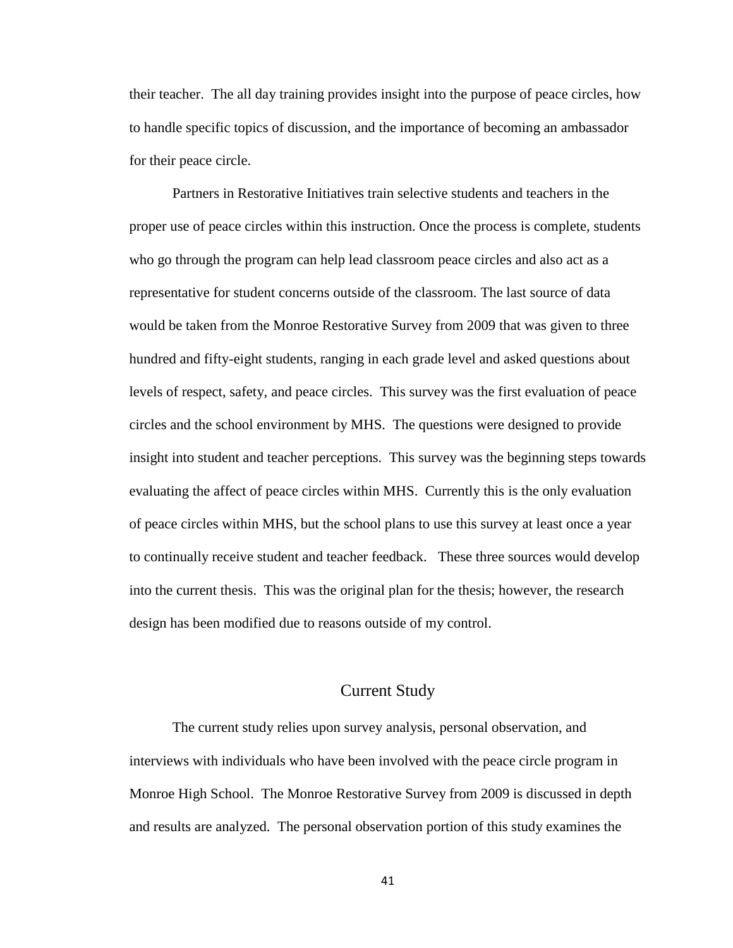their teacher. The all day training provides insight into the purpose of peace circles, how to handle specific topics of discussion, and the importance of becoming an ambassador for their peace circle.

Partners in Restorative Initiatives train selective students and teachers in the proper use of peace circles within this instruction. Once the process is complete, students who go through the program can help lead classroom peace circles and also act as a representative for student concerns outside of the classroom. The last source of data would be taken from the Monroe Restorative Survey from 2009 that was given to three hundred and fifty-eight students, ranging in each grade level and asked questions about levels of respect, safety, and peace circles. This survey was the first evaluation of peace circles and the school environment by MHS. The questions were designed to provide insight into student and teacher perceptions. This survey was the beginning steps towards evaluating the affect of peace circles within MHS. Currently this is the only evaluation of peace circles within MHS, but the school plans to use this survey at least once a year to continually receive student and teacher feedback. These three sources would develop into the current thesis. This was the original plan for the thesis; however, the research design has been modified due to reasons outside of my control.

# Current Study

The current study relies upon survey analysis, personal observation, and interviews with individuals who have been involved with the peace circle program in Monroe High School. The Monroe Restorative Survey from 2009 is discussed in depth and results are analyzed. The personal observation portion of this study examines the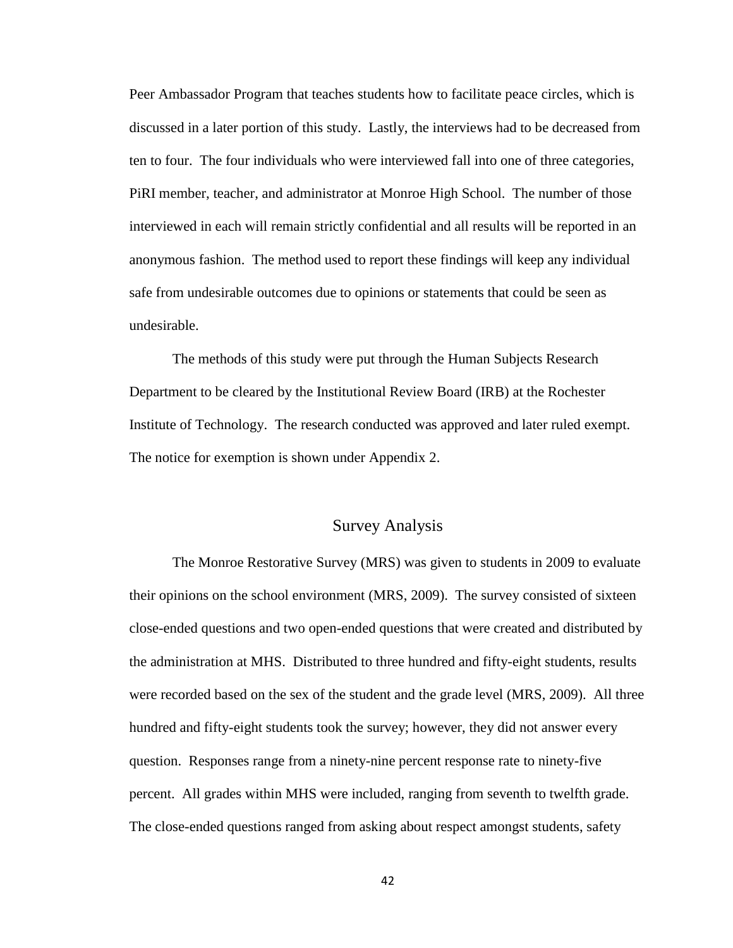Peer Ambassador Program that teaches students how to facilitate peace circles, which is discussed in a later portion of this study. Lastly, the interviews had to be decreased from ten to four. The four individuals who were interviewed fall into one of three categories, PiRI member, teacher, and administrator at Monroe High School. The number of those interviewed in each will remain strictly confidential and all results will be reported in an anonymous fashion. The method used to report these findings will keep any individual safe from undesirable outcomes due to opinions or statements that could be seen as undesirable.

The methods of this study were put through the Human Subjects Research Department to be cleared by the Institutional Review Board (IRB) at the Rochester Institute of Technology. The research conducted was approved and later ruled exempt. The notice for exemption is shown under Appendix 2.

# Survey Analysis

The Monroe Restorative Survey (MRS) was given to students in 2009 to evaluate their opinions on the school environment (MRS, 2009). The survey consisted of sixteen close-ended questions and two open-ended questions that were created and distributed by the administration at MHS. Distributed to three hundred and fifty-eight students, results were recorded based on the sex of the student and the grade level (MRS, 2009). All three hundred and fifty-eight students took the survey; however, they did not answer every question. Responses range from a ninety-nine percent response rate to ninety-five percent. All grades within MHS were included, ranging from seventh to twelfth grade. The close-ended questions ranged from asking about respect amongst students, safety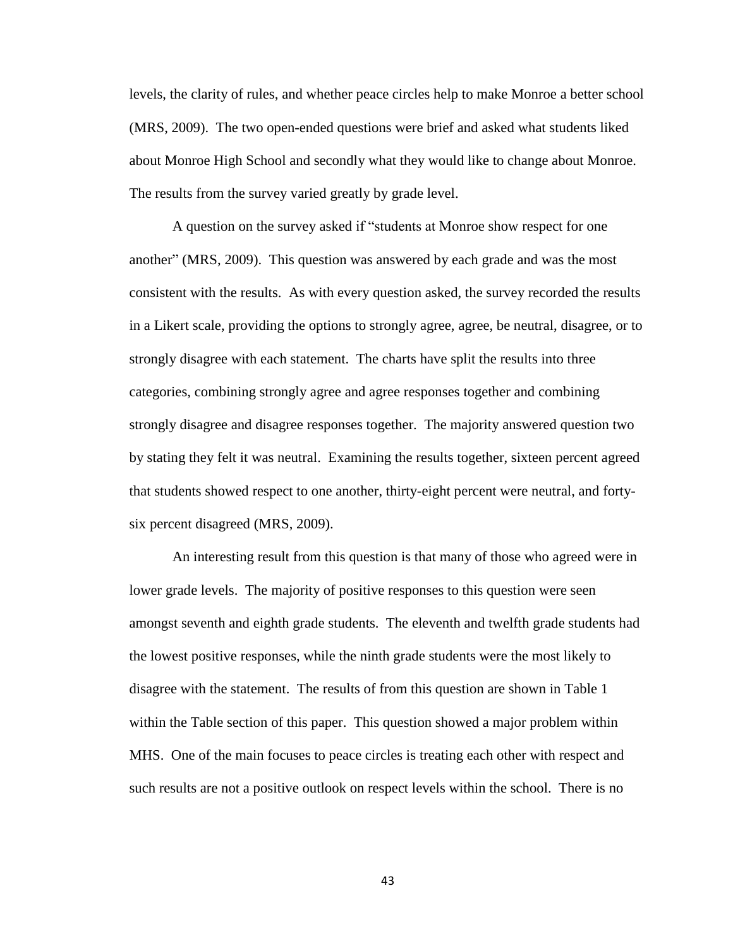levels, the clarity of rules, and whether peace circles help to make Monroe a better school (MRS, 2009). The two open-ended questions were brief and asked what students liked about Monroe High School and secondly what they would like to change about Monroe. The results from the survey varied greatly by grade level.

A question on the survey asked if "students at Monroe show respect for one another" (MRS, 2009). This question was answered by each grade and was the most consistent with the results. As with every question asked, the survey recorded the results in a Likert scale, providing the options to strongly agree, agree, be neutral, disagree, or to strongly disagree with each statement. The charts have split the results into three categories, combining strongly agree and agree responses together and combining strongly disagree and disagree responses together. The majority answered question two by stating they felt it was neutral. Examining the results together, sixteen percent agreed that students showed respect to one another, thirty-eight percent were neutral, and fortysix percent disagreed (MRS, 2009).

An interesting result from this question is that many of those who agreed were in lower grade levels. The majority of positive responses to this question were seen amongst seventh and eighth grade students. The eleventh and twelfth grade students had the lowest positive responses, while the ninth grade students were the most likely to disagree with the statement. The results of from this question are shown in Table 1 within the Table section of this paper. This question showed a major problem within MHS. One of the main focuses to peace circles is treating each other with respect and such results are not a positive outlook on respect levels within the school. There is no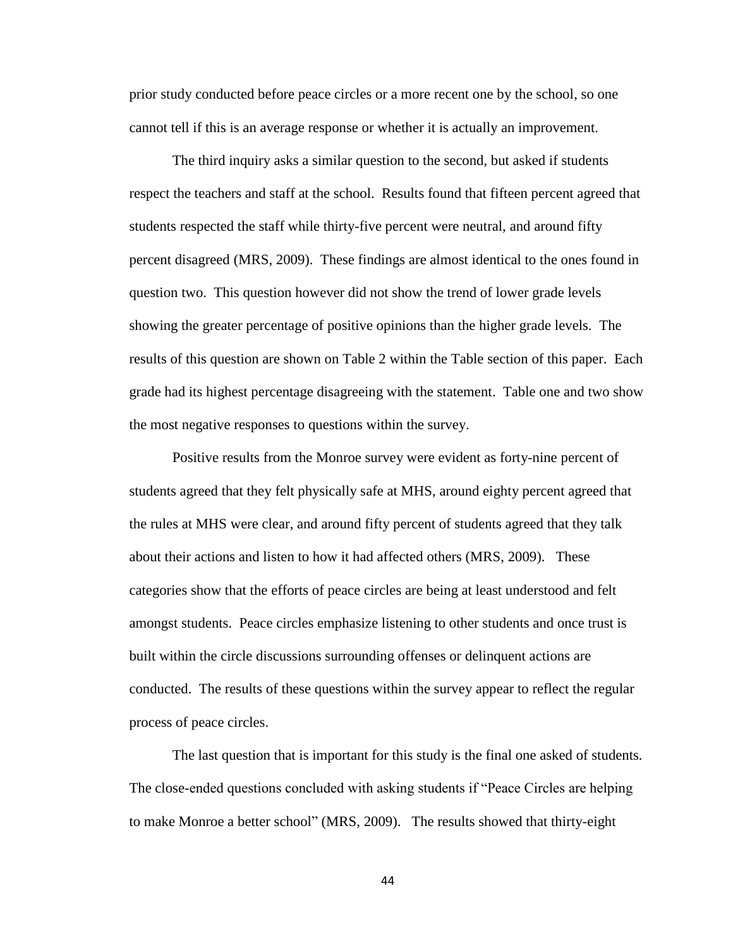prior study conducted before peace circles or a more recent one by the school, so one cannot tell if this is an average response or whether it is actually an improvement.

The third inquiry asks a similar question to the second, but asked if students respect the teachers and staff at the school. Results found that fifteen percent agreed that students respected the staff while thirty-five percent were neutral, and around fifty percent disagreed (MRS, 2009). These findings are almost identical to the ones found in question two. This question however did not show the trend of lower grade levels showing the greater percentage of positive opinions than the higher grade levels. The results of this question are shown on Table 2 within the Table section of this paper. Each grade had its highest percentage disagreeing with the statement. Table one and two show the most negative responses to questions within the survey.

Positive results from the Monroe survey were evident as forty-nine percent of students agreed that they felt physically safe at MHS, around eighty percent agreed that the rules at MHS were clear, and around fifty percent of students agreed that they talk about their actions and listen to how it had affected others (MRS, 2009). These categories show that the efforts of peace circles are being at least understood and felt amongst students. Peace circles emphasize listening to other students and once trust is built within the circle discussions surrounding offenses or delinquent actions are conducted. The results of these questions within the survey appear to reflect the regular process of peace circles.

The last question that is important for this study is the final one asked of students. The close-ended questions concluded with asking students if "Peace Circles are helping to make Monroe a better school" (MRS, 2009). The results showed that thirty-eight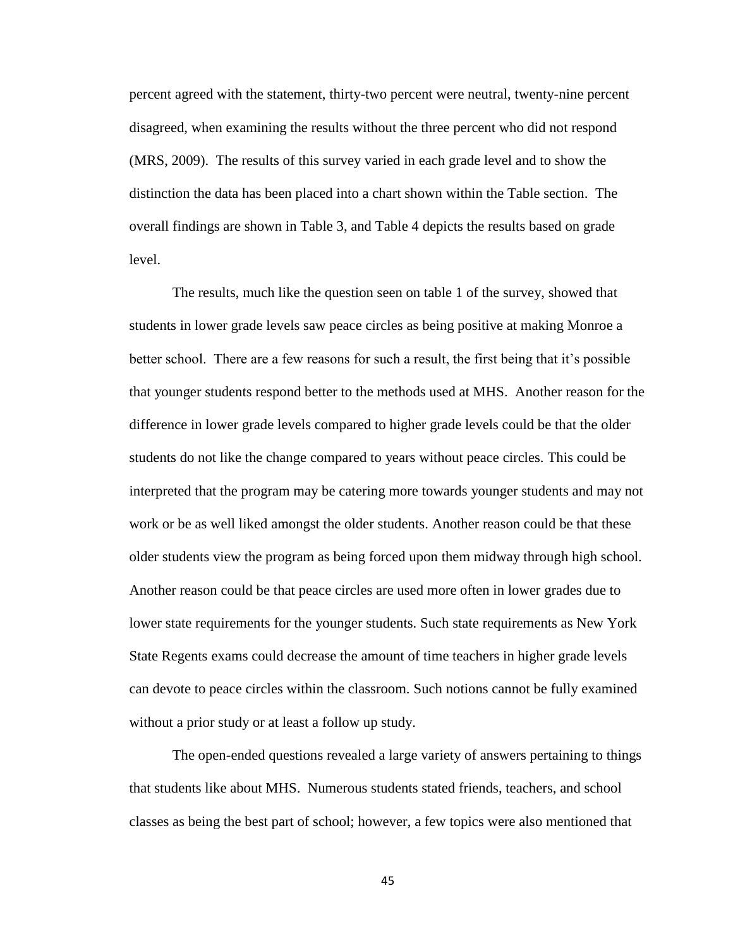percent agreed with the statement, thirty-two percent were neutral, twenty-nine percent disagreed, when examining the results without the three percent who did not respond (MRS, 2009). The results of this survey varied in each grade level and to show the distinction the data has been placed into a chart shown within the Table section. The overall findings are shown in Table 3, and Table 4 depicts the results based on grade level.

The results, much like the question seen on table 1 of the survey, showed that students in lower grade levels saw peace circles as being positive at making Monroe a better school. There are a few reasons for such a result, the first being that it's possible that younger students respond better to the methods used at MHS. Another reason for the difference in lower grade levels compared to higher grade levels could be that the older students do not like the change compared to years without peace circles. This could be interpreted that the program may be catering more towards younger students and may not work or be as well liked amongst the older students. Another reason could be that these older students view the program as being forced upon them midway through high school. Another reason could be that peace circles are used more often in lower grades due to lower state requirements for the younger students. Such state requirements as New York State Regents exams could decrease the amount of time teachers in higher grade levels can devote to peace circles within the classroom. Such notions cannot be fully examined without a prior study or at least a follow up study.

The open-ended questions revealed a large variety of answers pertaining to things that students like about MHS. Numerous students stated friends, teachers, and school classes as being the best part of school; however, a few topics were also mentioned that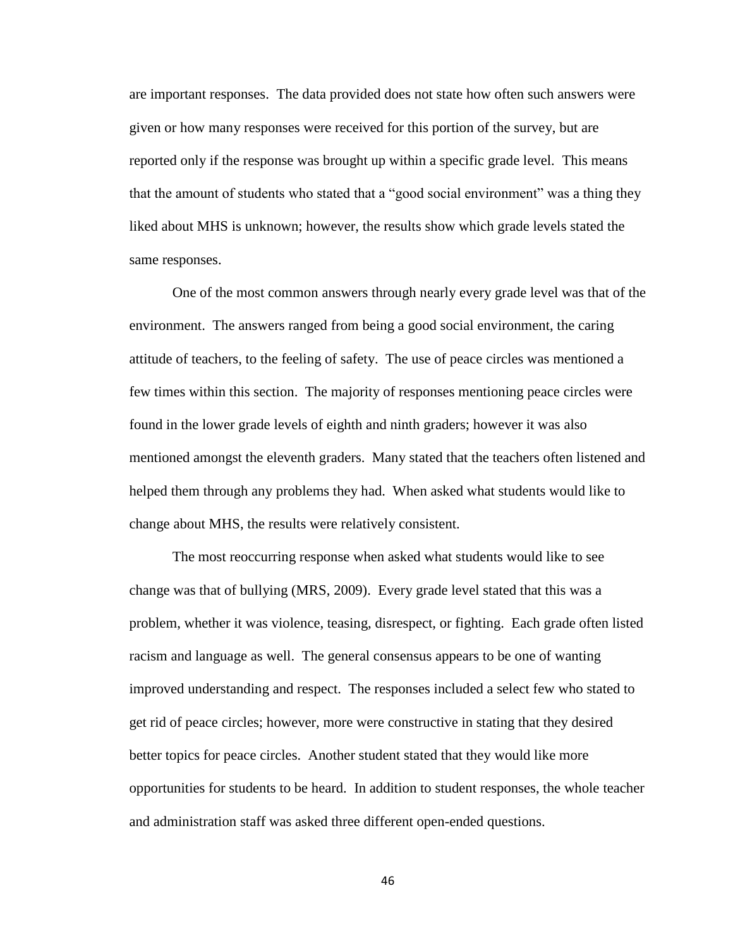are important responses. The data provided does not state how often such answers were given or how many responses were received for this portion of the survey, but are reported only if the response was brought up within a specific grade level. This means that the amount of students who stated that a "good social environment" was a thing they liked about MHS is unknown; however, the results show which grade levels stated the same responses.

One of the most common answers through nearly every grade level was that of the environment. The answers ranged from being a good social environment, the caring attitude of teachers, to the feeling of safety. The use of peace circles was mentioned a few times within this section. The majority of responses mentioning peace circles were found in the lower grade levels of eighth and ninth graders; however it was also mentioned amongst the eleventh graders. Many stated that the teachers often listened and helped them through any problems they had. When asked what students would like to change about MHS, the results were relatively consistent.

The most reoccurring response when asked what students would like to see change was that of bullying (MRS, 2009). Every grade level stated that this was a problem, whether it was violence, teasing, disrespect, or fighting. Each grade often listed racism and language as well. The general consensus appears to be one of wanting improved understanding and respect. The responses included a select few who stated to get rid of peace circles; however, more were constructive in stating that they desired better topics for peace circles. Another student stated that they would like more opportunities for students to be heard. In addition to student responses, the whole teacher and administration staff was asked three different open-ended questions.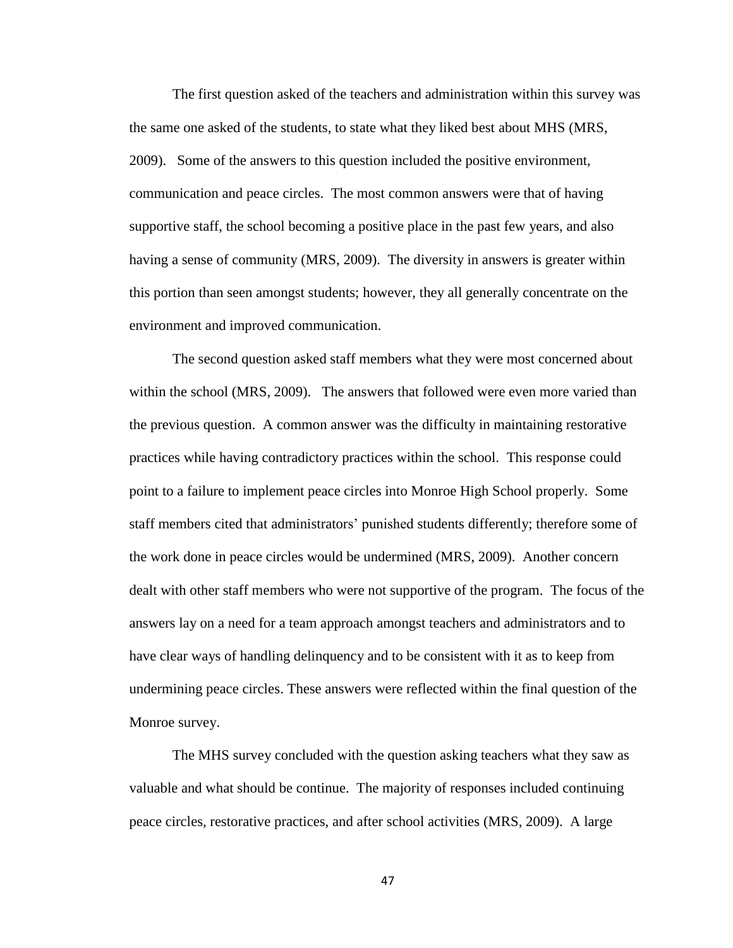The first question asked of the teachers and administration within this survey was the same one asked of the students, to state what they liked best about MHS (MRS, 2009). Some of the answers to this question included the positive environment, communication and peace circles. The most common answers were that of having supportive staff, the school becoming a positive place in the past few years, and also having a sense of community (MRS, 2009). The diversity in answers is greater within this portion than seen amongst students; however, they all generally concentrate on the environment and improved communication.

The second question asked staff members what they were most concerned about within the school (MRS, 2009). The answers that followed were even more varied than the previous question. A common answer was the difficulty in maintaining restorative practices while having contradictory practices within the school. This response could point to a failure to implement peace circles into Monroe High School properly. Some staff members cited that administrators' punished students differently; therefore some of the work done in peace circles would be undermined (MRS, 2009). Another concern dealt with other staff members who were not supportive of the program. The focus of the answers lay on a need for a team approach amongst teachers and administrators and to have clear ways of handling delinquency and to be consistent with it as to keep from undermining peace circles. These answers were reflected within the final question of the Monroe survey.

The MHS survey concluded with the question asking teachers what they saw as valuable and what should be continue. The majority of responses included continuing peace circles, restorative practices, and after school activities (MRS, 2009). A large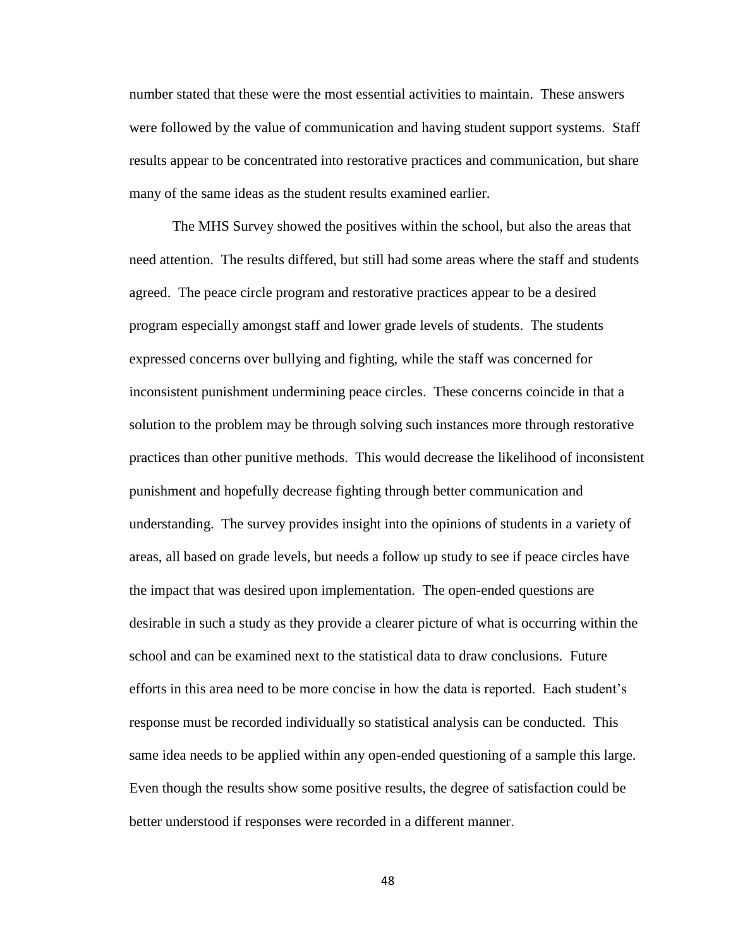number stated that these were the most essential activities to maintain. These answers were followed by the value of communication and having student support systems. Staff results appear to be concentrated into restorative practices and communication, but share many of the same ideas as the student results examined earlier.

The MHS Survey showed the positives within the school, but also the areas that need attention. The results differed, but still had some areas where the staff and students agreed. The peace circle program and restorative practices appear to be a desired program especially amongst staff and lower grade levels of students. The students expressed concerns over bullying and fighting, while the staff was concerned for inconsistent punishment undermining peace circles. These concerns coincide in that a solution to the problem may be through solving such instances more through restorative practices than other punitive methods. This would decrease the likelihood of inconsistent punishment and hopefully decrease fighting through better communication and understanding. The survey provides insight into the opinions of students in a variety of areas, all based on grade levels, but needs a follow up study to see if peace circles have the impact that was desired upon implementation. The open-ended questions are desirable in such a study as they provide a clearer picture of what is occurring within the school and can be examined next to the statistical data to draw conclusions. Future efforts in this area need to be more concise in how the data is reported. Each student's response must be recorded individually so statistical analysis can be conducted. This same idea needs to be applied within any open-ended questioning of a sample this large. Even though the results show some positive results, the degree of satisfaction could be better understood if responses were recorded in a different manner.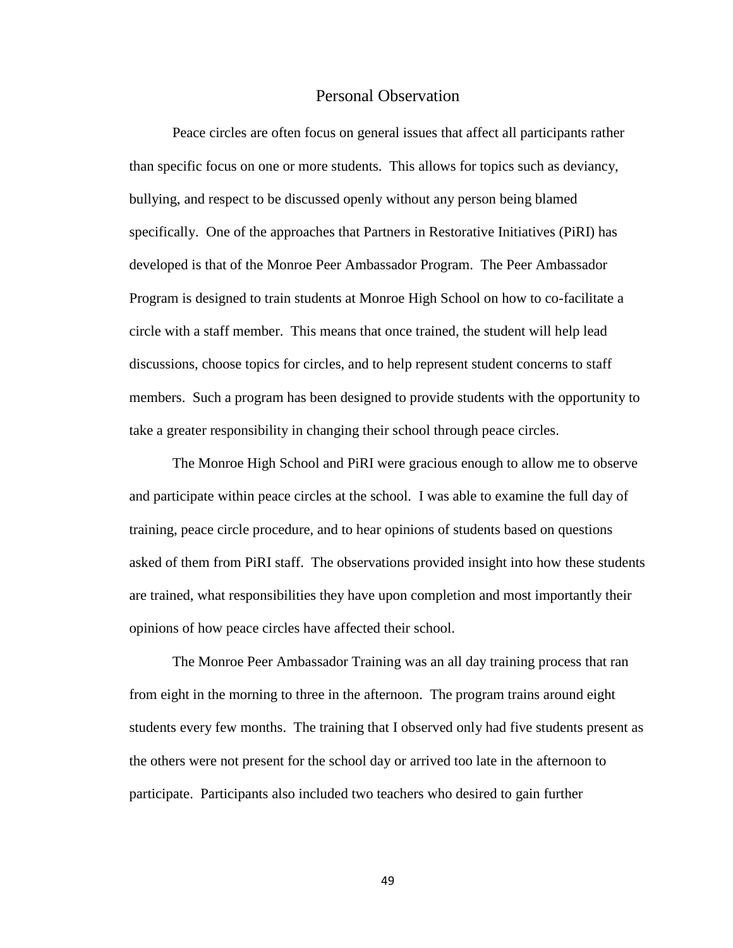#### Personal Observation

Peace circles are often focus on general issues that affect all participants rather than specific focus on one or more students. This allows for topics such as deviancy, bullying, and respect to be discussed openly without any person being blamed specifically. One of the approaches that Partners in Restorative Initiatives (PiRI) has developed is that of the Monroe Peer Ambassador Program. The Peer Ambassador Program is designed to train students at Monroe High School on how to co-facilitate a circle with a staff member. This means that once trained, the student will help lead discussions, choose topics for circles, and to help represent student concerns to staff members. Such a program has been designed to provide students with the opportunity to take a greater responsibility in changing their school through peace circles.

The Monroe High School and PiRI were gracious enough to allow me to observe and participate within peace circles at the school. I was able to examine the full day of training, peace circle procedure, and to hear opinions of students based on questions asked of them from PiRI staff. The observations provided insight into how these students are trained, what responsibilities they have upon completion and most importantly their opinions of how peace circles have affected their school.

The Monroe Peer Ambassador Training was an all day training process that ran from eight in the morning to three in the afternoon. The program trains around eight students every few months. The training that I observed only had five students present as the others were not present for the school day or arrived too late in the afternoon to participate. Participants also included two teachers who desired to gain further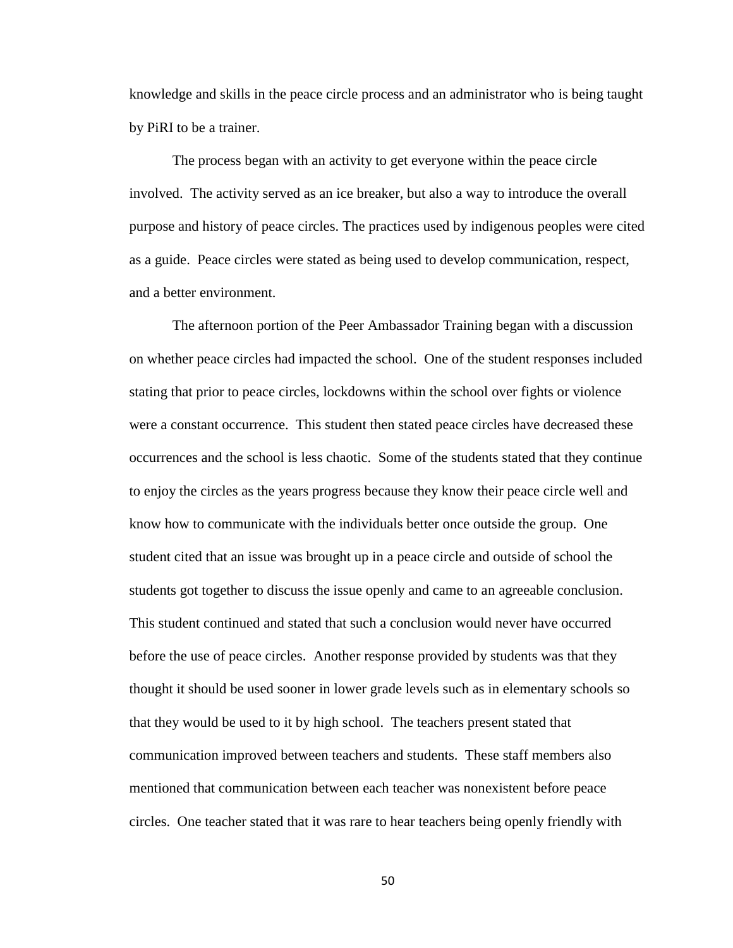knowledge and skills in the peace circle process and an administrator who is being taught by PiRI to be a trainer.

The process began with an activity to get everyone within the peace circle involved. The activity served as an ice breaker, but also a way to introduce the overall purpose and history of peace circles. The practices used by indigenous peoples were cited as a guide. Peace circles were stated as being used to develop communication, respect, and a better environment.

The afternoon portion of the Peer Ambassador Training began with a discussion on whether peace circles had impacted the school. One of the student responses included stating that prior to peace circles, lockdowns within the school over fights or violence were a constant occurrence. This student then stated peace circles have decreased these occurrences and the school is less chaotic. Some of the students stated that they continue to enjoy the circles as the years progress because they know their peace circle well and know how to communicate with the individuals better once outside the group. One student cited that an issue was brought up in a peace circle and outside of school the students got together to discuss the issue openly and came to an agreeable conclusion. This student continued and stated that such a conclusion would never have occurred before the use of peace circles. Another response provided by students was that they thought it should be used sooner in lower grade levels such as in elementary schools so that they would be used to it by high school. The teachers present stated that communication improved between teachers and students. These staff members also mentioned that communication between each teacher was nonexistent before peace circles. One teacher stated that it was rare to hear teachers being openly friendly with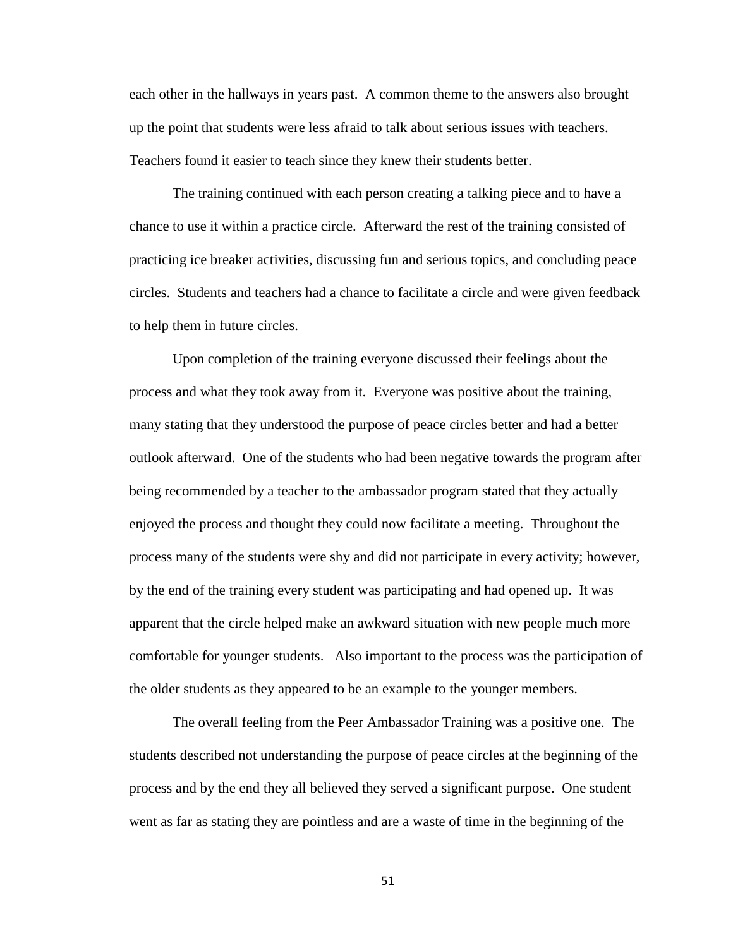each other in the hallways in years past. A common theme to the answers also brought up the point that students were less afraid to talk about serious issues with teachers. Teachers found it easier to teach since they knew their students better.

The training continued with each person creating a talking piece and to have a chance to use it within a practice circle. Afterward the rest of the training consisted of practicing ice breaker activities, discussing fun and serious topics, and concluding peace circles. Students and teachers had a chance to facilitate a circle and were given feedback to help them in future circles.

Upon completion of the training everyone discussed their feelings about the process and what they took away from it. Everyone was positive about the training, many stating that they understood the purpose of peace circles better and had a better outlook afterward. One of the students who had been negative towards the program after being recommended by a teacher to the ambassador program stated that they actually enjoyed the process and thought they could now facilitate a meeting. Throughout the process many of the students were shy and did not participate in every activity; however, by the end of the training every student was participating and had opened up. It was apparent that the circle helped make an awkward situation with new people much more comfortable for younger students. Also important to the process was the participation of the older students as they appeared to be an example to the younger members.

The overall feeling from the Peer Ambassador Training was a positive one. The students described not understanding the purpose of peace circles at the beginning of the process and by the end they all believed they served a significant purpose. One student went as far as stating they are pointless and are a waste of time in the beginning of the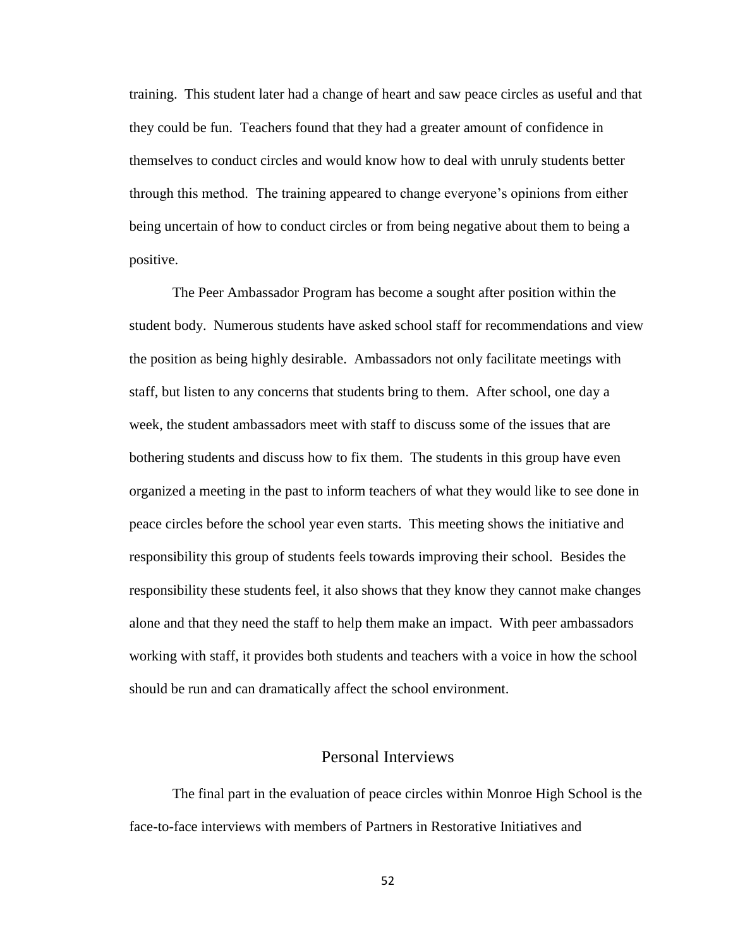training. This student later had a change of heart and saw peace circles as useful and that they could be fun. Teachers found that they had a greater amount of confidence in themselves to conduct circles and would know how to deal with unruly students better through this method. The training appeared to change everyone's opinions from either being uncertain of how to conduct circles or from being negative about them to being a positive.

The Peer Ambassador Program has become a sought after position within the student body. Numerous students have asked school staff for recommendations and view the position as being highly desirable. Ambassadors not only facilitate meetings with staff, but listen to any concerns that students bring to them. After school, one day a week, the student ambassadors meet with staff to discuss some of the issues that are bothering students and discuss how to fix them. The students in this group have even organized a meeting in the past to inform teachers of what they would like to see done in peace circles before the school year even starts. This meeting shows the initiative and responsibility this group of students feels towards improving their school. Besides the responsibility these students feel, it also shows that they know they cannot make changes alone and that they need the staff to help them make an impact. With peer ambassadors working with staff, it provides both students and teachers with a voice in how the school should be run and can dramatically affect the school environment.

## Personal Interviews

The final part in the evaluation of peace circles within Monroe High School is the face-to-face interviews with members of Partners in Restorative Initiatives and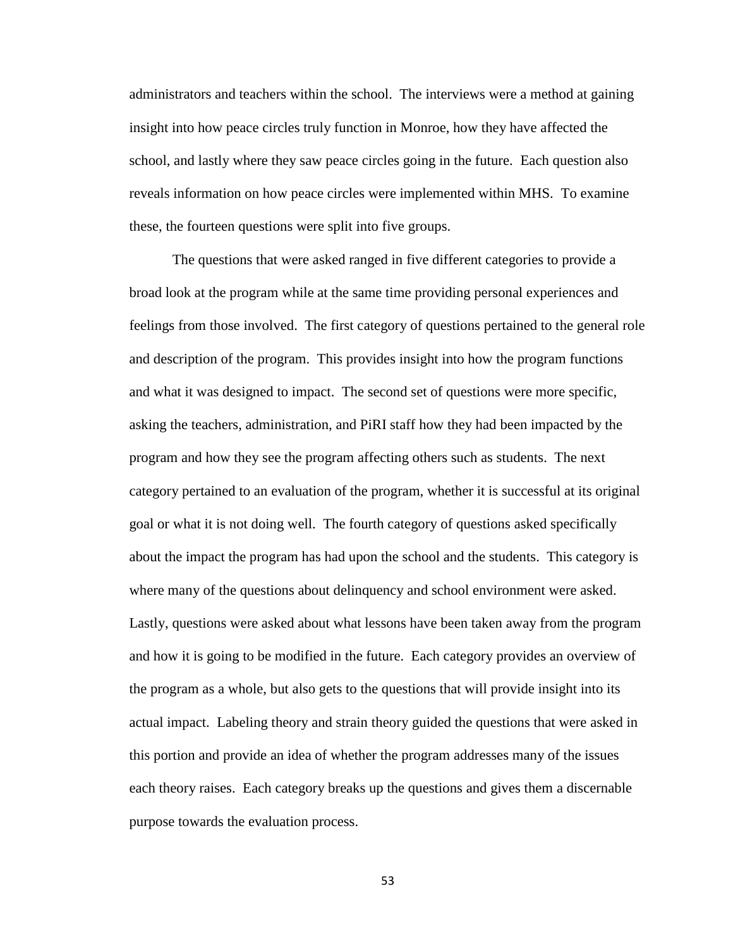administrators and teachers within the school. The interviews were a method at gaining insight into how peace circles truly function in Monroe, how they have affected the school, and lastly where they saw peace circles going in the future. Each question also reveals information on how peace circles were implemented within MHS. To examine these, the fourteen questions were split into five groups.

The questions that were asked ranged in five different categories to provide a broad look at the program while at the same time providing personal experiences and feelings from those involved. The first category of questions pertained to the general role and description of the program. This provides insight into how the program functions and what it was designed to impact. The second set of questions were more specific, asking the teachers, administration, and PiRI staff how they had been impacted by the program and how they see the program affecting others such as students. The next category pertained to an evaluation of the program, whether it is successful at its original goal or what it is not doing well. The fourth category of questions asked specifically about the impact the program has had upon the school and the students. This category is where many of the questions about delinquency and school environment were asked. Lastly, questions were asked about what lessons have been taken away from the program and how it is going to be modified in the future. Each category provides an overview of the program as a whole, but also gets to the questions that will provide insight into its actual impact. Labeling theory and strain theory guided the questions that were asked in this portion and provide an idea of whether the program addresses many of the issues each theory raises. Each category breaks up the questions and gives them a discernable purpose towards the evaluation process.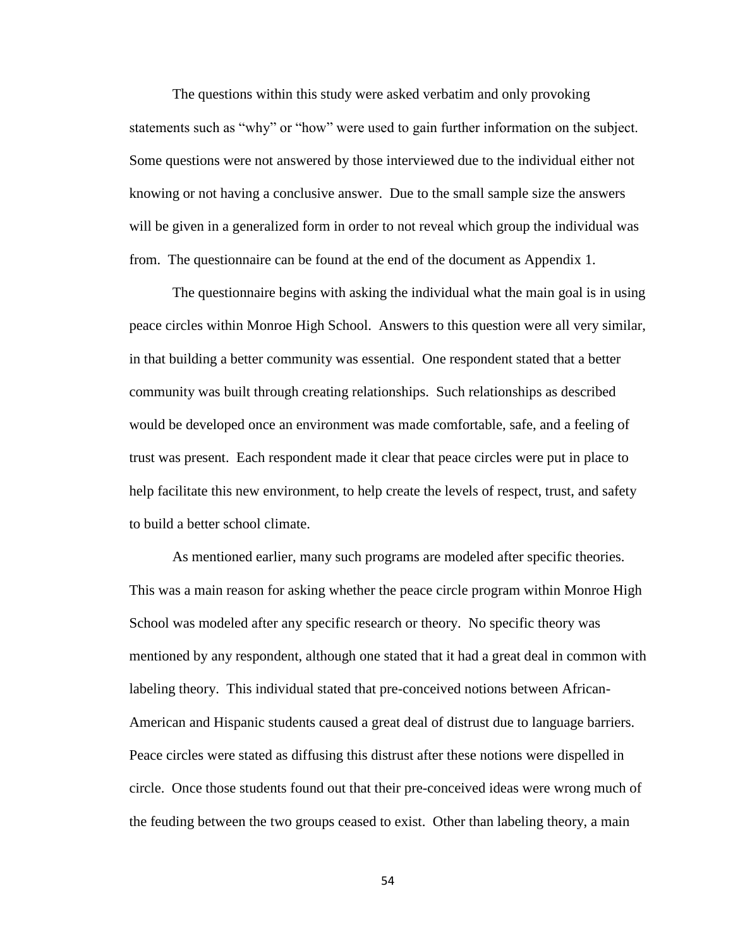The questions within this study were asked verbatim and only provoking statements such as "why" or "how" were used to gain further information on the subject. Some questions were not answered by those interviewed due to the individual either not knowing or not having a conclusive answer. Due to the small sample size the answers will be given in a generalized form in order to not reveal which group the individual was from. The questionnaire can be found at the end of the document as Appendix 1.

The questionnaire begins with asking the individual what the main goal is in using peace circles within Monroe High School. Answers to this question were all very similar, in that building a better community was essential. One respondent stated that a better community was built through creating relationships. Such relationships as described would be developed once an environment was made comfortable, safe, and a feeling of trust was present. Each respondent made it clear that peace circles were put in place to help facilitate this new environment, to help create the levels of respect, trust, and safety to build a better school climate.

As mentioned earlier, many such programs are modeled after specific theories. This was a main reason for asking whether the peace circle program within Monroe High School was modeled after any specific research or theory. No specific theory was mentioned by any respondent, although one stated that it had a great deal in common with labeling theory. This individual stated that pre-conceived notions between African-American and Hispanic students caused a great deal of distrust due to language barriers. Peace circles were stated as diffusing this distrust after these notions were dispelled in circle. Once those students found out that their pre-conceived ideas were wrong much of the feuding between the two groups ceased to exist. Other than labeling theory, a main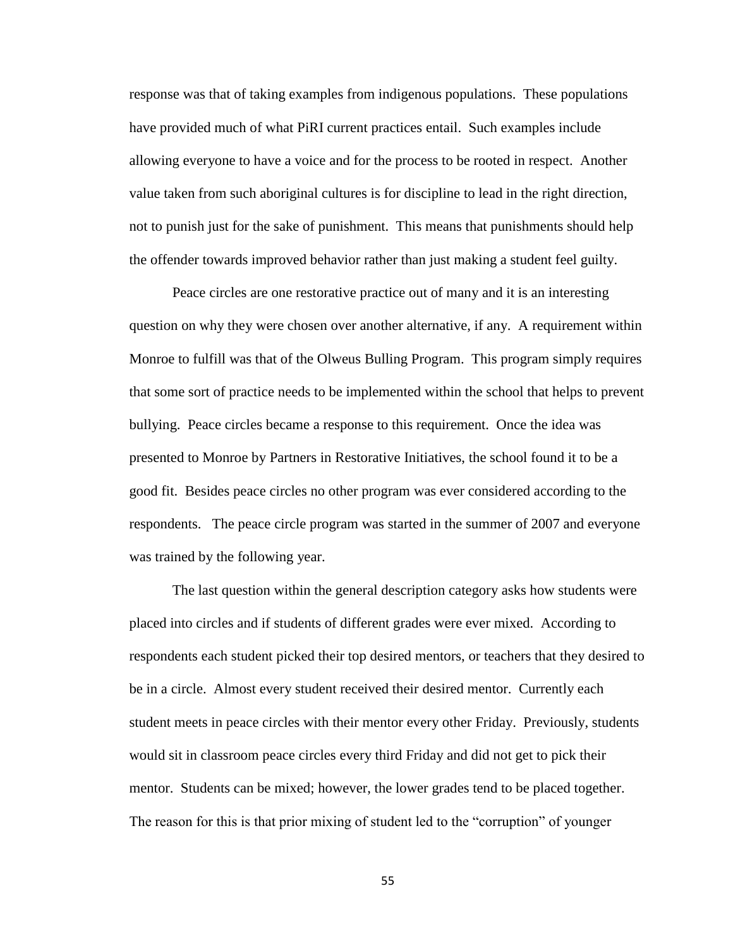response was that of taking examples from indigenous populations. These populations have provided much of what PiRI current practices entail. Such examples include allowing everyone to have a voice and for the process to be rooted in respect. Another value taken from such aboriginal cultures is for discipline to lead in the right direction, not to punish just for the sake of punishment. This means that punishments should help the offender towards improved behavior rather than just making a student feel guilty.

Peace circles are one restorative practice out of many and it is an interesting question on why they were chosen over another alternative, if any. A requirement within Monroe to fulfill was that of the Olweus Bulling Program. This program simply requires that some sort of practice needs to be implemented within the school that helps to prevent bullying. Peace circles became a response to this requirement. Once the idea was presented to Monroe by Partners in Restorative Initiatives, the school found it to be a good fit. Besides peace circles no other program was ever considered according to the respondents. The peace circle program was started in the summer of 2007 and everyone was trained by the following year.

The last question within the general description category asks how students were placed into circles and if students of different grades were ever mixed. According to respondents each student picked their top desired mentors, or teachers that they desired to be in a circle. Almost every student received their desired mentor. Currently each student meets in peace circles with their mentor every other Friday. Previously, students would sit in classroom peace circles every third Friday and did not get to pick their mentor. Students can be mixed; however, the lower grades tend to be placed together. The reason for this is that prior mixing of student led to the "corruption" of younger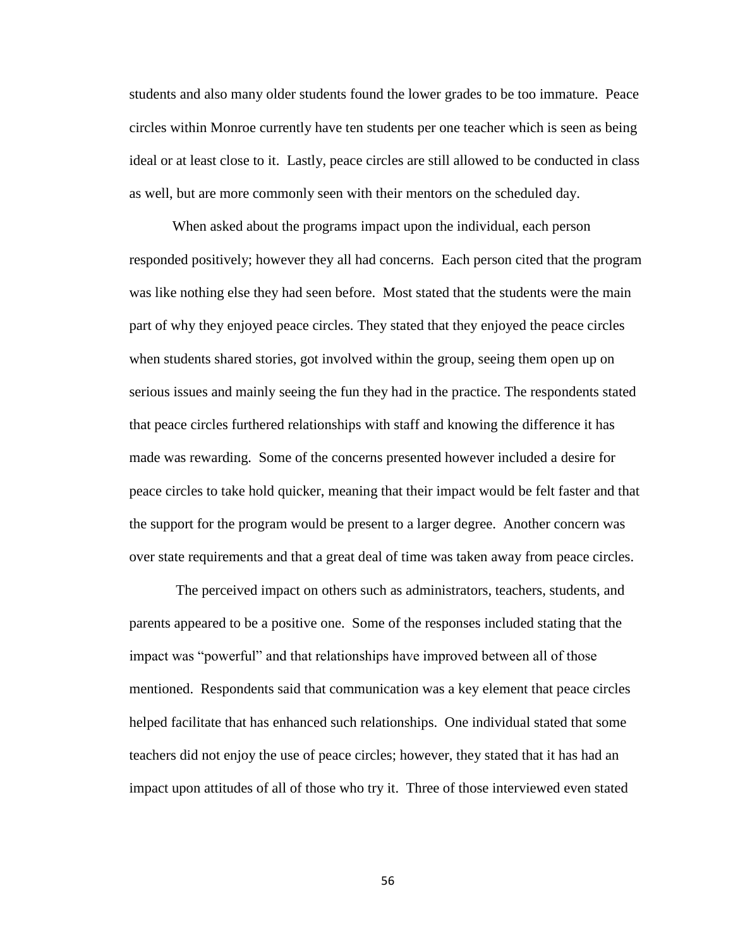students and also many older students found the lower grades to be too immature. Peace circles within Monroe currently have ten students per one teacher which is seen as being ideal or at least close to it. Lastly, peace circles are still allowed to be conducted in class as well, but are more commonly seen with their mentors on the scheduled day.

When asked about the programs impact upon the individual, each person responded positively; however they all had concerns. Each person cited that the program was like nothing else they had seen before. Most stated that the students were the main part of why they enjoyed peace circles. They stated that they enjoyed the peace circles when students shared stories, got involved within the group, seeing them open up on serious issues and mainly seeing the fun they had in the practice. The respondents stated that peace circles furthered relationships with staff and knowing the difference it has made was rewarding. Some of the concerns presented however included a desire for peace circles to take hold quicker, meaning that their impact would be felt faster and that the support for the program would be present to a larger degree. Another concern was over state requirements and that a great deal of time was taken away from peace circles.

The perceived impact on others such as administrators, teachers, students, and parents appeared to be a positive one. Some of the responses included stating that the impact was "powerful" and that relationships have improved between all of those mentioned. Respondents said that communication was a key element that peace circles helped facilitate that has enhanced such relationships. One individual stated that some teachers did not enjoy the use of peace circles; however, they stated that it has had an impact upon attitudes of all of those who try it. Three of those interviewed even stated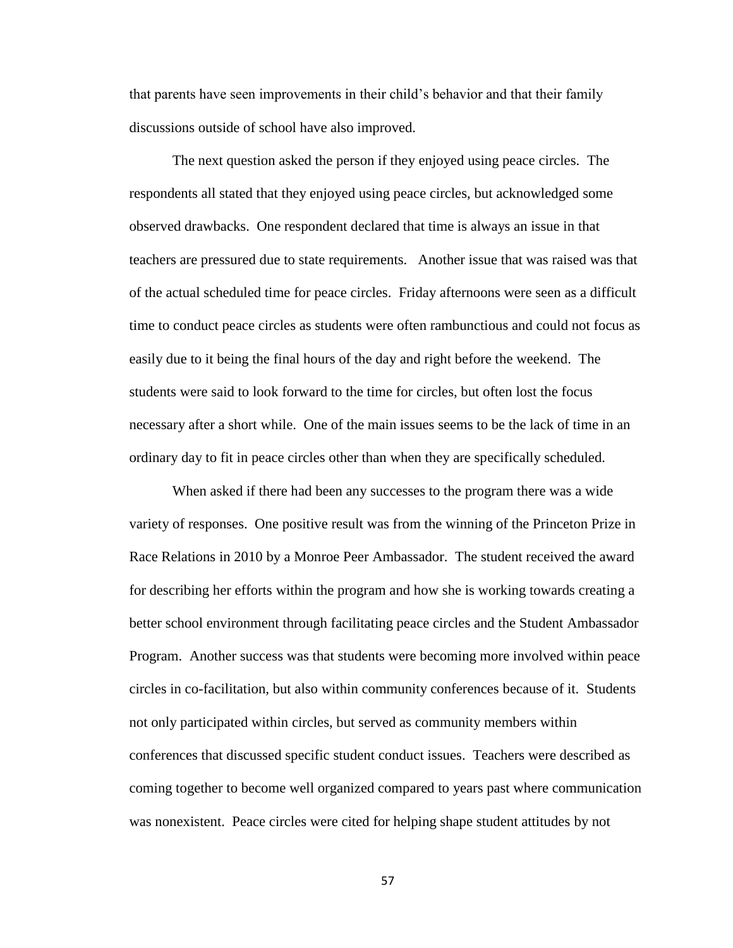that parents have seen improvements in their child's behavior and that their family discussions outside of school have also improved.

The next question asked the person if they enjoyed using peace circles. The respondents all stated that they enjoyed using peace circles, but acknowledged some observed drawbacks. One respondent declared that time is always an issue in that teachers are pressured due to state requirements. Another issue that was raised was that of the actual scheduled time for peace circles. Friday afternoons were seen as a difficult time to conduct peace circles as students were often rambunctious and could not focus as easily due to it being the final hours of the day and right before the weekend. The students were said to look forward to the time for circles, but often lost the focus necessary after a short while. One of the main issues seems to be the lack of time in an ordinary day to fit in peace circles other than when they are specifically scheduled.

When asked if there had been any successes to the program there was a wide variety of responses. One positive result was from the winning of the Princeton Prize in Race Relations in 2010 by a Monroe Peer Ambassador. The student received the award for describing her efforts within the program and how she is working towards creating a better school environment through facilitating peace circles and the Student Ambassador Program. Another success was that students were becoming more involved within peace circles in co-facilitation, but also within community conferences because of it. Students not only participated within circles, but served as community members within conferences that discussed specific student conduct issues. Teachers were described as coming together to become well organized compared to years past where communication was nonexistent. Peace circles were cited for helping shape student attitudes by not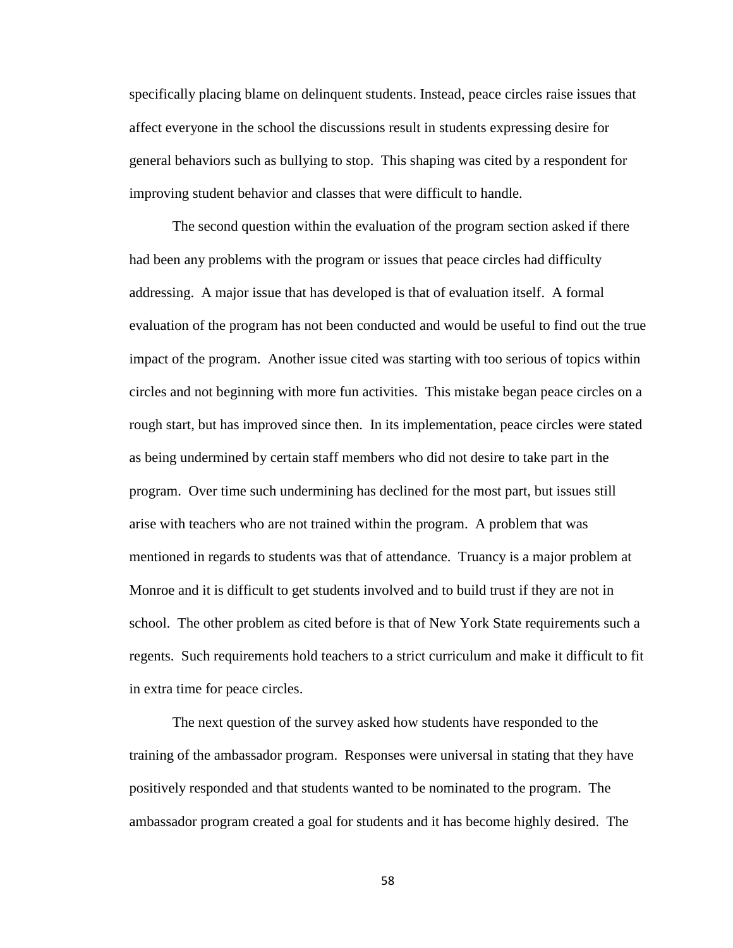specifically placing blame on delinquent students. Instead, peace circles raise issues that affect everyone in the school the discussions result in students expressing desire for general behaviors such as bullying to stop. This shaping was cited by a respondent for improving student behavior and classes that were difficult to handle.

The second question within the evaluation of the program section asked if there had been any problems with the program or issues that peace circles had difficulty addressing. A major issue that has developed is that of evaluation itself. A formal evaluation of the program has not been conducted and would be useful to find out the true impact of the program. Another issue cited was starting with too serious of topics within circles and not beginning with more fun activities. This mistake began peace circles on a rough start, but has improved since then. In its implementation, peace circles were stated as being undermined by certain staff members who did not desire to take part in the program. Over time such undermining has declined for the most part, but issues still arise with teachers who are not trained within the program. A problem that was mentioned in regards to students was that of attendance. Truancy is a major problem at Monroe and it is difficult to get students involved and to build trust if they are not in school. The other problem as cited before is that of New York State requirements such a regents. Such requirements hold teachers to a strict curriculum and make it difficult to fit in extra time for peace circles.

The next question of the survey asked how students have responded to the training of the ambassador program. Responses were universal in stating that they have positively responded and that students wanted to be nominated to the program. The ambassador program created a goal for students and it has become highly desired. The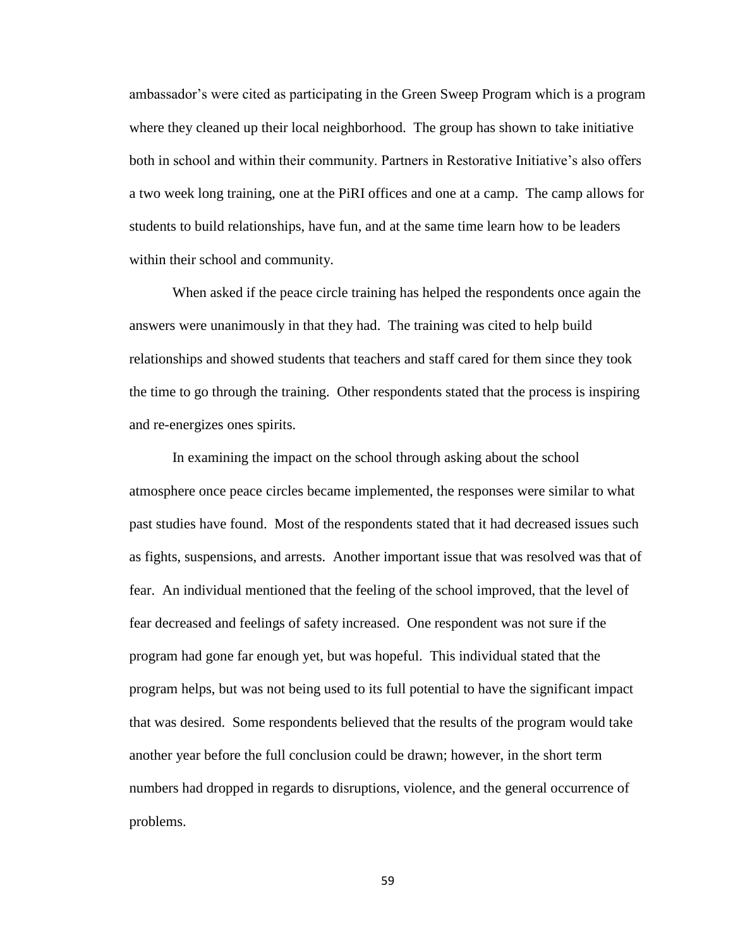ambassador's were cited as participating in the Green Sweep Program which is a program where they cleaned up their local neighborhood. The group has shown to take initiative both in school and within their community. Partners in Restorative Initiative's also offers a two week long training, one at the PiRI offices and one at a camp. The camp allows for students to build relationships, have fun, and at the same time learn how to be leaders within their school and community.

When asked if the peace circle training has helped the respondents once again the answers were unanimously in that they had. The training was cited to help build relationships and showed students that teachers and staff cared for them since they took the time to go through the training. Other respondents stated that the process is inspiring and re-energizes ones spirits.

In examining the impact on the school through asking about the school atmosphere once peace circles became implemented, the responses were similar to what past studies have found. Most of the respondents stated that it had decreased issues such as fights, suspensions, and arrests. Another important issue that was resolved was that of fear. An individual mentioned that the feeling of the school improved, that the level of fear decreased and feelings of safety increased. One respondent was not sure if the program had gone far enough yet, but was hopeful. This individual stated that the program helps, but was not being used to its full potential to have the significant impact that was desired. Some respondents believed that the results of the program would take another year before the full conclusion could be drawn; however, in the short term numbers had dropped in regards to disruptions, violence, and the general occurrence of problems.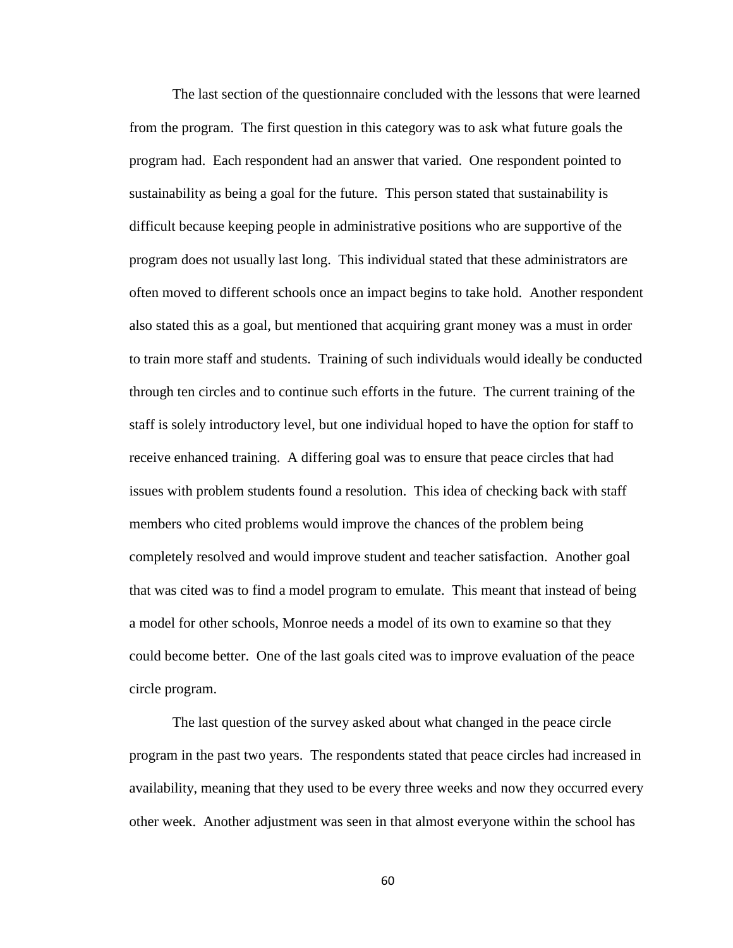The last section of the questionnaire concluded with the lessons that were learned from the program. The first question in this category was to ask what future goals the program had. Each respondent had an answer that varied. One respondent pointed to sustainability as being a goal for the future. This person stated that sustainability is difficult because keeping people in administrative positions who are supportive of the program does not usually last long. This individual stated that these administrators are often moved to different schools once an impact begins to take hold. Another respondent also stated this as a goal, but mentioned that acquiring grant money was a must in order to train more staff and students. Training of such individuals would ideally be conducted through ten circles and to continue such efforts in the future. The current training of the staff is solely introductory level, but one individual hoped to have the option for staff to receive enhanced training. A differing goal was to ensure that peace circles that had issues with problem students found a resolution. This idea of checking back with staff members who cited problems would improve the chances of the problem being completely resolved and would improve student and teacher satisfaction. Another goal that was cited was to find a model program to emulate. This meant that instead of being a model for other schools, Monroe needs a model of its own to examine so that they could become better. One of the last goals cited was to improve evaluation of the peace circle program.

The last question of the survey asked about what changed in the peace circle program in the past two years. The respondents stated that peace circles had increased in availability, meaning that they used to be every three weeks and now they occurred every other week. Another adjustment was seen in that almost everyone within the school has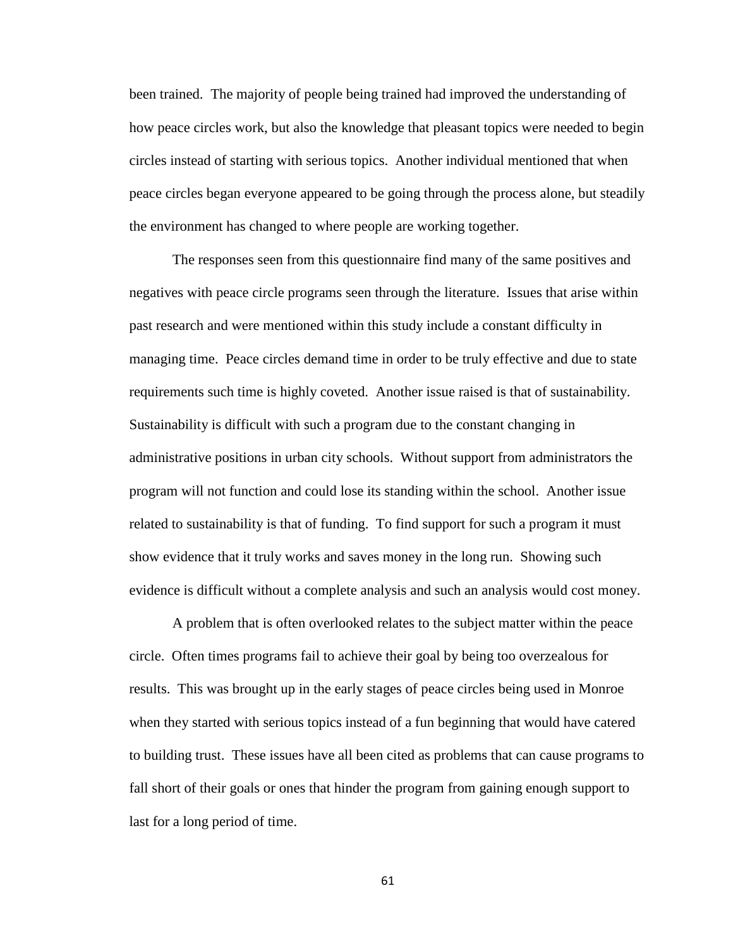been trained. The majority of people being trained had improved the understanding of how peace circles work, but also the knowledge that pleasant topics were needed to begin circles instead of starting with serious topics. Another individual mentioned that when peace circles began everyone appeared to be going through the process alone, but steadily the environment has changed to where people are working together.

The responses seen from this questionnaire find many of the same positives and negatives with peace circle programs seen through the literature. Issues that arise within past research and were mentioned within this study include a constant difficulty in managing time. Peace circles demand time in order to be truly effective and due to state requirements such time is highly coveted. Another issue raised is that of sustainability. Sustainability is difficult with such a program due to the constant changing in administrative positions in urban city schools. Without support from administrators the program will not function and could lose its standing within the school. Another issue related to sustainability is that of funding. To find support for such a program it must show evidence that it truly works and saves money in the long run. Showing such evidence is difficult without a complete analysis and such an analysis would cost money.

A problem that is often overlooked relates to the subject matter within the peace circle. Often times programs fail to achieve their goal by being too overzealous for results. This was brought up in the early stages of peace circles being used in Monroe when they started with serious topics instead of a fun beginning that would have catered to building trust. These issues have all been cited as problems that can cause programs to fall short of their goals or ones that hinder the program from gaining enough support to last for a long period of time.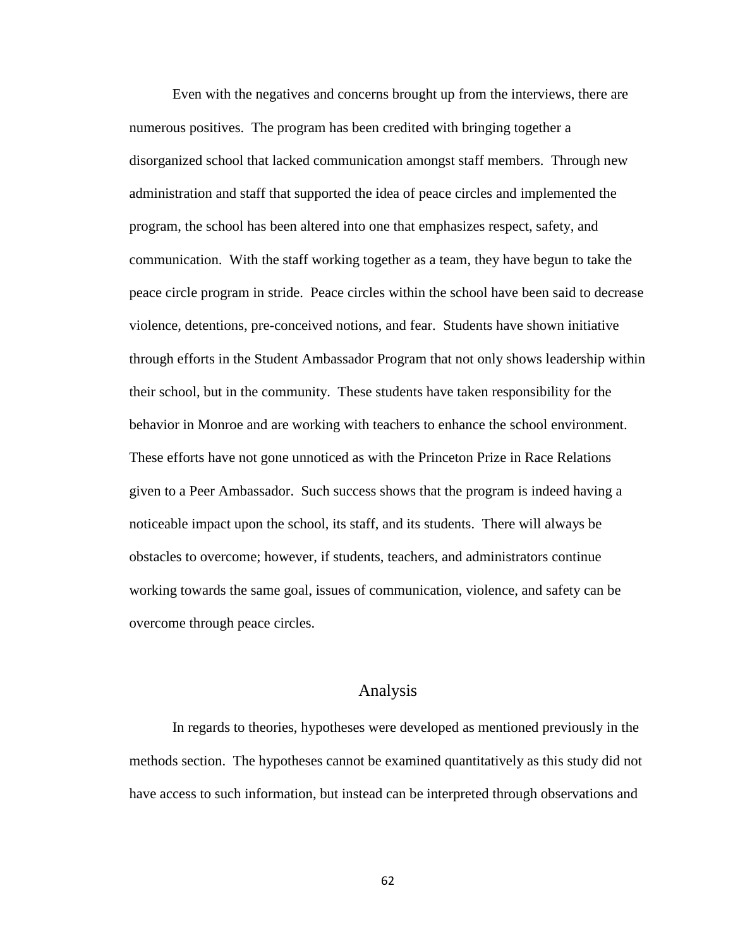Even with the negatives and concerns brought up from the interviews, there are numerous positives. The program has been credited with bringing together a disorganized school that lacked communication amongst staff members. Through new administration and staff that supported the idea of peace circles and implemented the program, the school has been altered into one that emphasizes respect, safety, and communication. With the staff working together as a team, they have begun to take the peace circle program in stride. Peace circles within the school have been said to decrease violence, detentions, pre-conceived notions, and fear. Students have shown initiative through efforts in the Student Ambassador Program that not only shows leadership within their school, but in the community. These students have taken responsibility for the behavior in Monroe and are working with teachers to enhance the school environment. These efforts have not gone unnoticed as with the Princeton Prize in Race Relations given to a Peer Ambassador. Such success shows that the program is indeed having a noticeable impact upon the school, its staff, and its students. There will always be obstacles to overcome; however, if students, teachers, and administrators continue working towards the same goal, issues of communication, violence, and safety can be overcome through peace circles.

# Analysis

In regards to theories, hypotheses were developed as mentioned previously in the methods section. The hypotheses cannot be examined quantitatively as this study did not have access to such information, but instead can be interpreted through observations and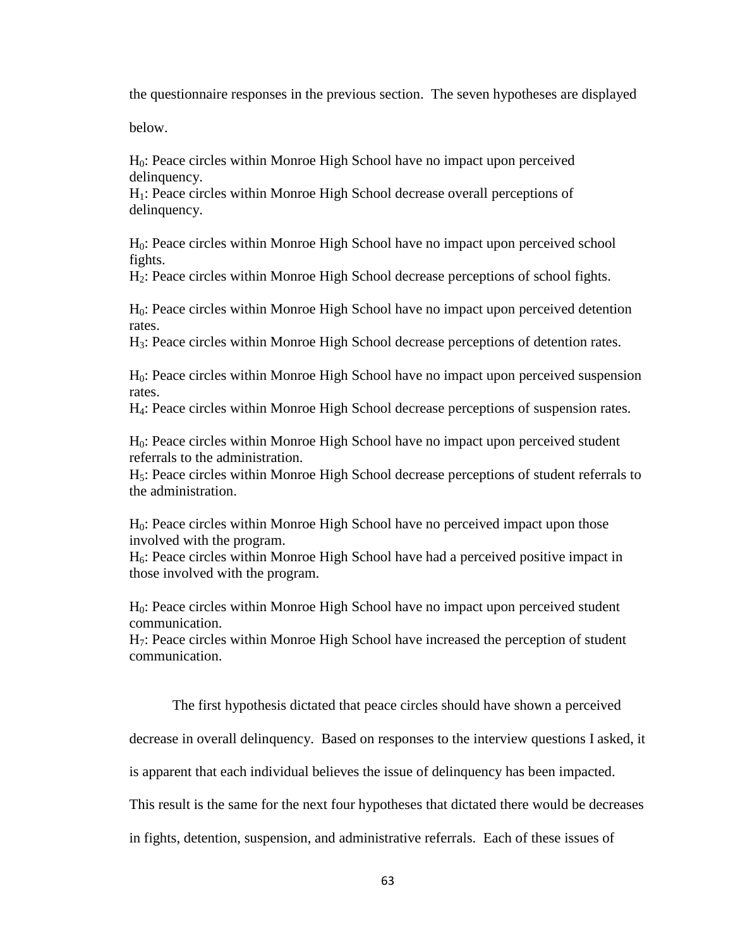the questionnaire responses in the previous section. The seven hypotheses are displayed

below.

H0: Peace circles within Monroe High School have no impact upon perceived delinquency.

H1: Peace circles within Monroe High School decrease overall perceptions of delinquency.

H0: Peace circles within Monroe High School have no impact upon perceived school fights.

H2: Peace circles within Monroe High School decrease perceptions of school fights.

H0: Peace circles within Monroe High School have no impact upon perceived detention rates.

H3: Peace circles within Monroe High School decrease perceptions of detention rates.

H0: Peace circles within Monroe High School have no impact upon perceived suspension rates.

H4: Peace circles within Monroe High School decrease perceptions of suspension rates.

H0: Peace circles within Monroe High School have no impact upon perceived student referrals to the administration.

H5: Peace circles within Monroe High School decrease perceptions of student referrals to the administration.

H0: Peace circles within Monroe High School have no perceived impact upon those involved with the program.

 $H<sub>6</sub>$ : Peace circles within Monroe High School have had a perceived positive impact in those involved with the program.

H0: Peace circles within Monroe High School have no impact upon perceived student communication.

H7: Peace circles within Monroe High School have increased the perception of student communication.

The first hypothesis dictated that peace circles should have shown a perceived

decrease in overall delinquency. Based on responses to the interview questions I asked, it

is apparent that each individual believes the issue of delinquency has been impacted.

This result is the same for the next four hypotheses that dictated there would be decreases

in fights, detention, suspension, and administrative referrals. Each of these issues of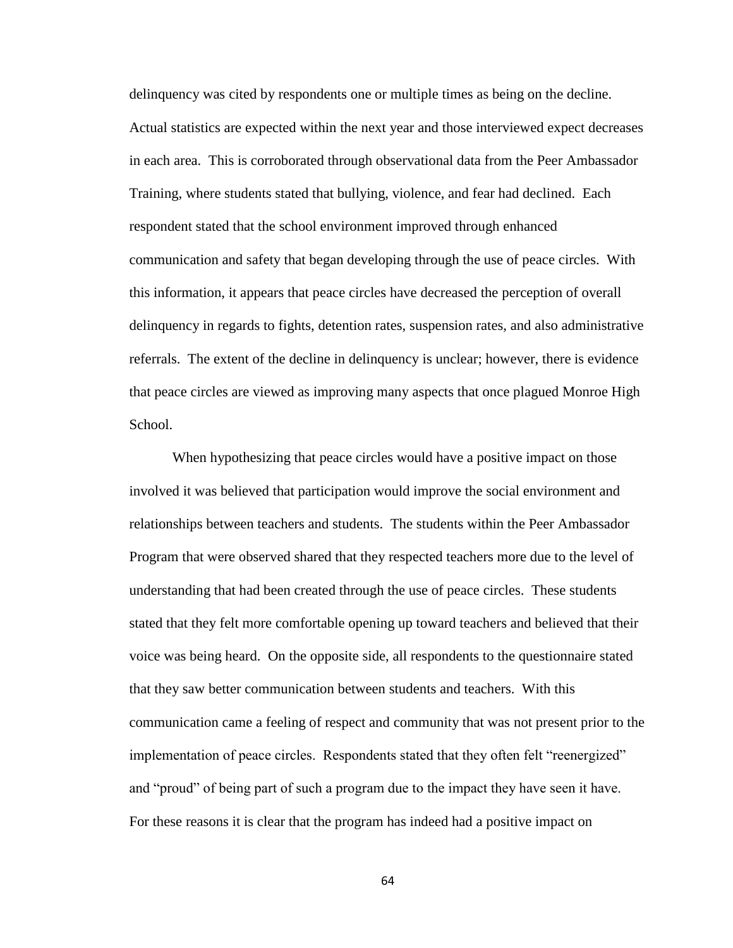delinquency was cited by respondents one or multiple times as being on the decline. Actual statistics are expected within the next year and those interviewed expect decreases in each area. This is corroborated through observational data from the Peer Ambassador Training, where students stated that bullying, violence, and fear had declined. Each respondent stated that the school environment improved through enhanced communication and safety that began developing through the use of peace circles. With this information, it appears that peace circles have decreased the perception of overall delinquency in regards to fights, detention rates, suspension rates, and also administrative referrals. The extent of the decline in delinquency is unclear; however, there is evidence that peace circles are viewed as improving many aspects that once plagued Monroe High School.

When hypothesizing that peace circles would have a positive impact on those involved it was believed that participation would improve the social environment and relationships between teachers and students. The students within the Peer Ambassador Program that were observed shared that they respected teachers more due to the level of understanding that had been created through the use of peace circles. These students stated that they felt more comfortable opening up toward teachers and believed that their voice was being heard. On the opposite side, all respondents to the questionnaire stated that they saw better communication between students and teachers. With this communication came a feeling of respect and community that was not present prior to the implementation of peace circles. Respondents stated that they often felt "reenergized" and "proud" of being part of such a program due to the impact they have seen it have. For these reasons it is clear that the program has indeed had a positive impact on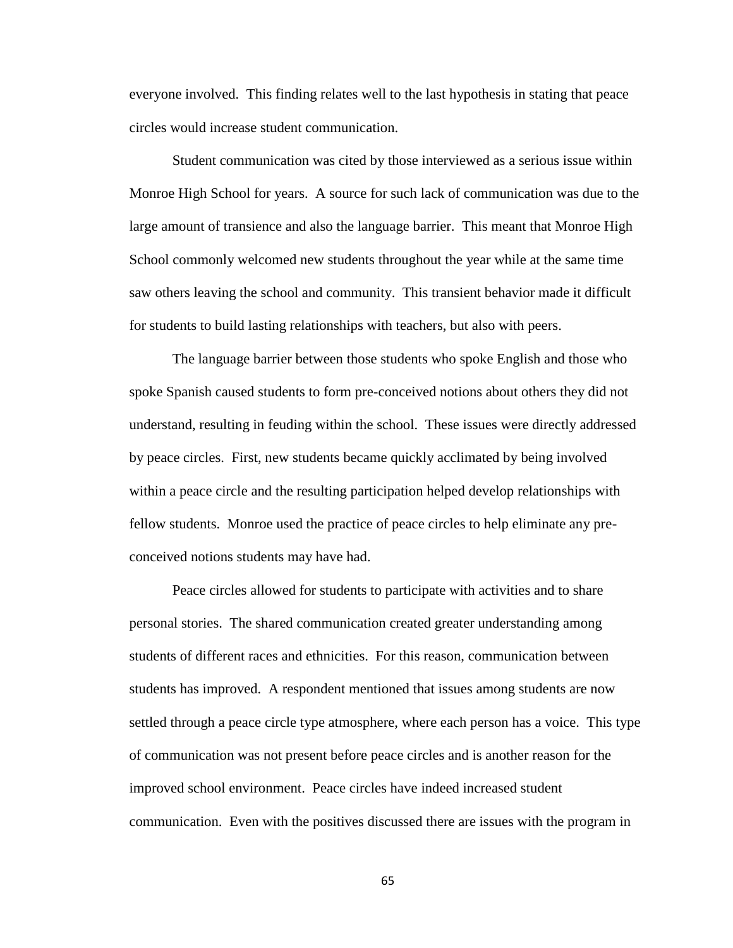everyone involved. This finding relates well to the last hypothesis in stating that peace circles would increase student communication.

Student communication was cited by those interviewed as a serious issue within Monroe High School for years. A source for such lack of communication was due to the large amount of transience and also the language barrier. This meant that Monroe High School commonly welcomed new students throughout the year while at the same time saw others leaving the school and community. This transient behavior made it difficult for students to build lasting relationships with teachers, but also with peers.

The language barrier between those students who spoke English and those who spoke Spanish caused students to form pre-conceived notions about others they did not understand, resulting in feuding within the school. These issues were directly addressed by peace circles. First, new students became quickly acclimated by being involved within a peace circle and the resulting participation helped develop relationships with fellow students. Monroe used the practice of peace circles to help eliminate any preconceived notions students may have had.

Peace circles allowed for students to participate with activities and to share personal stories. The shared communication created greater understanding among students of different races and ethnicities. For this reason, communication between students has improved. A respondent mentioned that issues among students are now settled through a peace circle type atmosphere, where each person has a voice. This type of communication was not present before peace circles and is another reason for the improved school environment. Peace circles have indeed increased student communication. Even with the positives discussed there are issues with the program in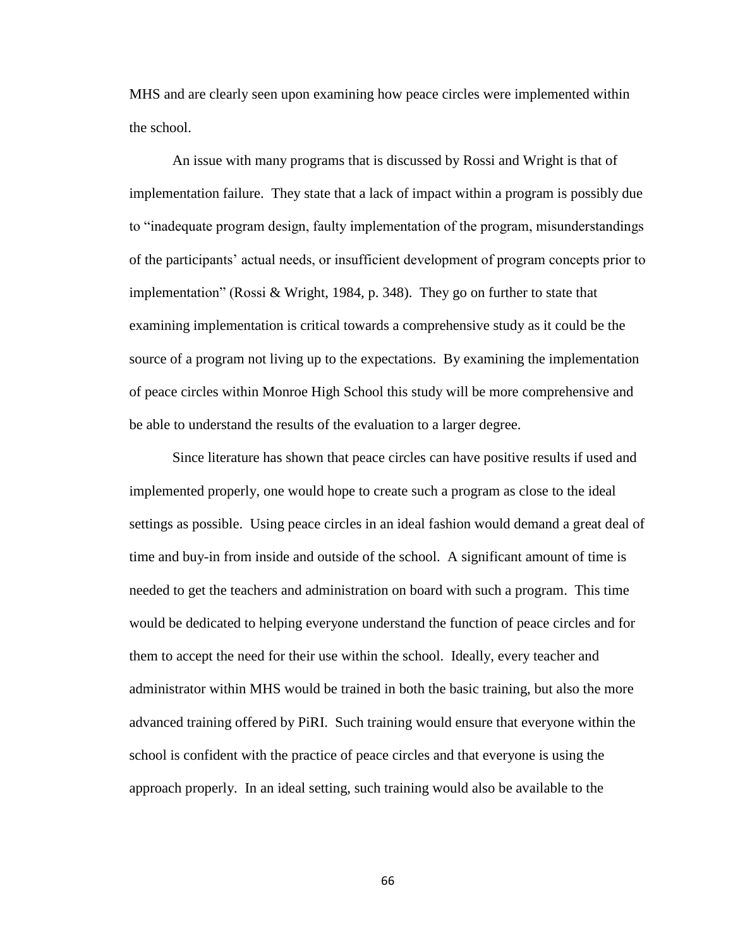MHS and are clearly seen upon examining how peace circles were implemented within the school.

An issue with many programs that is discussed by Rossi and Wright is that of implementation failure. They state that a lack of impact within a program is possibly due to "inadequate program design, faulty implementation of the program, misunderstandings of the participants' actual needs, or insufficient development of program concepts prior to implementation" (Rossi & Wright, 1984, p. 348). They go on further to state that examining implementation is critical towards a comprehensive study as it could be the source of a program not living up to the expectations. By examining the implementation of peace circles within Monroe High School this study will be more comprehensive and be able to understand the results of the evaluation to a larger degree.

Since literature has shown that peace circles can have positive results if used and implemented properly, one would hope to create such a program as close to the ideal settings as possible. Using peace circles in an ideal fashion would demand a great deal of time and buy-in from inside and outside of the school. A significant amount of time is needed to get the teachers and administration on board with such a program. This time would be dedicated to helping everyone understand the function of peace circles and for them to accept the need for their use within the school. Ideally, every teacher and administrator within MHS would be trained in both the basic training, but also the more advanced training offered by PiRI. Such training would ensure that everyone within the school is confident with the practice of peace circles and that everyone is using the approach properly. In an ideal setting, such training would also be available to the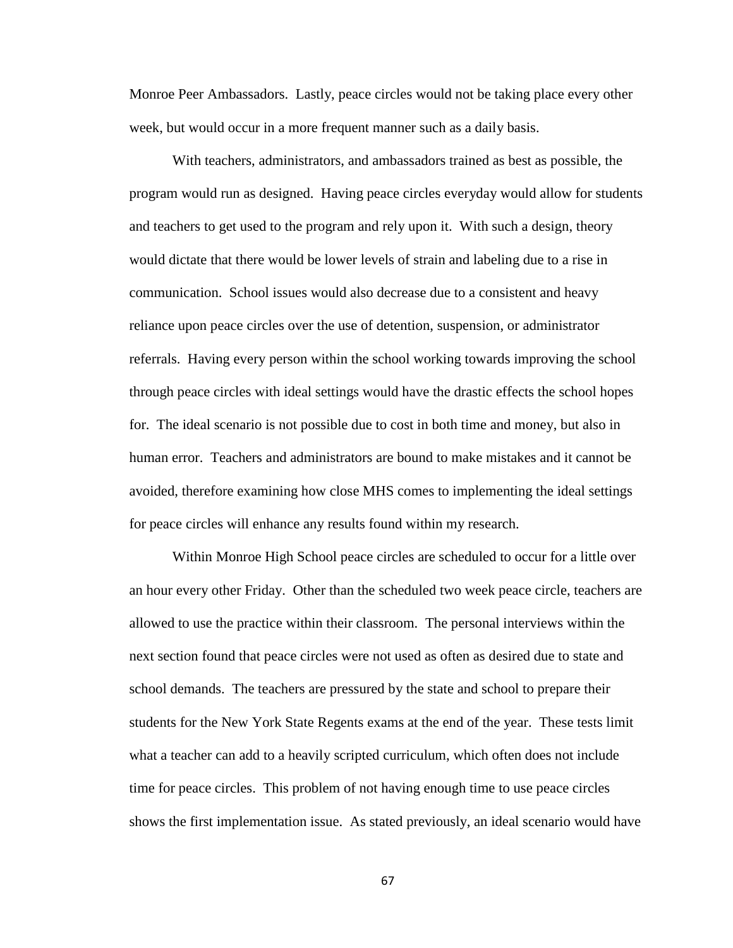Monroe Peer Ambassadors. Lastly, peace circles would not be taking place every other week, but would occur in a more frequent manner such as a daily basis.

With teachers, administrators, and ambassadors trained as best as possible, the program would run as designed. Having peace circles everyday would allow for students and teachers to get used to the program and rely upon it. With such a design, theory would dictate that there would be lower levels of strain and labeling due to a rise in communication. School issues would also decrease due to a consistent and heavy reliance upon peace circles over the use of detention, suspension, or administrator referrals. Having every person within the school working towards improving the school through peace circles with ideal settings would have the drastic effects the school hopes for. The ideal scenario is not possible due to cost in both time and money, but also in human error. Teachers and administrators are bound to make mistakes and it cannot be avoided, therefore examining how close MHS comes to implementing the ideal settings for peace circles will enhance any results found within my research.

Within Monroe High School peace circles are scheduled to occur for a little over an hour every other Friday. Other than the scheduled two week peace circle, teachers are allowed to use the practice within their classroom. The personal interviews within the next section found that peace circles were not used as often as desired due to state and school demands. The teachers are pressured by the state and school to prepare their students for the New York State Regents exams at the end of the year. These tests limit what a teacher can add to a heavily scripted curriculum, which often does not include time for peace circles. This problem of not having enough time to use peace circles shows the first implementation issue. As stated previously, an ideal scenario would have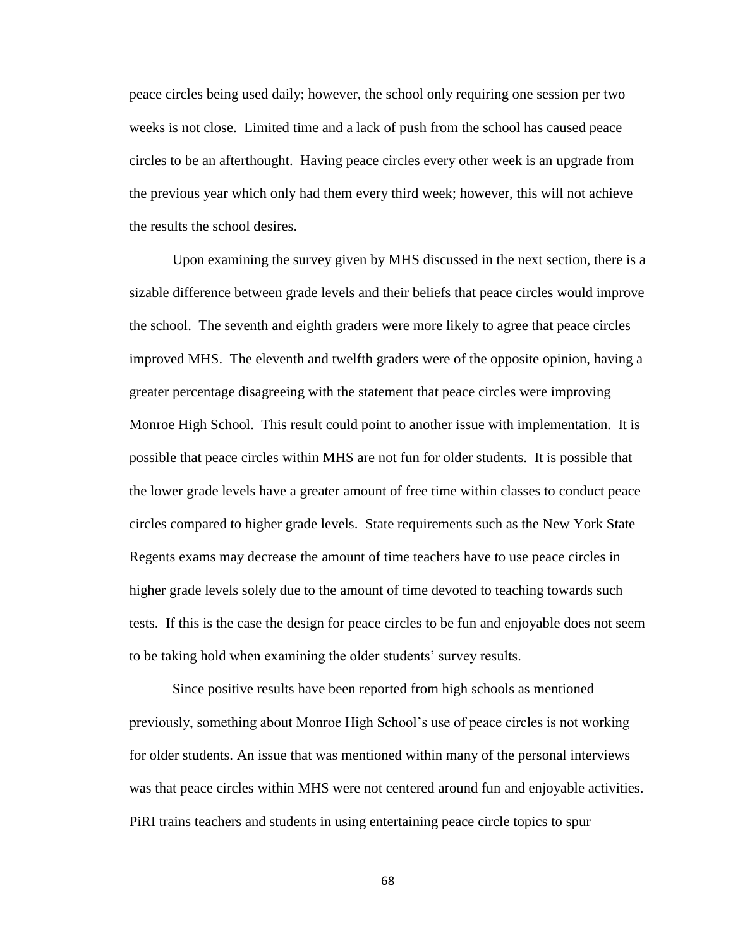peace circles being used daily; however, the school only requiring one session per two weeks is not close. Limited time and a lack of push from the school has caused peace circles to be an afterthought. Having peace circles every other week is an upgrade from the previous year which only had them every third week; however, this will not achieve the results the school desires.

Upon examining the survey given by MHS discussed in the next section, there is a sizable difference between grade levels and their beliefs that peace circles would improve the school. The seventh and eighth graders were more likely to agree that peace circles improved MHS. The eleventh and twelfth graders were of the opposite opinion, having a greater percentage disagreeing with the statement that peace circles were improving Monroe High School. This result could point to another issue with implementation. It is possible that peace circles within MHS are not fun for older students. It is possible that the lower grade levels have a greater amount of free time within classes to conduct peace circles compared to higher grade levels. State requirements such as the New York State Regents exams may decrease the amount of time teachers have to use peace circles in higher grade levels solely due to the amount of time devoted to teaching towards such tests. If this is the case the design for peace circles to be fun and enjoyable does not seem to be taking hold when examining the older students' survey results.

Since positive results have been reported from high schools as mentioned previously, something about Monroe High School's use of peace circles is not working for older students. An issue that was mentioned within many of the personal interviews was that peace circles within MHS were not centered around fun and enjoyable activities. PiRI trains teachers and students in using entertaining peace circle topics to spur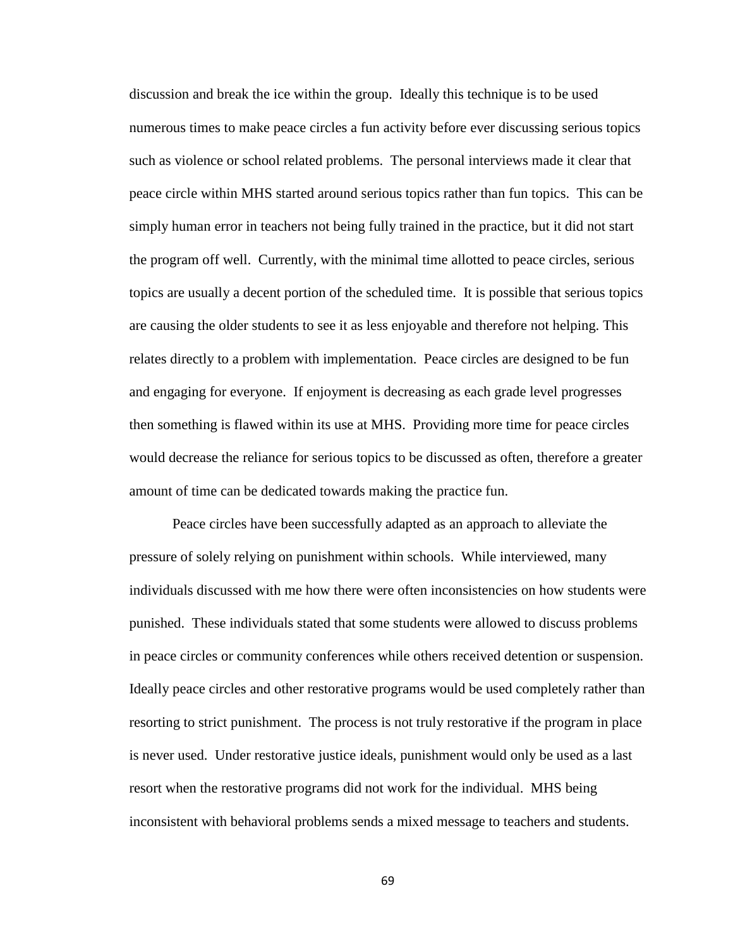discussion and break the ice within the group. Ideally this technique is to be used numerous times to make peace circles a fun activity before ever discussing serious topics such as violence or school related problems. The personal interviews made it clear that peace circle within MHS started around serious topics rather than fun topics. This can be simply human error in teachers not being fully trained in the practice, but it did not start the program off well. Currently, with the minimal time allotted to peace circles, serious topics are usually a decent portion of the scheduled time. It is possible that serious topics are causing the older students to see it as less enjoyable and therefore not helping. This relates directly to a problem with implementation. Peace circles are designed to be fun and engaging for everyone. If enjoyment is decreasing as each grade level progresses then something is flawed within its use at MHS. Providing more time for peace circles would decrease the reliance for serious topics to be discussed as often, therefore a greater amount of time can be dedicated towards making the practice fun.

Peace circles have been successfully adapted as an approach to alleviate the pressure of solely relying on punishment within schools. While interviewed, many individuals discussed with me how there were often inconsistencies on how students were punished. These individuals stated that some students were allowed to discuss problems in peace circles or community conferences while others received detention or suspension. Ideally peace circles and other restorative programs would be used completely rather than resorting to strict punishment. The process is not truly restorative if the program in place is never used. Under restorative justice ideals, punishment would only be used as a last resort when the restorative programs did not work for the individual. MHS being inconsistent with behavioral problems sends a mixed message to teachers and students.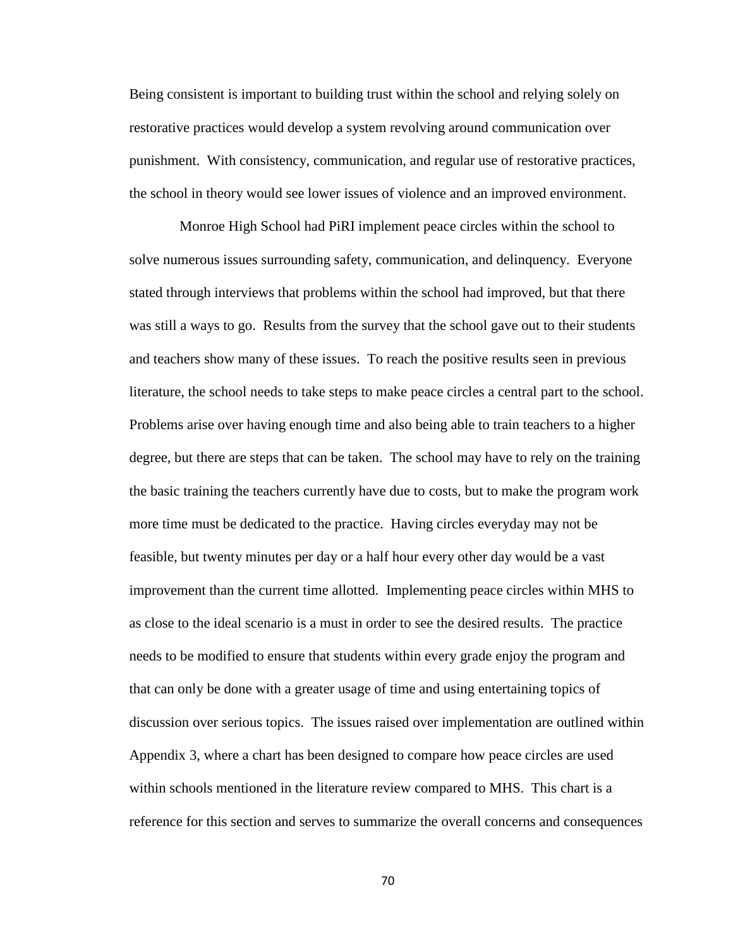Being consistent is important to building trust within the school and relying solely on restorative practices would develop a system revolving around communication over punishment. With consistency, communication, and regular use of restorative practices, the school in theory would see lower issues of violence and an improved environment.

 Monroe High School had PiRI implement peace circles within the school to solve numerous issues surrounding safety, communication, and delinquency. Everyone stated through interviews that problems within the school had improved, but that there was still a ways to go. Results from the survey that the school gave out to their students and teachers show many of these issues. To reach the positive results seen in previous literature, the school needs to take steps to make peace circles a central part to the school. Problems arise over having enough time and also being able to train teachers to a higher degree, but there are steps that can be taken. The school may have to rely on the training the basic training the teachers currently have due to costs, but to make the program work more time must be dedicated to the practice. Having circles everyday may not be feasible, but twenty minutes per day or a half hour every other day would be a vast improvement than the current time allotted. Implementing peace circles within MHS to as close to the ideal scenario is a must in order to see the desired results. The practice needs to be modified to ensure that students within every grade enjoy the program and that can only be done with a greater usage of time and using entertaining topics of discussion over serious topics. The issues raised over implementation are outlined within Appendix 3, where a chart has been designed to compare how peace circles are used within schools mentioned in the literature review compared to MHS. This chart is a reference for this section and serves to summarize the overall concerns and consequences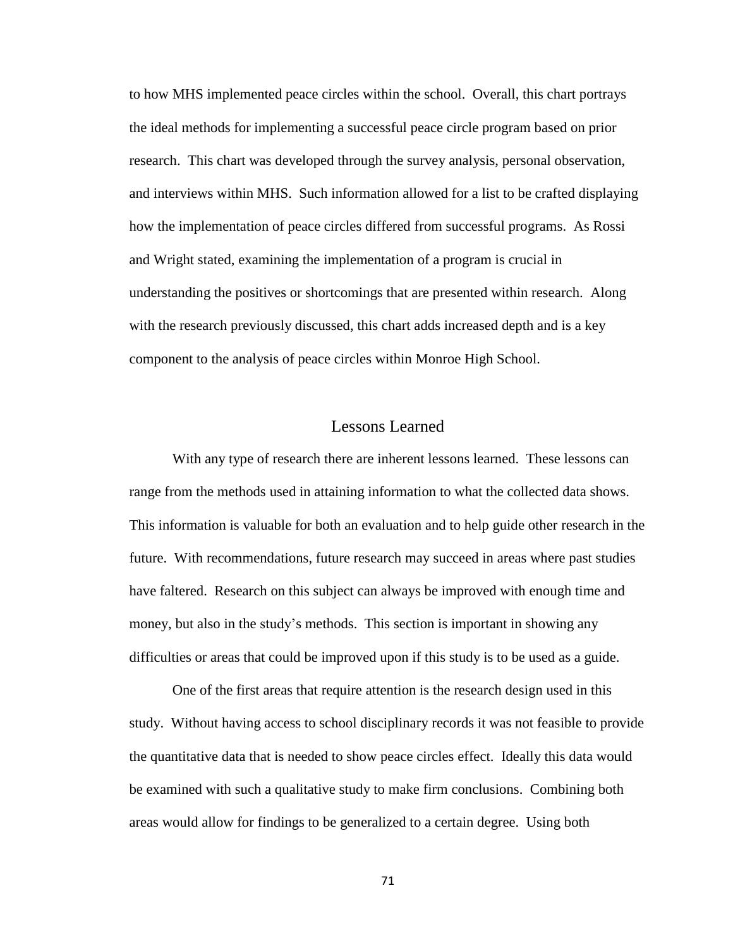to how MHS implemented peace circles within the school. Overall, this chart portrays the ideal methods for implementing a successful peace circle program based on prior research. This chart was developed through the survey analysis, personal observation, and interviews within MHS. Such information allowed for a list to be crafted displaying how the implementation of peace circles differed from successful programs. As Rossi and Wright stated, examining the implementation of a program is crucial in understanding the positives or shortcomings that are presented within research. Along with the research previously discussed, this chart adds increased depth and is a key component to the analysis of peace circles within Monroe High School.

## Lessons Learned

With any type of research there are inherent lessons learned. These lessons can range from the methods used in attaining information to what the collected data shows. This information is valuable for both an evaluation and to help guide other research in the future. With recommendations, future research may succeed in areas where past studies have faltered. Research on this subject can always be improved with enough time and money, but also in the study's methods. This section is important in showing any difficulties or areas that could be improved upon if this study is to be used as a guide.

One of the first areas that require attention is the research design used in this study. Without having access to school disciplinary records it was not feasible to provide the quantitative data that is needed to show peace circles effect. Ideally this data would be examined with such a qualitative study to make firm conclusions. Combining both areas would allow for findings to be generalized to a certain degree. Using both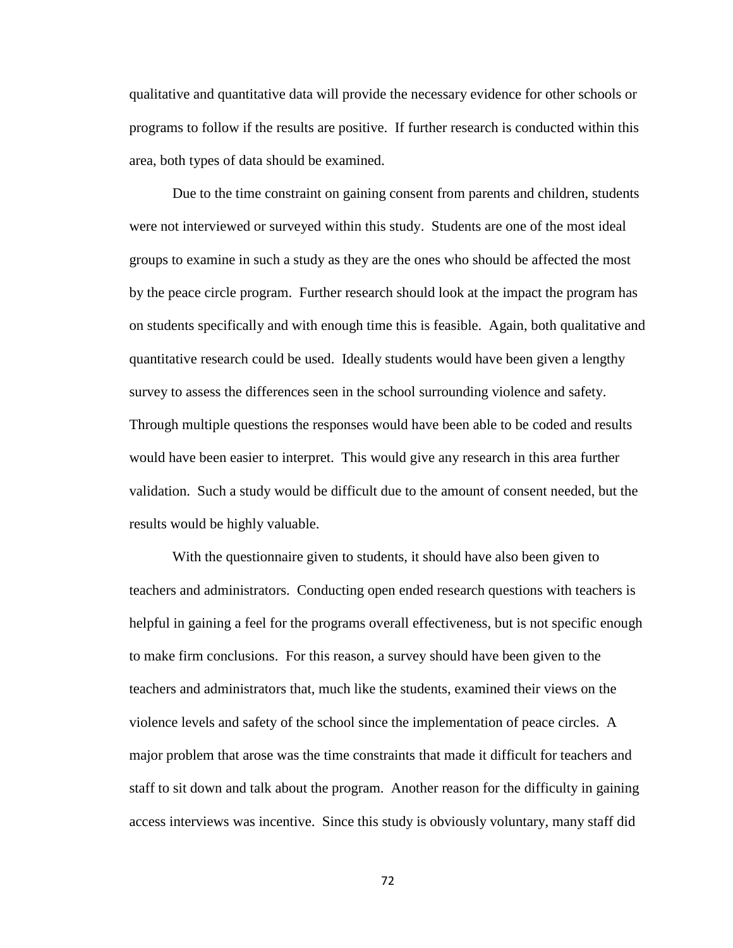qualitative and quantitative data will provide the necessary evidence for other schools or programs to follow if the results are positive. If further research is conducted within this area, both types of data should be examined.

Due to the time constraint on gaining consent from parents and children, students were not interviewed or surveyed within this study. Students are one of the most ideal groups to examine in such a study as they are the ones who should be affected the most by the peace circle program. Further research should look at the impact the program has on students specifically and with enough time this is feasible. Again, both qualitative and quantitative research could be used. Ideally students would have been given a lengthy survey to assess the differences seen in the school surrounding violence and safety. Through multiple questions the responses would have been able to be coded and results would have been easier to interpret. This would give any research in this area further validation. Such a study would be difficult due to the amount of consent needed, but the results would be highly valuable.

With the questionnaire given to students, it should have also been given to teachers and administrators. Conducting open ended research questions with teachers is helpful in gaining a feel for the programs overall effectiveness, but is not specific enough to make firm conclusions. For this reason, a survey should have been given to the teachers and administrators that, much like the students, examined their views on the violence levels and safety of the school since the implementation of peace circles. A major problem that arose was the time constraints that made it difficult for teachers and staff to sit down and talk about the program. Another reason for the difficulty in gaining access interviews was incentive. Since this study is obviously voluntary, many staff did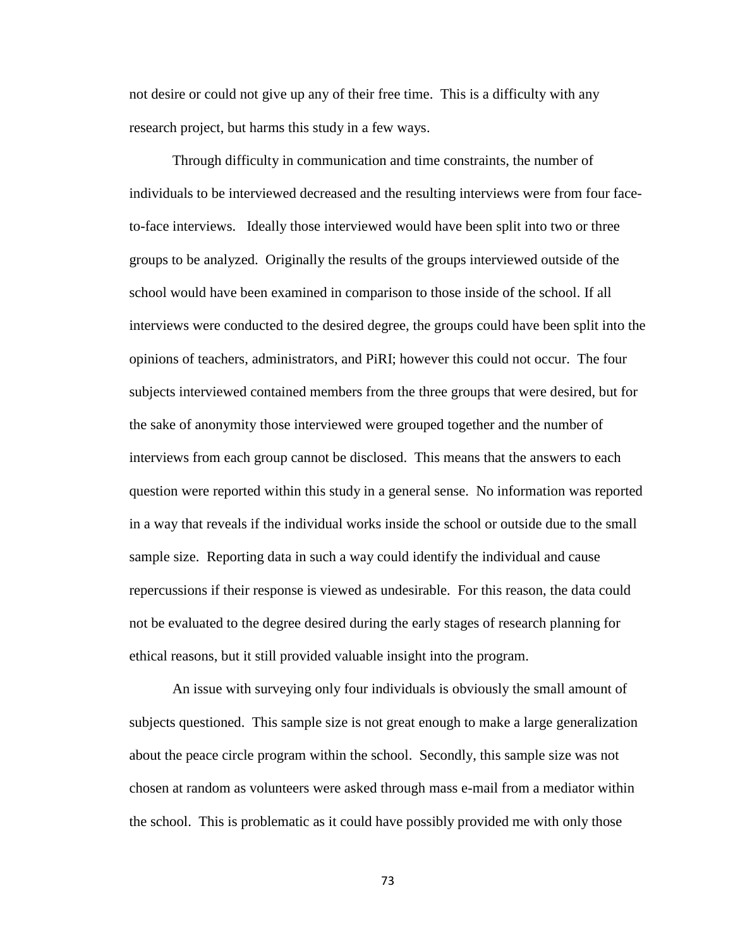not desire or could not give up any of their free time. This is a difficulty with any research project, but harms this study in a few ways.

Through difficulty in communication and time constraints, the number of individuals to be interviewed decreased and the resulting interviews were from four faceto-face interviews. Ideally those interviewed would have been split into two or three groups to be analyzed. Originally the results of the groups interviewed outside of the school would have been examined in comparison to those inside of the school. If all interviews were conducted to the desired degree, the groups could have been split into the opinions of teachers, administrators, and PiRI; however this could not occur. The four subjects interviewed contained members from the three groups that were desired, but for the sake of anonymity those interviewed were grouped together and the number of interviews from each group cannot be disclosed. This means that the answers to each question were reported within this study in a general sense. No information was reported in a way that reveals if the individual works inside the school or outside due to the small sample size. Reporting data in such a way could identify the individual and cause repercussions if their response is viewed as undesirable. For this reason, the data could not be evaluated to the degree desired during the early stages of research planning for ethical reasons, but it still provided valuable insight into the program.

An issue with surveying only four individuals is obviously the small amount of subjects questioned. This sample size is not great enough to make a large generalization about the peace circle program within the school. Secondly, this sample size was not chosen at random as volunteers were asked through mass e-mail from a mediator within the school. This is problematic as it could have possibly provided me with only those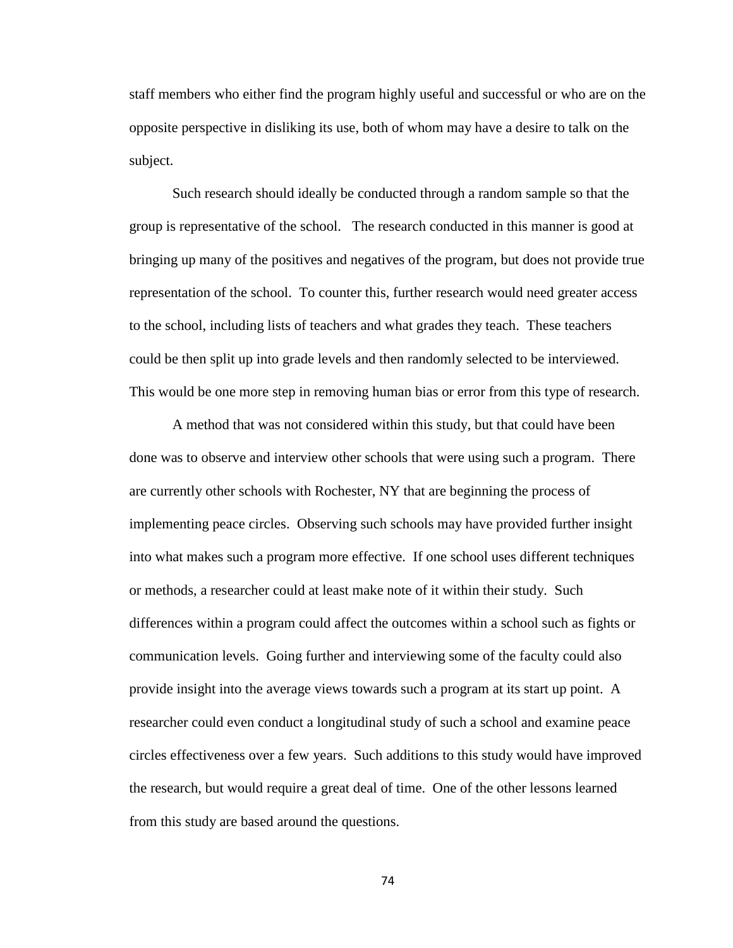staff members who either find the program highly useful and successful or who are on the opposite perspective in disliking its use, both of whom may have a desire to talk on the subject.

Such research should ideally be conducted through a random sample so that the group is representative of the school. The research conducted in this manner is good at bringing up many of the positives and negatives of the program, but does not provide true representation of the school. To counter this, further research would need greater access to the school, including lists of teachers and what grades they teach. These teachers could be then split up into grade levels and then randomly selected to be interviewed. This would be one more step in removing human bias or error from this type of research.

A method that was not considered within this study, but that could have been done was to observe and interview other schools that were using such a program. There are currently other schools with Rochester, NY that are beginning the process of implementing peace circles. Observing such schools may have provided further insight into what makes such a program more effective. If one school uses different techniques or methods, a researcher could at least make note of it within their study. Such differences within a program could affect the outcomes within a school such as fights or communication levels. Going further and interviewing some of the faculty could also provide insight into the average views towards such a program at its start up point. A researcher could even conduct a longitudinal study of such a school and examine peace circles effectiveness over a few years. Such additions to this study would have improved the research, but would require a great deal of time. One of the other lessons learned from this study are based around the questions.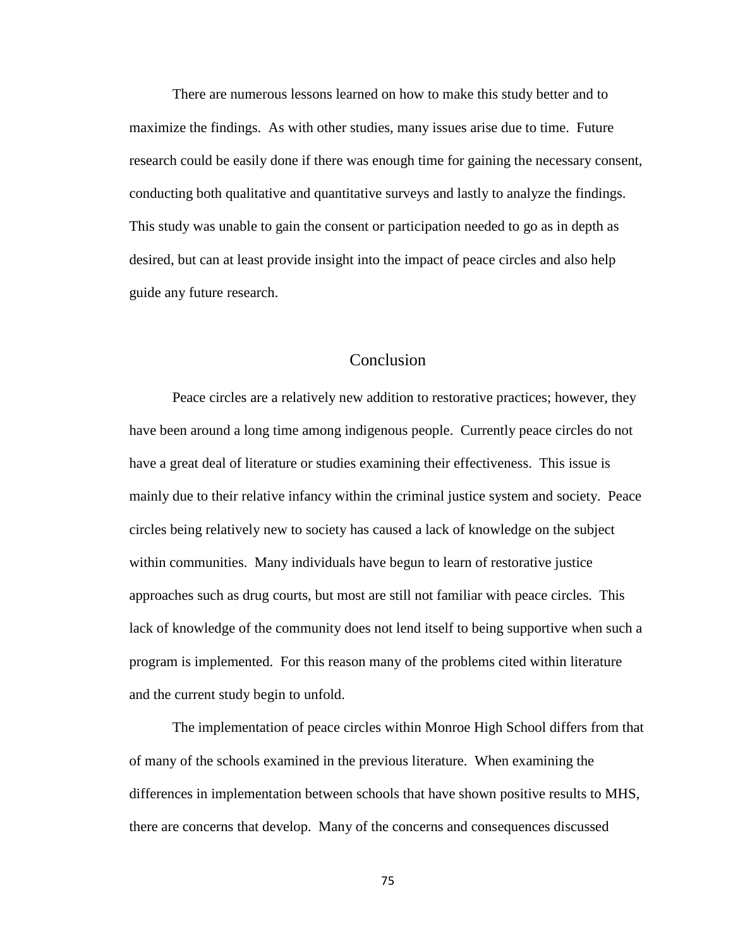There are numerous lessons learned on how to make this study better and to maximize the findings. As with other studies, many issues arise due to time. Future research could be easily done if there was enough time for gaining the necessary consent, conducting both qualitative and quantitative surveys and lastly to analyze the findings. This study was unable to gain the consent or participation needed to go as in depth as desired, but can at least provide insight into the impact of peace circles and also help guide any future research.

## Conclusion

Peace circles are a relatively new addition to restorative practices; however, they have been around a long time among indigenous people. Currently peace circles do not have a great deal of literature or studies examining their effectiveness. This issue is mainly due to their relative infancy within the criminal justice system and society. Peace circles being relatively new to society has caused a lack of knowledge on the subject within communities. Many individuals have begun to learn of restorative justice approaches such as drug courts, but most are still not familiar with peace circles. This lack of knowledge of the community does not lend itself to being supportive when such a program is implemented. For this reason many of the problems cited within literature and the current study begin to unfold.

The implementation of peace circles within Monroe High School differs from that of many of the schools examined in the previous literature. When examining the differences in implementation between schools that have shown positive results to MHS, there are concerns that develop. Many of the concerns and consequences discussed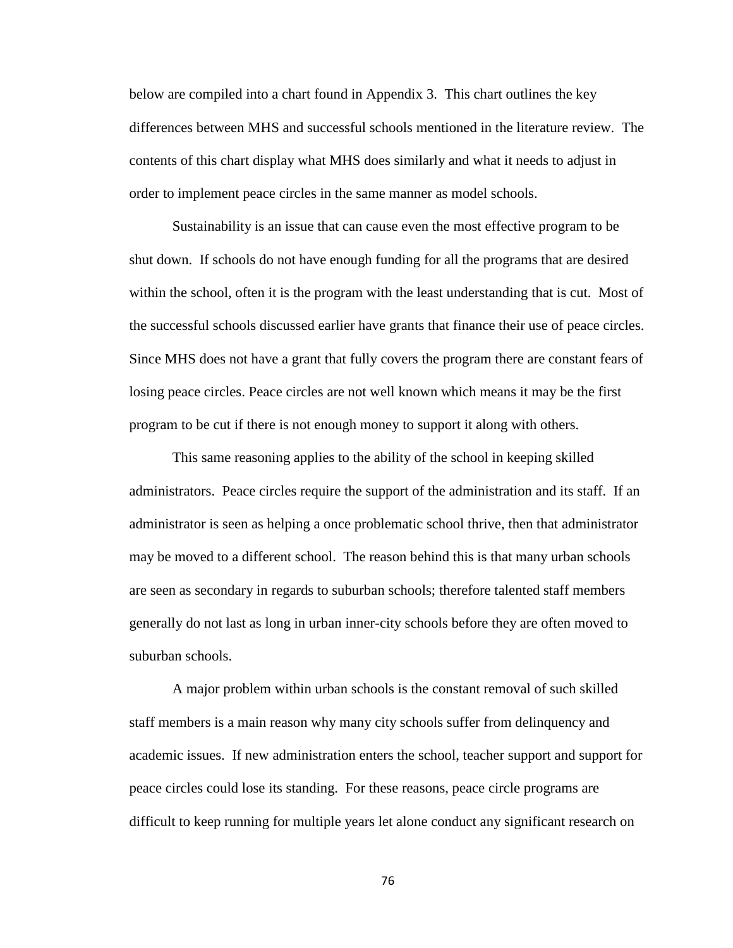below are compiled into a chart found in Appendix 3. This chart outlines the key differences between MHS and successful schools mentioned in the literature review. The contents of this chart display what MHS does similarly and what it needs to adjust in order to implement peace circles in the same manner as model schools.

Sustainability is an issue that can cause even the most effective program to be shut down. If schools do not have enough funding for all the programs that are desired within the school, often it is the program with the least understanding that is cut. Most of the successful schools discussed earlier have grants that finance their use of peace circles. Since MHS does not have a grant that fully covers the program there are constant fears of losing peace circles. Peace circles are not well known which means it may be the first program to be cut if there is not enough money to support it along with others.

This same reasoning applies to the ability of the school in keeping skilled administrators. Peace circles require the support of the administration and its staff. If an administrator is seen as helping a once problematic school thrive, then that administrator may be moved to a different school. The reason behind this is that many urban schools are seen as secondary in regards to suburban schools; therefore talented staff members generally do not last as long in urban inner-city schools before they are often moved to suburban schools.

A major problem within urban schools is the constant removal of such skilled staff members is a main reason why many city schools suffer from delinquency and academic issues. If new administration enters the school, teacher support and support for peace circles could lose its standing. For these reasons, peace circle programs are difficult to keep running for multiple years let alone conduct any significant research on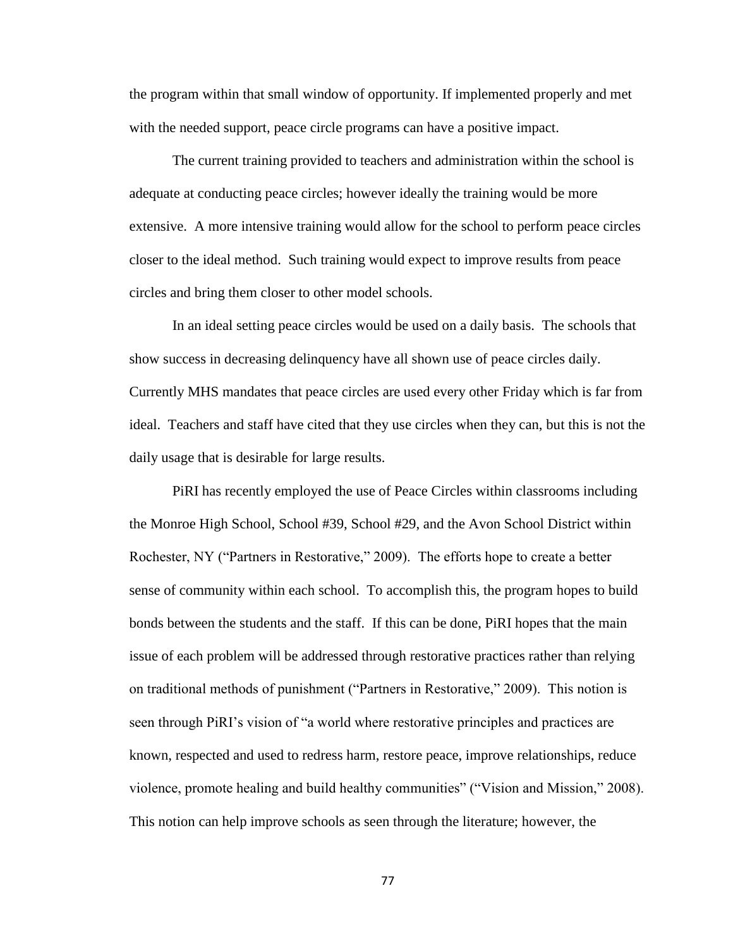the program within that small window of opportunity. If implemented properly and met with the needed support, peace circle programs can have a positive impact.

The current training provided to teachers and administration within the school is adequate at conducting peace circles; however ideally the training would be more extensive. A more intensive training would allow for the school to perform peace circles closer to the ideal method. Such training would expect to improve results from peace circles and bring them closer to other model schools.

In an ideal setting peace circles would be used on a daily basis. The schools that show success in decreasing delinquency have all shown use of peace circles daily. Currently MHS mandates that peace circles are used every other Friday which is far from ideal. Teachers and staff have cited that they use circles when they can, but this is not the daily usage that is desirable for large results.

PiRI has recently employed the use of Peace Circles within classrooms including the Monroe High School, School #39, School #29, and the Avon School District within Rochester, NY ("Partners in Restorative," 2009). The efforts hope to create a better sense of community within each school. To accomplish this, the program hopes to build bonds between the students and the staff. If this can be done, PiRI hopes that the main issue of each problem will be addressed through restorative practices rather than relying on traditional methods of punishment ("Partners in Restorative," 2009). This notion is seen through PiRI's vision of "a world where restorative principles and practices are known, respected and used to redress harm, restore peace, improve relationships, reduce violence, promote healing and build healthy communities" ("Vision and Mission," 2008). This notion can help improve schools as seen through the literature; however, the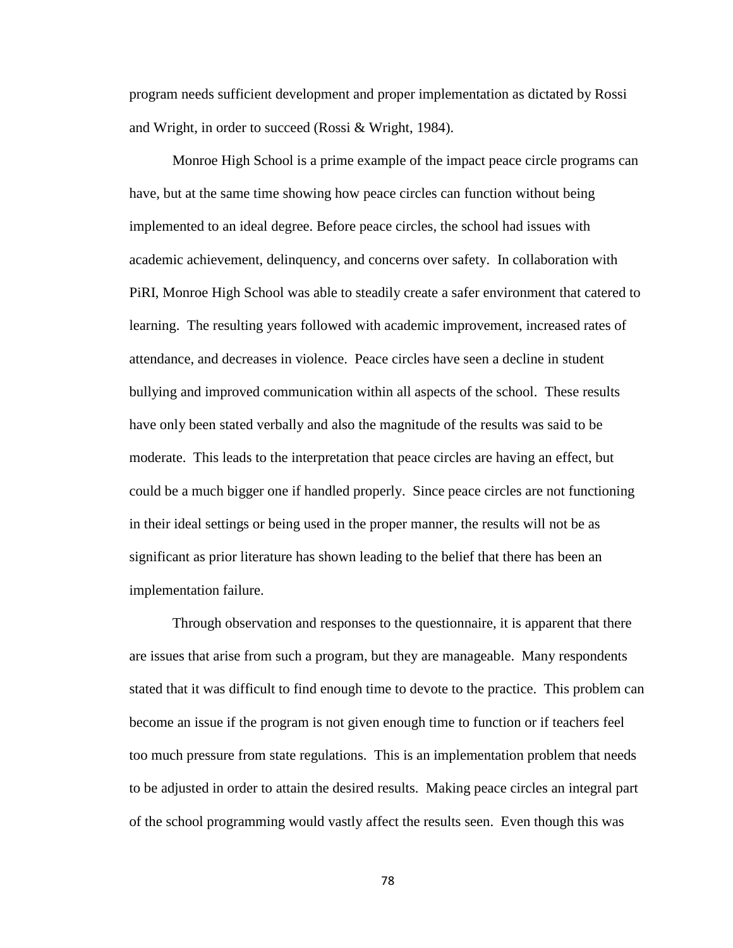program needs sufficient development and proper implementation as dictated by Rossi and Wright, in order to succeed (Rossi & Wright, 1984).

Monroe High School is a prime example of the impact peace circle programs can have, but at the same time showing how peace circles can function without being implemented to an ideal degree. Before peace circles, the school had issues with academic achievement, delinquency, and concerns over safety. In collaboration with PiRI, Monroe High School was able to steadily create a safer environment that catered to learning. The resulting years followed with academic improvement, increased rates of attendance, and decreases in violence. Peace circles have seen a decline in student bullying and improved communication within all aspects of the school. These results have only been stated verbally and also the magnitude of the results was said to be moderate. This leads to the interpretation that peace circles are having an effect, but could be a much bigger one if handled properly. Since peace circles are not functioning in their ideal settings or being used in the proper manner, the results will not be as significant as prior literature has shown leading to the belief that there has been an implementation failure.

Through observation and responses to the questionnaire, it is apparent that there are issues that arise from such a program, but they are manageable. Many respondents stated that it was difficult to find enough time to devote to the practice. This problem can become an issue if the program is not given enough time to function or if teachers feel too much pressure from state regulations. This is an implementation problem that needs to be adjusted in order to attain the desired results. Making peace circles an integral part of the school programming would vastly affect the results seen. Even though this was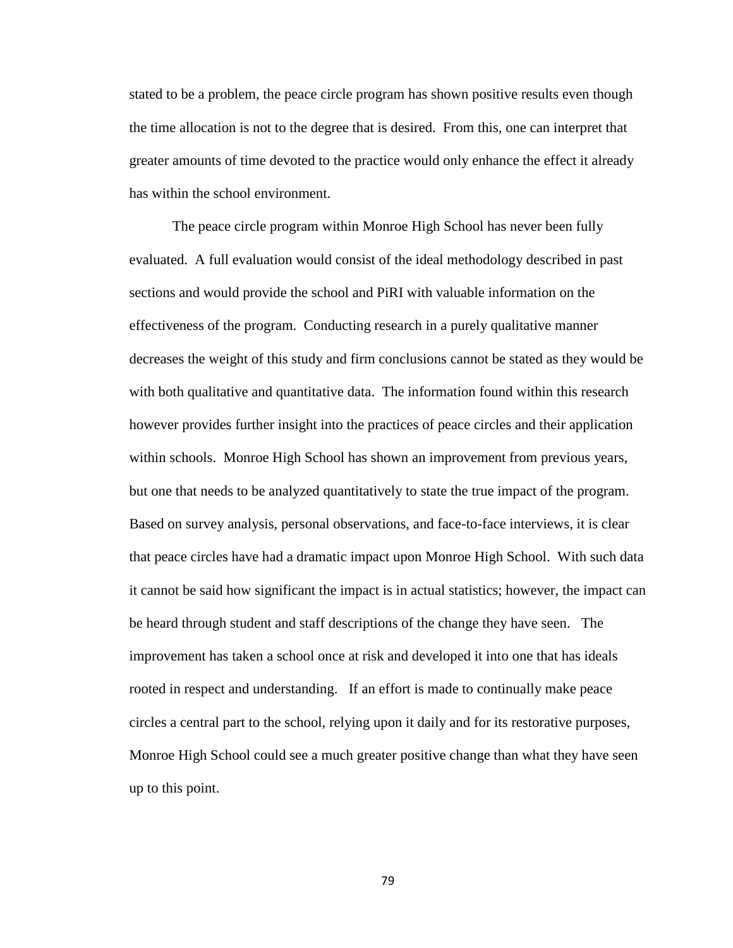stated to be a problem, the peace circle program has shown positive results even though the time allocation is not to the degree that is desired. From this, one can interpret that greater amounts of time devoted to the practice would only enhance the effect it already has within the school environment.

The peace circle program within Monroe High School has never been fully evaluated. A full evaluation would consist of the ideal methodology described in past sections and would provide the school and PiRI with valuable information on the effectiveness of the program. Conducting research in a purely qualitative manner decreases the weight of this study and firm conclusions cannot be stated as they would be with both qualitative and quantitative data. The information found within this research however provides further insight into the practices of peace circles and their application within schools. Monroe High School has shown an improvement from previous years, but one that needs to be analyzed quantitatively to state the true impact of the program. Based on survey analysis, personal observations, and face-to-face interviews, it is clear that peace circles have had a dramatic impact upon Monroe High School. With such data it cannot be said how significant the impact is in actual statistics; however, the impact can be heard through student and staff descriptions of the change they have seen. The improvement has taken a school once at risk and developed it into one that has ideals rooted in respect and understanding. If an effort is made to continually make peace circles a central part to the school, relying upon it daily and for its restorative purposes, Monroe High School could see a much greater positive change than what they have seen up to this point.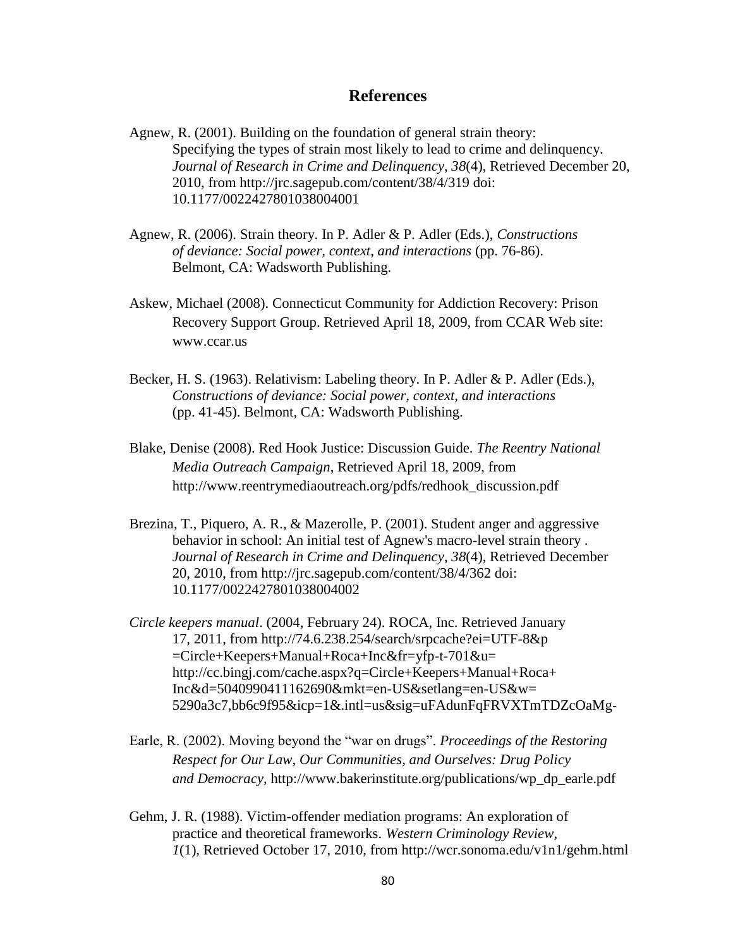## **References**

Agnew, R. (2001). Building on the foundation of general strain theory: Specifying the types of strain most likely to lead to crime and delinquency. *Journal of Research in Crime and Delinquency*, *38*(4), Retrieved December 20, 2010, from http://jrc.sagepub.com/content/38/4/319 doi: 10.1177/0022427801038004001

- Agnew, R. (2006). Strain theory. In P. Adler & P. Adler (Eds.), *Constructions of deviance: Social power, context, and interactions* (pp. 76-86). Belmont, CA: Wadsworth Publishing.
- Askew, Michael (2008). Connecticut Community for Addiction Recovery: Prison Recovery Support Group. Retrieved April 18, 2009, from CCAR Web site: www.ccar.us
- Becker, H. S. (1963). Relativism: Labeling theory. In P. Adler & P. Adler (Eds.), *Constructions of deviance: Social power, context, and interactions* (pp. 41-45). Belmont, CA: Wadsworth Publishing.
- Blake, Denise (2008). Red Hook Justice: Discussion Guide. *The Reentry National Media Outreach Campaign*, Retrieved April 18, 2009, from http://www.reentrymediaoutreach.org/pdfs/redhook\_discussion.pdf
- Brezina, T., Piquero, A. R., & Mazerolle, P. (2001). Student anger and aggressive behavior in school: An initial test of Agnew's macro-level strain theory . *Journal of Research in Crime and Delinquency*, *38*(4), Retrieved December 20, 2010, from http://jrc.sagepub.com/content/38/4/362 doi: 10.1177/0022427801038004002
- *Circle keepers manual*. (2004, February 24). ROCA, Inc. Retrieved January 17, 2011, from http://74.6.238.254/search/srpcache?ei=UTF-8&p =Circle+Keepers+Manual+Roca+Inc&fr=yfp-t-701&u= http://cc.bingj.com/cache.aspx?q=Circle+Keepers+Manual+Roca+ Inc&d=5040990411162690&mkt=en-US&setlang=en-US&w= 5290a3c7,bb6c9f95&icp=1&.intl=us&sig=uFAdunFqFRVXTmTDZcOaMg-
- Earle, R. (2002). Moving beyond the "war on drugs". *Proceedings of the Restoring Respect for Our Law, Our Communities, and Ourselves: Drug Policy and Democracy*, http://www.bakerinstitute.org/publications/wp\_dp\_earle.pdf
- Gehm, J. R. (1988). Victim-offender mediation programs: An exploration of practice and theoretical frameworks. *Western Criminology Review*, *1*(1), Retrieved October 17, 2010, from http://wcr.sonoma.edu/v1n1/gehm.html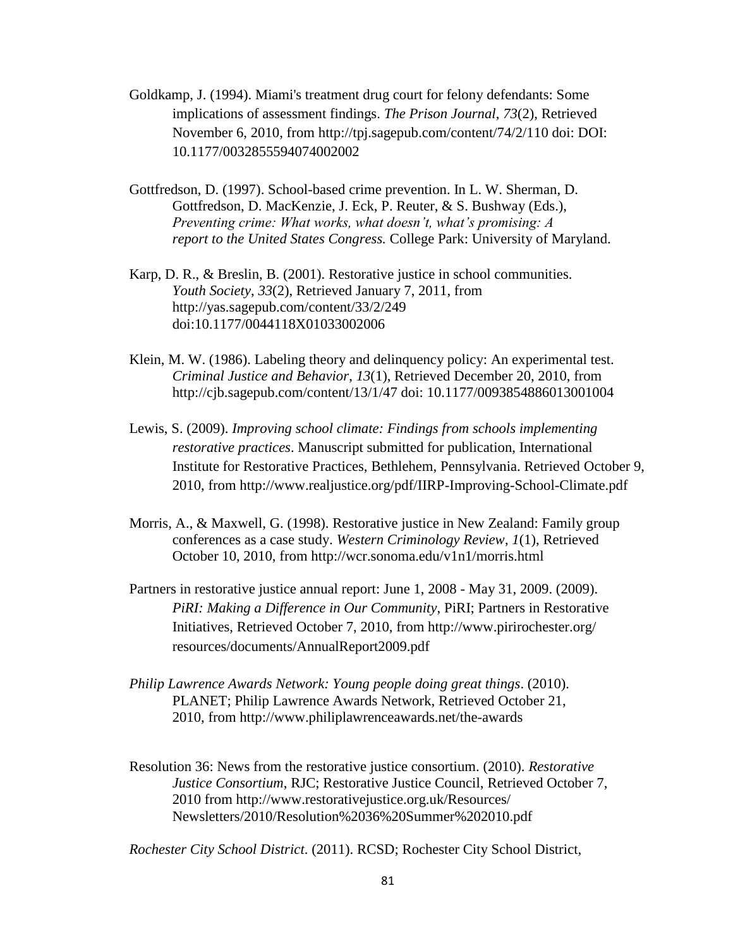- Goldkamp, J. (1994). Miami's treatment drug court for felony defendants: Some implications of assessment findings. *The Prison Journal*, *73*(2), Retrieved November 6, 2010, from http://tpj.sagepub.com/content/74/2/110 doi: DOI: 10.1177/0032855594074002002
- Gottfredson, D. (1997). School-based crime prevention. In L. W. Sherman, D. Gottfredson, D. MacKenzie, J. Eck, P. Reuter, & S. Bushway (Eds.), *Preventing crime: What works, what doesn't, what's promising: A report to the United States Congress.* College Park: University of Maryland.
- Karp, D. R., & Breslin, B. (2001). Restorative justice in school communities. *Youth Society*, *33*(2), Retrieved January 7, 2011, from http://yas.sagepub.com/content/33/2/249 doi:10.1177/0044118X01033002006
- Klein, M. W. (1986). Labeling theory and delinquency policy: An experimental test. *Criminal Justice and Behavior*, *13*(1), Retrieved December 20, 2010, from http://cjb.sagepub.com/content/13/1/47 doi: 10.1177/0093854886013001004
- Lewis, S. (2009). *Improving school climate: Findings from schools implementing restorative practices*. Manuscript submitted for publication, International Institute for Restorative Practices, Bethlehem, Pennsylvania. Retrieved October 9, 2010, from http://www.realjustice.org/pdf/IIRP-Improving-School-Climate.pdf
- Morris, A., & Maxwell, G. (1998). Restorative justice in New Zealand: Family group conferences as a case study. *Western Criminology Review*, *1*(1), Retrieved October 10, 2010, from http://wcr.sonoma.edu/v1n1/morris.html
- Partners in restorative justice annual report: June 1, 2008 May 31, 2009. (2009). *PiRI: Making a Difference in Our Community*, PiRI; Partners in Restorative Initiatives, Retrieved October 7, 2010, from http://www.pirirochester.org/ resources/documents/AnnualReport2009.pdf
- *Philip Lawrence Awards Network: Young people doing great things*. (2010). PLANET; Philip Lawrence Awards Network, Retrieved October 21, 2010, from http://www.philiplawrenceawards.net/the-awards
- Resolution 36: News from the restorative justice consortium. (2010). *Restorative Justice Consortium*, RJC; Restorative Justice Council, Retrieved October 7, 2010 from http://www.restorativejustice.org.uk/Resources/ Newsletters/2010/Resolution%2036%20Summer%202010.pdf

*Rochester City School District*. (2011). RCSD; Rochester City School District,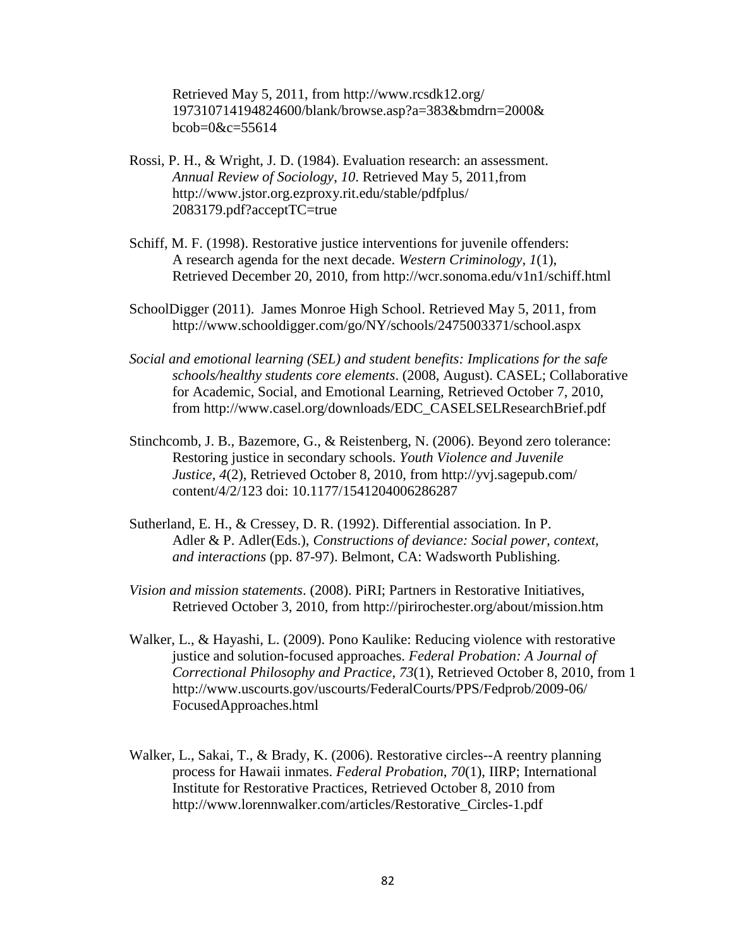Retrieved May 5, 2011, from http://www.rcsdk12.org/ 197310714194824600/blank/browse.asp?a=383&bmdrn=2000& bcob=0&c=55614

- Rossi, P. H., & Wright, J. D. (1984). Evaluation research: an assessment. *Annual Review of Sociology*, *10*. Retrieved May 5, 2011,from http://www.jstor.org.ezproxy.rit.edu/stable/pdfplus/ 2083179.pdf?acceptTC=true
- Schiff, M. F. (1998). Restorative justice interventions for juvenile offenders: A research agenda for the next decade. *Western Criminology*, *1*(1), Retrieved December 20, 2010, from http://wcr.sonoma.edu/v1n1/schiff.html
- SchoolDigger (2011). James Monroe High School. Retrieved May 5, 2011, from http://www.schooldigger.com/go/NY/schools/2475003371/school.aspx
- *Social and emotional learning (SEL) and student benefits: Implications for the safe schools/healthy students core elements*. (2008, August). CASEL; Collaborative for Academic, Social, and Emotional Learning, Retrieved October 7, 2010, from http://www.casel.org/downloads/EDC\_CASELSELResearchBrief.pdf
- Stinchcomb, J. B., Bazemore, G., & Reistenberg, N. (2006). Beyond zero tolerance: Restoring justice in secondary schools. *Youth Violence and Juvenile Justice*, *4*(2), Retrieved October 8, 2010, from http://yvj.sagepub.com/ content/4/2/123 doi: 10.1177/1541204006286287
- Sutherland, E. H., & Cressey, D. R. (1992). Differential association. In P. Adler & P. Adler(Eds.), *Constructions of deviance: Social power, context, and interactions* (pp. 87-97). Belmont, CA: Wadsworth Publishing.
- *Vision and mission statements*. (2008). PiRI; Partners in Restorative Initiatives, Retrieved October 3, 2010, from http://pirirochester.org/about/mission.htm
- Walker, L., & Hayashi, L. (2009). Pono Kaulike: Reducing violence with restorative justice and solution-focused approaches. *Federal Probation: A Journal of Correctional Philosophy and Practice*, *73*(1), Retrieved October 8, 2010, from 1 http://www.uscourts.gov/uscourts/FederalCourts/PPS/Fedprob/2009-06/ FocusedApproaches.html
- Walker, L., Sakai, T., & Brady, K. (2006). Restorative circles--A reentry planning process for Hawaii inmates. *Federal Probation*, *70*(1), IIRP; International Institute for Restorative Practices, Retrieved October 8, 2010 from http://www.lorennwalker.com/articles/Restorative\_Circles-1.pdf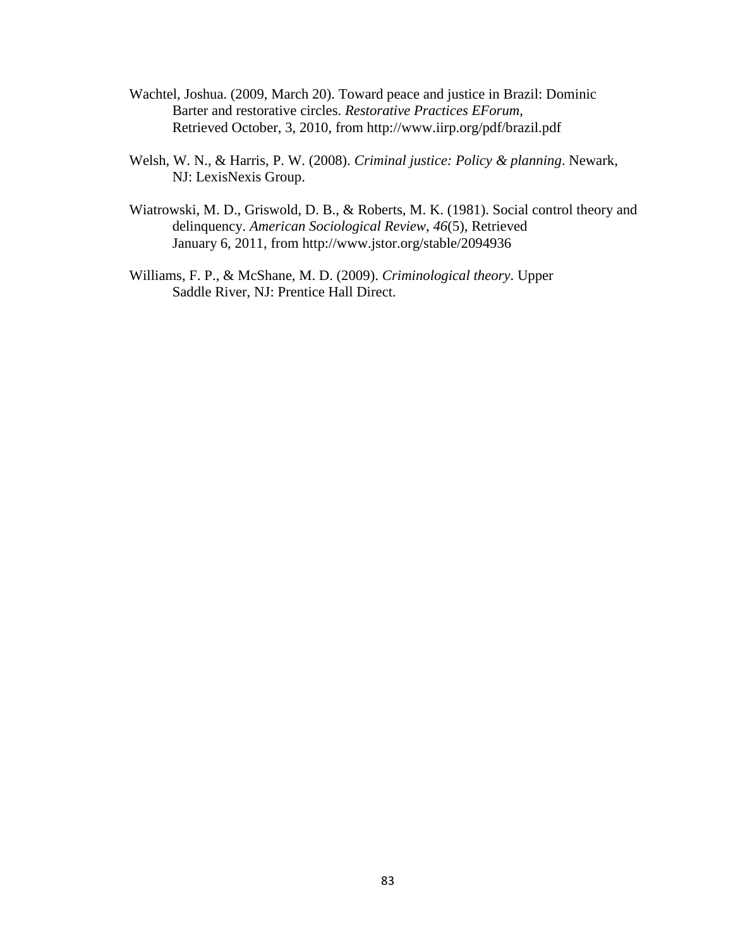- Wachtel, Joshua. (2009, March 20). Toward peace and justice in Brazil: Dominic Barter and restorative circles. *Restorative Practices EForum*, Retrieved October, 3, 2010, from http://www.iirp.org/pdf/brazil.pdf
- Welsh, W. N., & Harris, P. W. (2008). *Criminal justice: Policy & planning*. Newark, NJ: LexisNexis Group.
- Wiatrowski, M. D., Griswold, D. B., & Roberts, M. K. (1981). Social control theory and delinquency. *American Sociological Review*, *46*(5), Retrieved January 6, 2011, from http://www.jstor.org/stable/2094936
- Williams, F. P., & McShane, M. D. (2009). *Criminological theory*. Upper Saddle River, NJ: Prentice Hall Direct.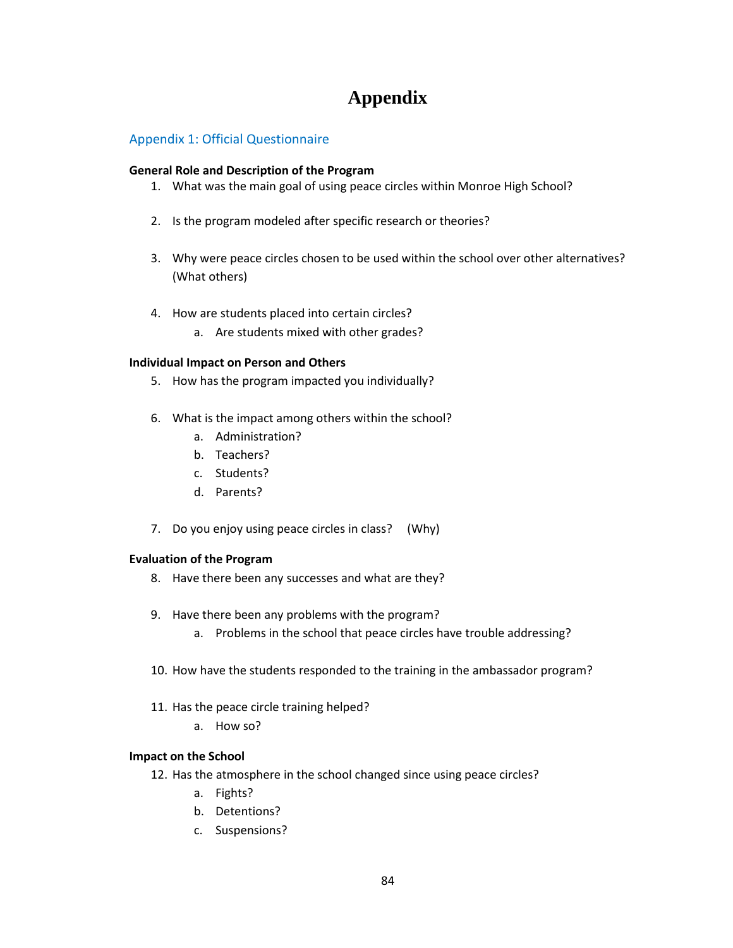# **Appendix**

## Appendix 1: Official Questionnaire

#### **General Role and Description of the Program**

- 1. What was the main goal of using peace circles within Monroe High School?
- 2. Is the program modeled after specific research or theories?
- 3. Why were peace circles chosen to be used within the school over other alternatives? (What others)
- 4. How are students placed into certain circles?
	- a. Are students mixed with other grades?

#### **Individual Impact on Person and Others**

- 5. How has the program impacted you individually?
- 6. What is the impact among others within the school?
	- a. Administration?
	- b. Teachers?
	- c. Students?
	- d. Parents?
- 7. Do you enjoy using peace circles in class? (Why)

#### **Evaluation of the Program**

- 8. Have there been any successes and what are they?
- 9. Have there been any problems with the program?
	- a. Problems in the school that peace circles have trouble addressing?
- 10. How have the students responded to the training in the ambassador program?
- 11. Has the peace circle training helped?
	- a. How so?

#### **Impact on the School**

- 12. Has the atmosphere in the school changed since using peace circles?
	- a. Fights?
	- b. Detentions?
	- c. Suspensions?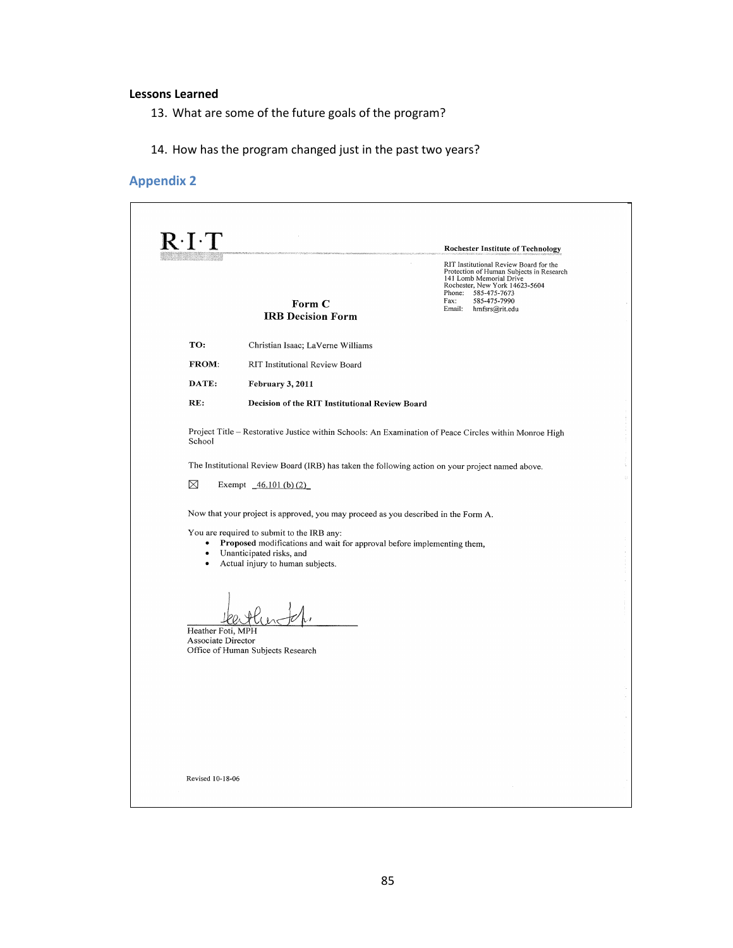#### **Lessons Learned**

- 13. What are some of the future goals of the program?
- 14. How has the program changed just in the past two years?

# **Appendix 2**

| $\rm R\!\cdot\! I\!\cdot\! T$           |                                                                                                                                                                                      | <b>Rochester Institute of Technology</b>                                                                                                                                                                                |
|-----------------------------------------|--------------------------------------------------------------------------------------------------------------------------------------------------------------------------------------|-------------------------------------------------------------------------------------------------------------------------------------------------------------------------------------------------------------------------|
|                                         | Form C<br><b>IRB Decision Form</b>                                                                                                                                                   | RIT Institutional Review Board for the<br>Protection of Human Subjects in Research<br>141 Lomb Memorial Drive<br>Rochester, New York 14623-5604<br>Phone: 585-475-7673<br>585-475-7990<br>Fax:<br>Email: hmfsrs@rit.edu |
| TO:                                     | Christian Isaac; LaVerne Williams                                                                                                                                                    |                                                                                                                                                                                                                         |
| FROM:                                   | RIT Institutional Review Board                                                                                                                                                       |                                                                                                                                                                                                                         |
| DATE:                                   | February 3, 2011                                                                                                                                                                     |                                                                                                                                                                                                                         |
| RE:                                     | Decision of the RIT Institutional Review Board                                                                                                                                       |                                                                                                                                                                                                                         |
| School                                  |                                                                                                                                                                                      | Project Title - Restorative Justice within Schools: An Examination of Peace Circles within Monroe High                                                                                                                  |
|                                         | The Institutional Review Board (IRB) has taken the following action on your project named above.                                                                                     |                                                                                                                                                                                                                         |
| $\boxtimes$                             | Exempt $46.101$ (b) (2)                                                                                                                                                              |                                                                                                                                                                                                                         |
|                                         | Now that your project is approved, you may proceed as you described in the Form A.                                                                                                   |                                                                                                                                                                                                                         |
| $\bullet$                               | You are required to submit to the IRB any:<br>Proposed modifications and wait for approval before implementing them,<br>Unanticipated risks, and<br>Actual injury to human subjects. |                                                                                                                                                                                                                         |
| Heather Foti, MPH<br>Associate Director | Office of Human Subjects Research                                                                                                                                                    |                                                                                                                                                                                                                         |
|                                         |                                                                                                                                                                                      |                                                                                                                                                                                                                         |
|                                         |                                                                                                                                                                                      |                                                                                                                                                                                                                         |
|                                         |                                                                                                                                                                                      |                                                                                                                                                                                                                         |
|                                         |                                                                                                                                                                                      |                                                                                                                                                                                                                         |
|                                         |                                                                                                                                                                                      |                                                                                                                                                                                                                         |
|                                         |                                                                                                                                                                                      |                                                                                                                                                                                                                         |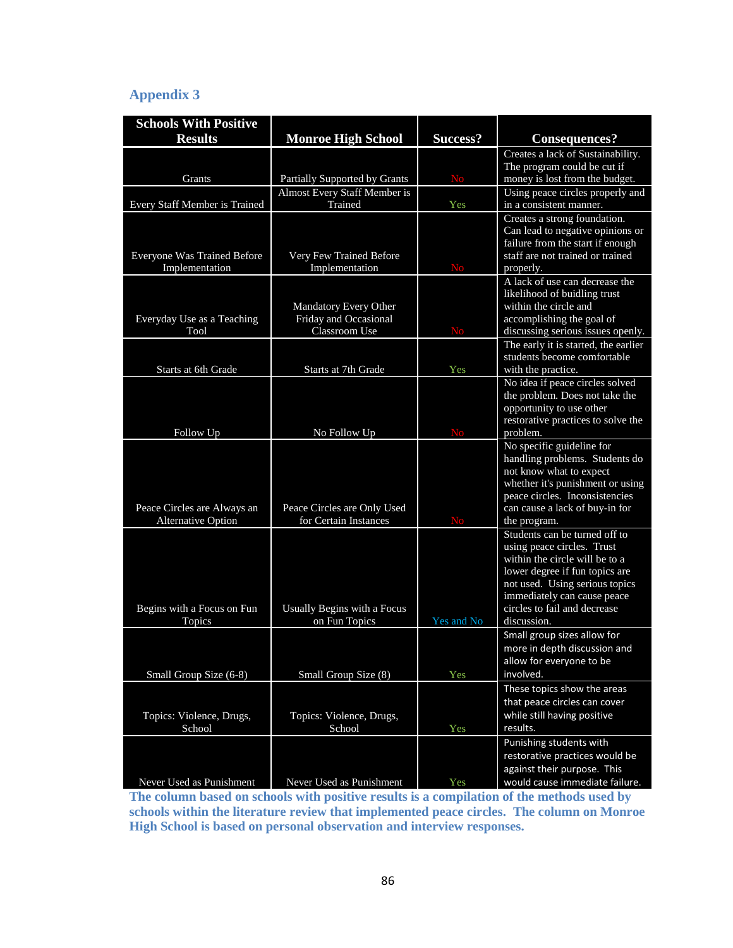# **Appendix 3**

| <b>Schools With Positive</b>         |                                              |                 |                                                               |
|--------------------------------------|----------------------------------------------|-----------------|---------------------------------------------------------------|
| <b>Results</b>                       | <b>Monroe High School</b>                    | <b>Success?</b> | Consequences?                                                 |
|                                      |                                              |                 | Creates a lack of Sustainability.                             |
|                                      |                                              |                 | The program could be cut if                                   |
| Grants                               | Partially Supported by Grants                | <b>No</b>       | money is lost from the budget.                                |
| Every Staff Member is Trained        | Almost Every Staff Member is<br>Trained      | Yes             | Using peace circles properly and<br>in a consistent manner.   |
|                                      |                                              |                 | Creates a strong foundation.                                  |
|                                      |                                              |                 | Can lead to negative opinions or                              |
|                                      |                                              |                 | failure from the start if enough                              |
| Everyone Was Trained Before          | Very Few Trained Before                      |                 | staff are not trained or trained                              |
| Implementation                       | Implementation                               | <b>No</b>       | properly.<br>A lack of use can decrease the                   |
|                                      |                                              |                 | likelihood of buidling trust                                  |
|                                      | Mandatory Every Other                        |                 | within the circle and                                         |
| Everyday Use as a Teaching           | Friday and Occasional                        |                 | accomplishing the goal of                                     |
| Tool                                 | Classroom Use                                | <b>No</b>       | discussing serious issues openly.                             |
|                                      |                                              |                 | The early it is started, the earlier                          |
| Starts at 6th Grade                  | Starts at 7th Grade                          | Yes             | students become comfortable<br>with the practice.             |
|                                      |                                              |                 | No idea if peace circles solved                               |
|                                      |                                              |                 | the problem. Does not take the                                |
|                                      |                                              |                 | opportunity to use other                                      |
|                                      |                                              |                 | restorative practices to solve the                            |
| Follow Up                            | No Follow Up                                 | <b>No</b>       | problem.                                                      |
|                                      |                                              |                 | No specific guideline for<br>handling problems. Students do   |
|                                      |                                              |                 | not know what to expect                                       |
|                                      |                                              |                 | whether it's punishment or using                              |
|                                      |                                              |                 | peace circles. Inconsistencies                                |
| Peace Circles are Always an          | Peace Circles are Only Used                  |                 | can cause a lack of buy-in for                                |
| <b>Alternative Option</b>            | for Certain Instances                        | <b>No</b>       | the program.                                                  |
|                                      |                                              |                 | Students can be turned off to<br>using peace circles. Trust   |
|                                      |                                              |                 | within the circle will be to a                                |
|                                      |                                              |                 | lower degree if fun topics are                                |
|                                      |                                              |                 | not used. Using serious topics                                |
|                                      |                                              |                 | immediately can cause peace                                   |
| Begins with a Focus on Fun<br>Topics | Usually Begins with a Focus<br>on Fun Topics | Yes and No      | circles to fail and decrease<br>discussion.                   |
|                                      |                                              |                 | Small group sizes allow for                                   |
|                                      |                                              |                 | more in depth discussion and                                  |
|                                      |                                              |                 | allow for everyone to be                                      |
| Small Group Size (6-8)               | Small Group Size (8)                         | Yes             | involved.                                                     |
|                                      |                                              |                 | These topics show the areas                                   |
|                                      |                                              |                 | that peace circles can cover                                  |
| Topics: Violence, Drugs,             | Topics: Violence, Drugs,                     |                 | while still having positive                                   |
| School                               | School                                       | Yes             | results.                                                      |
|                                      |                                              |                 | Punishing students with                                       |
|                                      |                                              |                 | restorative practices would be<br>against their purpose. This |
| Never Used as Punishment             | Never Used as Punishment                     | <b>Yes</b>      | would cause immediate failure.                                |

**The column based on schools with positive results is a compilation of the methods used by schools within the literature review that implemented peace circles. The column on Monroe High School is based on personal observation and interview responses.**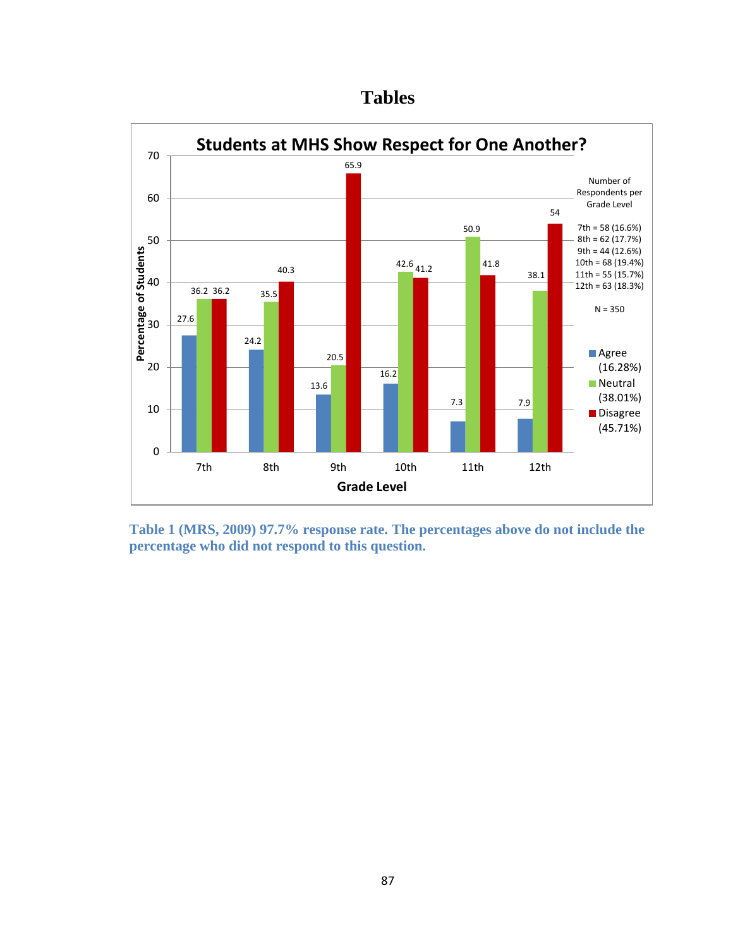



**Table 1 (MRS, 2009) 97.7% response rate. The percentages above do not include the percentage who did not respond to this question.**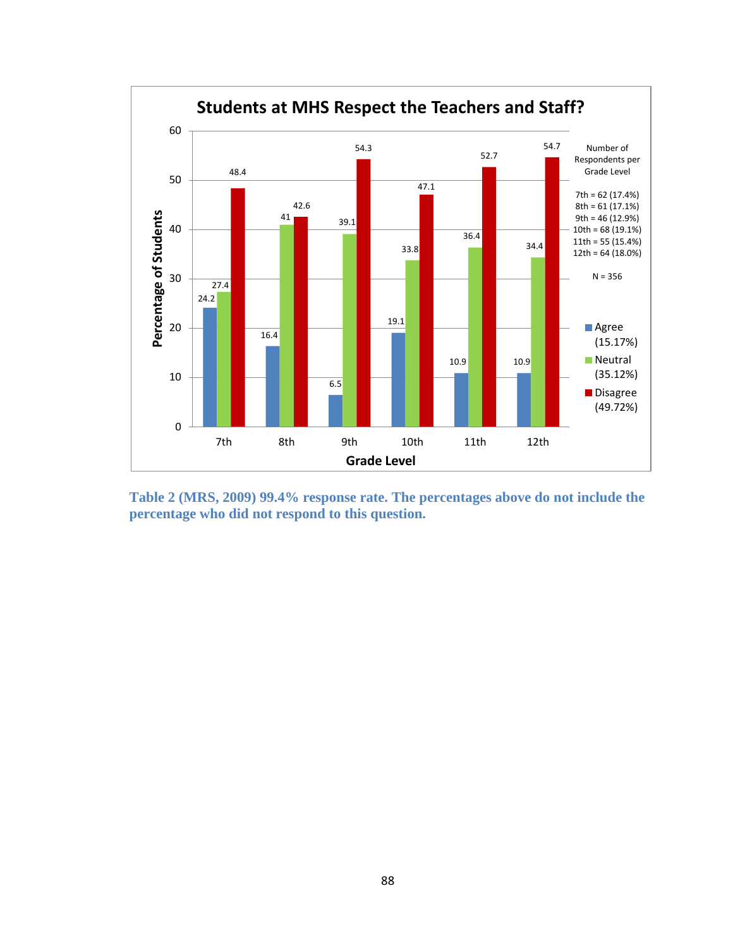

**Table 2 (MRS, 2009) 99.4% response rate. The percentages above do not include the percentage who did not respond to this question.**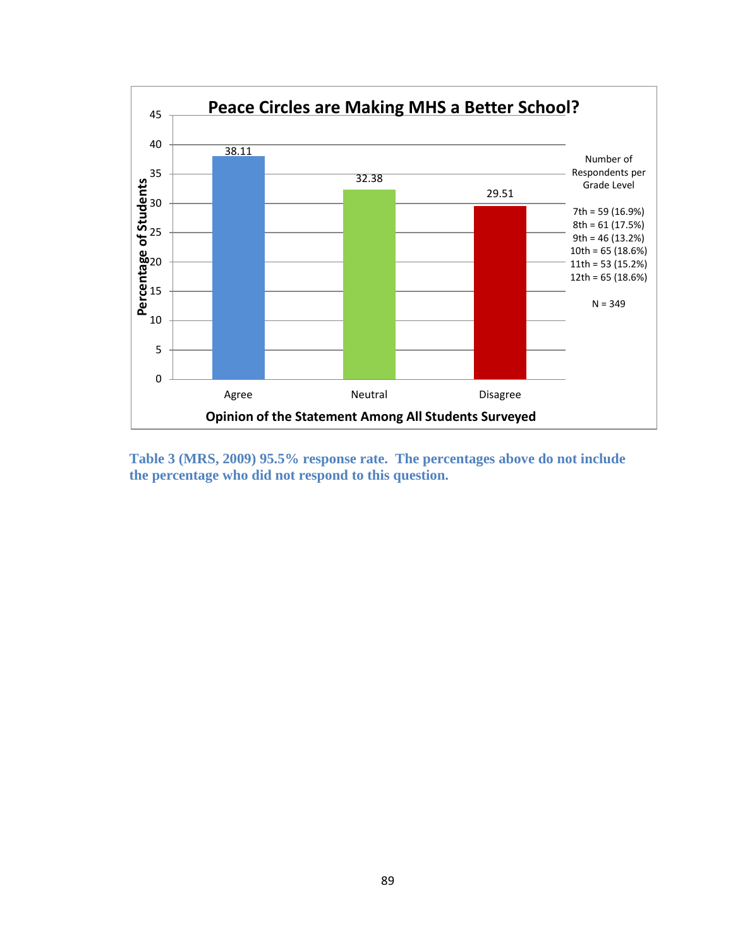

**Table 3 (MRS, 2009) 95.5% response rate. The percentages above do not include the percentage who did not respond to this question.**